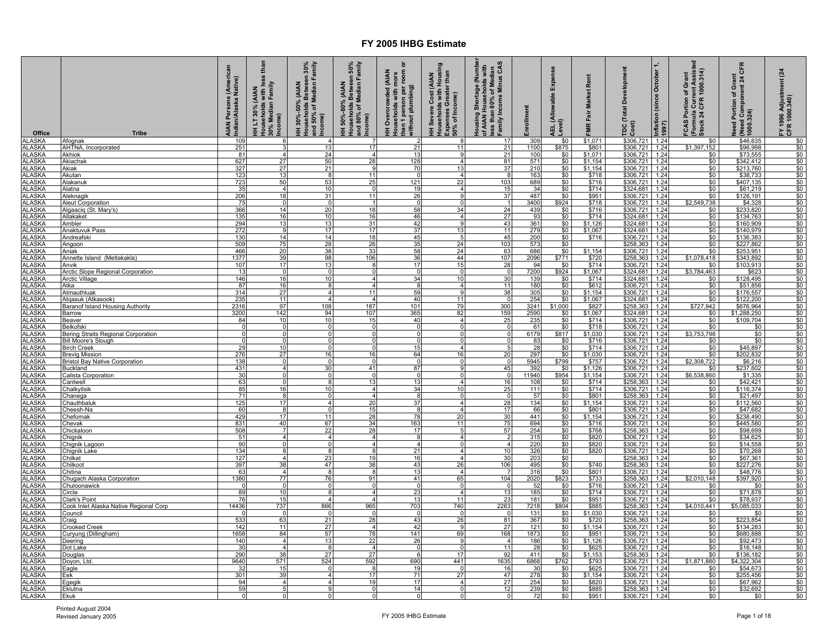| Office                         | <b>Tribe</b>                                                      | AIAN Persons (American<br>Indian/Alaska Native) | than<br>less<br>HH LT 30% (AIAN<br>Households with less<br>30% Median Family<br>Income) | HH 30%-50% (AIAN<br>Households Between 30%<br>and 50% of Median Family<br>Income) | Households Between 50%<br>and 80% of Median Family<br>Income)<br>(AIAN<br>HH 50%-80% | ō<br>than 1 person per room<br>without plumbing)<br><b>AIAN</b><br>HH Overcrowded (AIAN<br>Households with more | HH Severe Cost (AIAN<br>Households with Housing<br>Expenses Greater than<br>50% of Income) | Housing Shortage (Number<br>of AIAN Households with<br>less than 80% of Median<br>Family Income Minus CAS | Enrollment                            | Expense<br>AEL (Allowable E<br>Level)   | Rent<br><b>Market</b><br>FMR Fair | <b>Total Development</b><br>Cost)<br>pc                                 | Inflation (since October<br>1997) | FCAS Portion of Grant<br>(Formula Current Assisted<br>Stock 24 CFR 1000.314) | CFR<br>Need Portion of Grant<br>  (Need Component 24 C)<br>  1000.324) | (24)<br>FY 1996 Adjustment<br>CFR 1000.340) |
|--------------------------------|-------------------------------------------------------------------|-------------------------------------------------|-----------------------------------------------------------------------------------------|-----------------------------------------------------------------------------------|--------------------------------------------------------------------------------------|-----------------------------------------------------------------------------------------------------------------|--------------------------------------------------------------------------------------------|-----------------------------------------------------------------------------------------------------------|---------------------------------------|-----------------------------------------|-----------------------------------|-------------------------------------------------------------------------|-----------------------------------|------------------------------------------------------------------------------|------------------------------------------------------------------------|---------------------------------------------|
| <b>ALASKA</b><br><b>ALASKA</b> | Afognak<br>AHTNA, Incorporated                                    | 109<br>251                                      |                                                                                         | $\overline{4}$<br>13                                                              | 17                                                                                   | 21                                                                                                              | 11                                                                                         | 17<br>21                                                                                                  | 309<br>1100                           | \$0<br>\$875                            | \$1,071<br>\$801                  | \$306,721<br>\$306,721                                                  | 1.24<br>1.24                      | \$0<br>\$1,397,152                                                           | \$46,635<br>\$96,998                                                   | $$0$<br>$$0$                                |
| ALASKA                         | Akhiok                                                            | 81                                              |                                                                                         | 24                                                                                |                                                                                      | 13                                                                                                              |                                                                                            | 21                                                                                                        | 100                                   |                                         | \$1,071                           | \$306,721                                                               | 1.24                              | \$0                                                                          | \$73,555                                                               | $\frac{$0}{$0}$                             |
| <b>ALASKA</b><br><b>ALASKA</b> | Akiacha<br>Akiak                                                  | 627<br>327                                      | 27<br>27                                                                                | 50<br>21                                                                          | 28                                                                                   | 128<br>70                                                                                                       | $\overline{4}$<br>13                                                                       | 81<br>37                                                                                                  | 571<br>210                            | $\frac{$0}{$0}{$0}{$0 $$                | $$1,154$<br>$$1,154$              | $$306,721$<br>$$306,721$                                                | 1.24<br>1.24                      | \$0<br>\$0                                                                   | \$342,412<br>\$213,760                                                 | \$0                                         |
| <b>ALASKA</b>                  | Akutan                                                            | 123                                             | 13                                                                                      | 8                                                                                 | 11                                                                                   | $\Omega$                                                                                                        | $\overline{4}$                                                                             | $\mathbf{R}$                                                                                              | 163                                   | \$0                                     | \$718                             | \$306,721                                                               | 1.24                              | \$0                                                                          | \$38,733                                                               | \$0                                         |
| <b>ALASKA</b><br><b>ALASKA</b> | Alakanul                                                          | 723                                             | 50<br>$\overline{4}$                                                                    | 53<br>10                                                                          | 25                                                                                   | 121<br>19                                                                                                       | 22<br>$\overline{4}$                                                                       | 103<br>15                                                                                                 | 689<br>34                             | \$0                                     | \$716                             | \$306,721                                                               | 1.24<br>1.24                      | \$0<br>\$0                                                                   | \$407,135                                                              | \$0                                         |
| <b>ALASKA</b>                  | Alatna<br>Aleknagik                                               | 35<br>206                                       | 18                                                                                      | 31                                                                                | 11                                                                                   | 26                                                                                                              |                                                                                            | 37                                                                                                        | 487                                   | \$0                                     | \$714<br>\$951                    | \$324,681<br>\$306,721                                                  | 1.24                              | \$0                                                                          | \$61,219<br>\$126,191                                                  | \$0<br>\$0                                  |
| <b>ALASKA</b>                  | Aleut Corporation                                                 | 75                                              | $\mathbf 0$                                                                             | $\mathbf 0$                                                                       |                                                                                      | $\mathbf 0$                                                                                                     |                                                                                            |                                                                                                           | 3400                                  | $$0$<br>$$924$                          | \$718                             | \$306,721 1.24                                                          |                                   | \$2,549,738                                                                  | \$4,328                                                                | \$0                                         |
| <b>ALASKA</b><br>ALASKA        | Algaaciq (St. Mary's)<br>Allakaket                                | 366<br>135                                      | 14<br>16                                                                                | 20<br>10                                                                          | 18<br>16                                                                             | 58<br>46                                                                                                        | 34<br>$\overline{4}$                                                                       | 24<br>27                                                                                                  | 439<br>93                             | $\frac{$0}{$0}$                         | \$716<br>\$714                    | \$306,721<br>\$324,681                                                  | 1.24<br>1.24                      | \$0<br>\$0                                                                   | \$233,820<br>\$134,763                                                 | \$0<br>\$0                                  |
| <b>ALASKA</b>                  | Ambler                                                            | 294                                             | 13                                                                                      | 13                                                                                | 31                                                                                   | 42                                                                                                              | 9                                                                                          | 43                                                                                                        | 361                                   | \$0                                     | \$1,126                           | \$324,681                                                               | 1.24                              | \$0                                                                          | \$160,909                                                              | \$0                                         |
| <b>ALASKA</b>                  | Anaktuvuk Pass                                                    | 272<br>130                                      | 9<br>14                                                                                 | 17                                                                                | 17                                                                                   | 37                                                                                                              | 13                                                                                         | 11                                                                                                        | 279<br>200                            | $\frac{$0}{$0}$                         | \$1,067                           | $\frac{$324,681}{$306,721}$<br>$$258,363$<br>$$306,721$                 | 1.24                              | $\frac{$0}{$0}$                                                              | \$140,979                                                              | $\frac{$0}{$0}$                             |
| <b>ALASKA</b><br><b>ALASKA</b> | Andreafski<br>Angoon                                              | 509                                             | 75                                                                                      | 14<br>28                                                                          | 18<br>26                                                                             | 45<br>35                                                                                                        | 5<br>24                                                                                    | 45<br>103                                                                                                 | 573                                   | \$0                                     | \$716                             |                                                                         | 1.24<br>1.24                      | \$0                                                                          | \$136,383<br>\$227,862                                                 | \$0                                         |
| <b>ALASKA</b>                  | Aniak                                                             | 466                                             | 20                                                                                      | 38                                                                                | 33                                                                                   | 58                                                                                                              | 24                                                                                         | 63                                                                                                        | 686                                   | \$0                                     | \$1,154                           |                                                                         | 1.24                              | \$0                                                                          | \$253,951                                                              | \$0                                         |
| <b>ALASKA</b><br><b>ALASKA</b> | Annette Island (Metlakakla)<br>Anvik                              | 1377<br>107                                     | 39<br>17                                                                                | 98<br>13                                                                          | 106                                                                                  | 36<br>17                                                                                                        | 44<br>15                                                                                   | 107<br>28                                                                                                 | 2096<br>94                            | \$771                                   | \$720<br>\$714                    | \$258,363                                                               | 1.24<br>1.24                      | \$1,078,418                                                                  | \$343,892<br>\$103,913                                                 | \$0<br>\$0                                  |
| <b>ALASKA</b>                  | <b>Arctic Slope Regional Corporation</b>                          | 13                                              | $\overline{0}$                                                                          | $\Omega$                                                                          |                                                                                      | $\mathbf 0$                                                                                                     | $\Omega$                                                                                   | - 0                                                                                                       | 7200                                  | $$^{80}_{$924}$                         | \$1,067                           | \$306,721<br>\$324,681 1.24                                             |                                   | $\frac{$0}{$3,784,463}$                                                      | \$623                                                                  | \$0                                         |
| <b>ALASKA</b>                  | Arctic Village                                                    | 146                                             | 16                                                                                      | 10                                                                                | $\Lambda$                                                                            | 34                                                                                                              | 10                                                                                         | 30                                                                                                        | 139                                   | \$0                                     | \$714                             | \$324,681 1.24                                                          |                                   | \$0                                                                          | \$128,495                                                              | \$0                                         |
| <b>ALASKA</b><br><b>ALASKA</b> | Atka<br><b>Atmauthluak</b>                                        | 87<br>314                                       | 16<br>27                                                                                | 8<br>$\overline{4}$                                                               | $\overline{\mathbf{4}}$<br>11                                                        | 8<br>59                                                                                                         | $\overline{4}$<br>9                                                                        | 11<br>38                                                                                                  | 180<br>305                            | \$0<br>\$0                              | \$612<br>\$1,154                  | \$306,721<br>\$306,721                                                  | 1.24<br>1.24                      | \$0<br>\$0                                                                   | \$51,856<br>\$176,557                                                  | \$0<br>\$0                                  |
| <b>ALASKA</b>                  | Atgasuk (Atkasook)                                                | 235                                             | 11                                                                                      | $\overline{\mathbf{A}}$                                                           |                                                                                      | 40                                                                                                              | 11                                                                                         | - 0                                                                                                       |                                       |                                         | \$1,067                           | \$324,681                                                               | 1.24                              | \$0                                                                          | \$122,200                                                              |                                             |
| <b>ALASKA</b>                  | <b>Baranof Island Housing Authority</b>                           | 2316                                            | 97                                                                                      | 108                                                                               | 187                                                                                  | 101                                                                                                             | 79<br>82                                                                                   | 300                                                                                                       |                                       |                                         | \$827                             |                                                                         |                                   | \$727,942                                                                    | \$676,964                                                              |                                             |
| <b>ALASKA</b><br><b>ALASKA</b> | Barrow<br><b>Beaver</b>                                           | 3200<br>84                                      | 142<br>10                                                                               | 94<br>10                                                                          | 107<br>15                                                                            | 365<br>40                                                                                                       | $\overline{4}$                                                                             | 159<br>25                                                                                                 | $\frac{254}{3241}$ $\frac{2590}{235}$ | $\frac{$80}{$1,000}$<br>$\frac{$0}{$0}$ | $\frac{$1,067}{$714}$             | $\frac{$258,363 \quad 1.24}{$324,681 \quad 1.24}{$306,721 \quad 1.24$}$ |                                   | $$0$<br>$$0$                                                                 | \$1,288,250<br>\$109,704                                               | $\frac{$0}{$0}{$0}{$0 $}$                   |
| <b>ALASKA</b>                  | Belkofski                                                         | $\Omega$                                        | $\overline{0}$                                                                          | $\overline{0}$                                                                    |                                                                                      | $\Omega$                                                                                                        |                                                                                            | $\Omega$                                                                                                  | 61                                    | \$0                                     | \$718                             | \$306,721 1.24                                                          |                                   | \$0                                                                          | \$0                                                                    | \$0                                         |
| <b>ALASKA</b><br>ALASKA        | Bering Straits Regional Corporation<br><b>Bill Moore's Slough</b> | $\Omega$                                        | $\Omega$<br>$\Omega$                                                                    | $\Omega$                                                                          |                                                                                      | $\Omega$<br>$\Omega$                                                                                            |                                                                                            | $\Omega$                                                                                                  | 6179<br>83                            | \$817<br>\$0                            | \$1,030<br>\$716                  | \$306,721 1.24<br>\$306,721 1.24                                        |                                   | \$3,753,798<br>\$0                                                           | \$0<br>\$0                                                             | \$0<br>\$0                                  |
| <b>ALASKA</b>                  | <b>Birch Creek</b>                                                | 29                                              | 10                                                                                      | $\Omega$                                                                          |                                                                                      | 15                                                                                                              |                                                                                            | 5                                                                                                         | $\frac{28}{297}$                      | $\frac{$0}{$0}$                         | \$714                             | \$306,721 1.24<br>\$306,721 1.24                                        |                                   | \$0                                                                          |                                                                        | \$0                                         |
| <b>ALASKA</b>                  | Brevig Mission                                                    | 276                                             | 27                                                                                      | 16                                                                                | 16                                                                                   | 64                                                                                                              | 16                                                                                         | 20                                                                                                        |                                       |                                         | \$1,030                           |                                                                         |                                   | \$0                                                                          | \$45,897<br>\$202,832                                                  | \$0                                         |
| <b>ALASKA</b><br><b>ALASKA</b> | <b>Bristol Bay Native Corporation</b><br><b>Buckland</b>          | 138<br>431                                      | $\Omega$<br>$\overline{4}$                                                              | $\Omega$<br>30                                                                    | 41                                                                                   | 0<br>87                                                                                                         | $\Omega$                                                                                   | 0<br>45                                                                                                   | 5945<br>392                           | \$799<br>\$0                            | \$757<br>\$1,126                  | \$306,721<br>\$306,721                                                  | 1.24<br>1.24                      | \$2,308,722<br>\$0                                                           | \$6,216<br>\$237,602                                                   | \$0<br>\$0                                  |
| <b>ALASKA</b>                  | Calista Corporation                                               | 30                                              | $\Omega$                                                                                | $\Omega$                                                                          |                                                                                      | $\Omega$                                                                                                        | $\Omega$                                                                                   | $\overline{0}$                                                                                            | 11940                                 | \$954                                   | \$1,154                           | \$306,721                                                               | 1.24                              | \$6,538,860                                                                  | \$1,335                                                                | \$0                                         |
| <b>ALASKA</b><br><b>ALASKA</b> | antwell<br>Chalkyitsik                                            | 63<br>85                                        | 16                                                                                      | 10                                                                                | 13<br>$\overline{A}$                                                                 | 13<br>34                                                                                                        | 10                                                                                         | 16<br>25                                                                                                  | 108<br>111                            | $\frac{$0}{$0}$                         | $$714$<br>$$714$                  | \$258,363<br>\$306,721                                                  | 1.24<br>1.24                      | \$0<br>\$0                                                                   | \$42,421<br>\$116,374                                                  | \$0<br>\$0                                  |
| <b>ALASKA</b>                  | <u>Chanega</u>                                                    | 71                                              | $\overline{8}$                                                                          | $\mathbf 0$                                                                       |                                                                                      | 8                                                                                                               | $\Omega$                                                                                   | $\Omega$                                                                                                  | 57                                    | \$0                                     | \$801                             | \$258,363                                                               | 1.24                              | \$0                                                                          | \$21,497                                                               | \$0                                         |
| <b>ALASKA</b>                  | <u>Chauthbalu</u>                                                 | 125                                             | 17                                                                                      | $\mathbf{A}$                                                                      | 2C                                                                                   | 37                                                                                                              | $\Delta$                                                                                   | 28                                                                                                        | 134                                   | \$0                                     | \$1,154                           | \$306,721                                                               | 1.24                              | \$0                                                                          | \$112,560                                                              | \$0                                         |
| <b>ALASKA</b><br><b>ALASKA</b> | Cheesh-Na<br>Chefornak                                            | 60<br>429                                       | 8<br>17                                                                                 | $\Omega$<br>11                                                                    | 15<br>28                                                                             | 8<br>78                                                                                                         | $\overline{\mathbf{A}}$<br>20                                                              | 17<br>30                                                                                                  | 66<br>441                             | \$0                                     | \$801<br>\$1,154                  | \$306,721<br>\$306,721                                                  | 1.24<br>1.24                      | \$0<br>\$0                                                                   | \$47,682<br>\$238.490                                                  | \$0<br>\$0                                  |
| <b>ALASKA</b>                  | Chevak                                                            | 831                                             | 40                                                                                      | 67                                                                                | 34                                                                                   | 163                                                                                                             | 11                                                                                         | 75                                                                                                        | 694                                   | $\frac{$0}{$0}$                         | \$716                             | \$306,721                                                               | 1.24                              | \$0                                                                          | \$445,580                                                              | \$0                                         |
| <b>ALASKA</b>                  | Chickaloon                                                        | 508                                             | 7                                                                                       | 22                                                                                | 28<br>$\Delta$                                                                       | 17                                                                                                              | 5                                                                                          | 57                                                                                                        | 254                                   | \$0                                     | \$768                             | \$258,363<br>\$306,721                                                  | 1.24                              | $\frac{6}{50}$                                                               | \$98,699                                                               | \$0                                         |
| <b>ALASKA</b><br><b>ALASKA</b> | <u>Chiqnik</u><br>Chignik Lagoon                                  | 51<br>90                                        | $\overline{4}$<br>$\mathbf 0$                                                           | $\overline{4}$<br>$\mathbf 0$                                                     |                                                                                      | $\boldsymbol{8}$<br>$\overline{4}$                                                                              | $\overline{4}$<br>$\mathbf 0$                                                              | $\overline{2}$<br>$\overline{4}$                                                                          | 315<br>220                            | \$0<br>\$0                              | \$820<br>\$820                    | \$306,721                                                               | 1.24<br>1.24                      | \$0<br>\$0                                                                   | \$34,625<br>\$14,558                                                   | \$0<br>\$0                                  |
| <b>ALASKA</b>                  | Chignik Lake                                                      | 134                                             | 8                                                                                       | 8                                                                                 |                                                                                      | 21                                                                                                              | $\overline{4}$                                                                             | 10                                                                                                        | $\frac{326}{203}$                     |                                         | \$820                             | $\frac{$306,721}{$258,363}$<br>$$258,363$                               | 1.24                              |                                                                              | \$70,268                                                               |                                             |
| <b>ALASKA</b><br><b>ALASKA</b> | Chilkat<br>Chilkoot                                               | 127<br>397                                      | $\overline{4}$<br>38                                                                    | 23<br>47                                                                          | 1 <sup>c</sup><br>38                                                                 | 16<br>43                                                                                                        | $\overline{4}$<br>26                                                                       | $\overline{30}$<br>106                                                                                    |                                       | $\frac{$0}{$0}{$0}{$0 $}$               | \$740                             |                                                                         | 1.24<br>1.24                      | $\frac{$0}{$0}{$0}{$0 $}$                                                    | \$67,361<br>\$227,276                                                  | $$^{6}_{80}_{80}$                           |
| <b>ALASKA</b>                  | <u>Chitina</u>                                                    | 63                                              | $\overline{4}$                                                                          | $\mathbf{R}$                                                                      |                                                                                      | 13                                                                                                              | $\overline{4}$                                                                             | $\overline{7}$                                                                                            | 316                                   | $rac{30}{1}$<br>\$823                   | $$801$<br>$$733$                  | \$306,721 1.24                                                          |                                   | \$0                                                                          | \$48,776                                                               | \$0                                         |
| <b>ALASKA</b>                  | Chugach Alaska Corporation                                        | 1380<br>$\Omega$                                | 77<br>$\Omega$                                                                          | 76<br>$\Omega$                                                                    | 91                                                                                   | 41<br>$\Omega$                                                                                                  | 65<br>$\Omega$                                                                             | 104<br>$\Omega$                                                                                           | 2020<br>52                            |                                         |                                   | \$258,363                                                               | 1.24                              | \$2,010,148<br>\$0                                                           | \$397,920                                                              | \$0                                         |
| <b>ALASKA</b><br><b>ALASKA</b> | Chuloonawick<br>Circle                                            | 89                                              | 10                                                                                      |                                                                                   |                                                                                      | 23                                                                                                              | 4                                                                                          | 13                                                                                                        | 185                                   | \$0<br>\$0                              | \$716<br>\$714                    | \$306,721 1.24<br>\$306,721 1.24                                        |                                   | \$0                                                                          | \$0<br>\$71,878                                                        | \$0<br>\$0                                  |
| <b>ALASKA</b>                  | Clark's Point                                                     | 76                                              | 15                                                                                      | $\overline{\mathbf{A}}$                                                           |                                                                                      | 13                                                                                                              | 11                                                                                         | 23                                                                                                        | 181                                   | \$0                                     | \$951                             | \$306,721                                                               | 1.24                              | \$0                                                                          | \$78,937                                                               | \$0                                         |
| <b>ALASKA</b><br><b>ALASKA</b> | Cook Inlet Alaska Native Regional Corp<br>Council                 | 14436                                           | 737<br>$\Omega$                                                                         | 866                                                                               | 965                                                                                  | 703<br>$\Omega$                                                                                                 | 740                                                                                        | 2263                                                                                                      | 7218<br>131                           | \$804<br>\$0                            | \$885<br>\$1,030                  | \$258,363<br>\$306,721                                                  | 1.24<br>1.24                      | \$4,010,441<br>\$0                                                           | $\overline{$}5,085,033$<br>\$0                                         | \$0<br>\$0                                  |
| <b>ALASKA</b>                  | Craig                                                             | 533                                             | 63                                                                                      | 21                                                                                | 28                                                                                   | 43                                                                                                              | 26                                                                                         | 81                                                                                                        | 367                                   | \$0                                     | \$720                             | \$258,363                                                               | 1.24                              | \$0                                                                          | \$223,854                                                              | \$0                                         |
| <b>ALASKA</b>                  | <b>Crooked Creek</b>                                              | 142                                             | 11                                                                                      | 27                                                                                |                                                                                      | 42                                                                                                              | 9                                                                                          | 27                                                                                                        | 121                                   | \$0                                     | \$1,154                           | \$306,721                                                               | 1.24                              | \$0                                                                          | \$134,283                                                              | \$0                                         |
| <b>ALASKA</b><br><b>ALASKA</b> | Curyung (Dillingham)<br>Deering                                   | 1658<br>140                                     | 84<br>$\overline{\mathbf{4}}$                                                           | 57<br>13                                                                          | 78<br>22                                                                             | 141<br>26                                                                                                       | 69                                                                                         | 168<br>$\overline{a}$                                                                                     | 1873<br>186                           | \$0<br>$\overline{\$0}$                 | \$951<br>\$1,126                  | \$306,721<br>\$306,721                                                  | 1.24<br>1.24                      | \$0<br>$\overline{\$0}$                                                      | \$680,888<br>\$92,473                                                  | \$0<br>\$0                                  |
| <b>ALASKA</b>                  | Dot Lake                                                          | 30                                              | $\Delta$                                                                                | 8                                                                                 | $\overline{ }$                                                                       | $\Omega$                                                                                                        | $\Omega$                                                                                   | 11                                                                                                        | 28                                    | \$0                                     | \$625                             | \$306,721                                                               | 1.24                              | \$0                                                                          | \$16,148                                                               | \$0                                         |
| <b>ALASKA</b><br><b>ALASKA</b> | Douglas                                                           | 290<br>9640                                     | 38<br>571                                                                               | 27<br>524                                                                         | 27<br>592                                                                            | <b>R</b><br>690                                                                                                 | 17<br>441                                                                                  | 92<br>1635                                                                                                | 411<br>6868                           | \$0<br>\$762                            | \$1,153<br>\$793                  | \$258,363<br>\$306,721                                                  | 1.24<br>1.24                      | \$0<br>\$1,871,880                                                           | \$136,182<br>\$4,322,304                                               | \$0<br>\$0                                  |
| <b>ALASKA</b>                  | Doyon, Ltc<br>Eagle                                               | 32                                              | 15                                                                                      | $\Omega$                                                                          |                                                                                      | 19                                                                                                              | $\Omega$                                                                                   | 16                                                                                                        | 30 <sup>1</sup>                       | \$0                                     | \$625                             | \$306,721                                                               | 1.24                              | \$0                                                                          | \$54,673                                                               | \$0                                         |
| <b>ALASKA</b>                  | Eek                                                               | 301                                             | 39                                                                                      | $\overline{4}$                                                                    | 17                                                                                   | 71                                                                                                              | 27                                                                                         | 47                                                                                                        | 278                                   | $\frac{$0}{$0}$                         | \$1,154                           | \$306,721 1.24                                                          |                                   | \$0                                                                          | \$255,456                                                              | \$0                                         |
| <b>ALASKA</b><br><b>ALASKA</b> | Egegik<br>Eklutna                                                 | 94<br>59                                        | $\overline{4}$                                                                          | $\overline{\mathbf{A}}$<br>9                                                      | 1 <sup>c</sup>                                                                       | 17<br>14                                                                                                        | $\overline{4}$                                                                             | 27<br>12                                                                                                  | 254<br>239                            | \$0                                     | \$820<br>\$885                    | \$306,721<br>\$258,363                                                  | 1.24<br>$\frac{1.24}{1.24}$       | \$0<br>\$0                                                                   | \$67,962<br>\$32,692                                                   | \$0<br>\$0                                  |
| <b>ALASKA</b>                  | Ekuk                                                              |                                                 |                                                                                         |                                                                                   |                                                                                      |                                                                                                                 |                                                                                            |                                                                                                           | 72                                    | \$0                                     | \$951                             | \$306,721                                                               | 1.24                              | \$0                                                                          | \$0                                                                    | \$0                                         |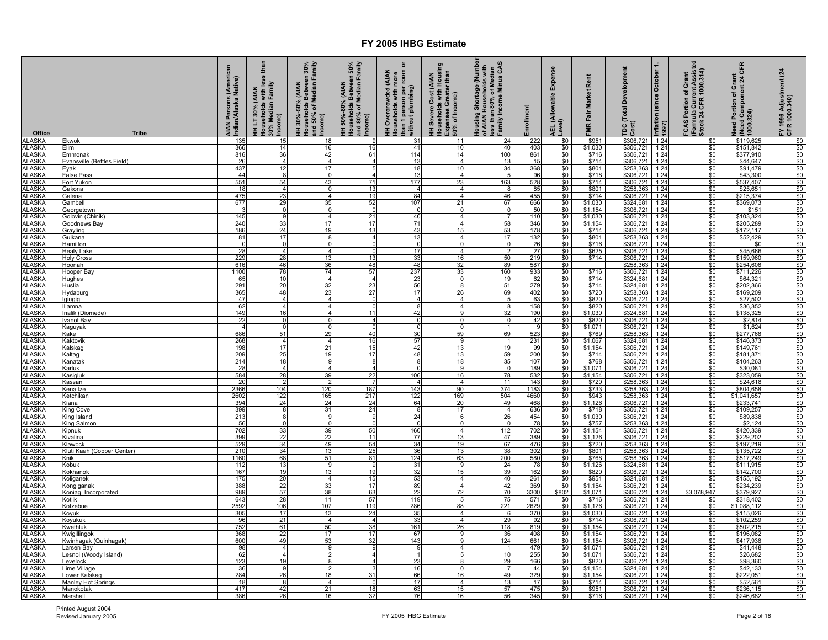| Office                         | <b>Tribe</b>                            | (American<br>AIAN Persons (Ameri<br>Indian/Alaska Native) | less than<br>HH LT 30% (AIAN<br>Households with less<br>30% Median Family<br>[Income] | HH 30%-50% (AIAN<br>Households Between 30%<br>and 50% of Median Family<br>ncome) | Households Between 50%<br>and 80% of Median Family<br>Income)<br>HH 50%-80% (AIAN | ৯<br>than 1 person per room<br>without plumbing)<br><b>HH Overcrowded (AIAN</b><br>Households with more | HH Severe Cost (AIAN<br>Households with Housing<br>Expenses Greater than<br>_50% of Income) | Housing Shortage (Number<br>of AIAN Households with<br>less than 80% of Median<br>Family Income Minus CAS | nrollment        | Expense<br><b>AEL (Allowable</b><br>Level) | Rent<br>Market<br><b>-MR Fair</b> | elopment<br>Dev<br><b>TDC</b> (Total<br>Cost)                                                          | Inflation (since October<br>1997) | (Formula Current Assisted<br>Stock 24 CFR 1000.314)<br>FCAS Portion of Grant | CFR<br>Need Portion of Grant<br>{ (Need Component 24 C)<br>{ 1000.324) | FY 1996 Adjustment (24<br>CFR 1000.340) |
|--------------------------------|-----------------------------------------|-----------------------------------------------------------|---------------------------------------------------------------------------------------|----------------------------------------------------------------------------------|-----------------------------------------------------------------------------------|---------------------------------------------------------------------------------------------------------|---------------------------------------------------------------------------------------------|-----------------------------------------------------------------------------------------------------------|------------------|--------------------------------------------|-----------------------------------|--------------------------------------------------------------------------------------------------------|-----------------------------------|------------------------------------------------------------------------------|------------------------------------------------------------------------|-----------------------------------------|
| <b>ALASKA</b><br><b>ALASKA</b> | Ekwok<br>Elim.                          | 135<br>366                                                | 15<br>14                                                                              | 18<br>16                                                                         | 16                                                                                | 31<br>41                                                                                                | 11<br>10                                                                                    | 24<br>40                                                                                                  | 222<br>403       | \$0<br>\$0                                 | \$951<br>\$1,030                  | \$306,721<br>\$306,721                                                                                 | 1.24<br>1.24                      | \$0                                                                          | \$119,625<br>\$151,842                                                 | \$0                                     |
| <b>ALASKA</b>                  | Emmonak                                 | 816                                                       | 36                                                                                    | 42                                                                               | 61                                                                                | 114                                                                                                     | 14                                                                                          | 100                                                                                                       | 861              | \$0                                        | \$716                             | \$306,721                                                                                              | 1.24                              | \$0                                                                          | \$377,910                                                              | \$0                                     |
| <b>ALASKA</b>                  | Evansville (Bettles Field)              | 26                                                        | $\overline{4}$                                                                        | $\overline{4}$                                                                   | $\overline{4}$                                                                    | 13                                                                                                      | $\overline{4}$                                                                              | 13                                                                                                        | 15               | $\frac{$0}{$0}$                            | \$714                             |                                                                                                        | 1.24                              | $\frac{$0}{$0}{$0}{$0 $$                                                     | \$44,647                                                               | $\frac{$0}{$0}{$0}{$0 $$                |
| <b>ALASKA</b>                  | Eyak                                    | 437                                                       | 12                                                                                    | 17                                                                               |                                                                                   | 18                                                                                                      | 10                                                                                          | 34                                                                                                        | 368              |                                            | \$801                             | \$306,721<br>\$258,363<br>\$306,721                                                                    | 1.24                              |                                                                              | \$91,479                                                               |                                         |
| <b>ALASKA</b><br>ALASKA        | False Pass<br>Fort Yukon                | 44<br>551                                                 | $\overline{\mathbf{a}}$<br>54                                                         | $\overline{0}$<br>43                                                             | $\overline{\phantom{a}}$<br>71                                                    | 13<br>177                                                                                               | $\overline{4}$<br>23                                                                        | 5<br>163                                                                                                  | 96<br>528        | \$0<br>\$0                                 | \$718<br>\$714                    | \$306,721                                                                                              | 1.24<br>1.24                      | \$0<br>\$0                                                                   | \$43,300<br>\$537,407                                                  | \$0<br>\$0                              |
| <b>ALASKA</b>                  | <u>Gakona</u>                           | 18                                                        |                                                                                       | $\Omega$                                                                         | 13                                                                                | $\overline{4}$                                                                                          | $\overline{4}$                                                                              | -8                                                                                                        | 85               | \$0                                        | \$801                             | \$258,363                                                                                              | 1.24                              | \$0                                                                          | \$25,651                                                               | \$0                                     |
| <b>ALASKA</b>                  | <u>Galena</u>                           | 475                                                       | 23                                                                                    | $\overline{\mathbf{A}}$                                                          | 19                                                                                | 84                                                                                                      | $\overline{\mathbf{A}}$                                                                     | 46                                                                                                        | 455              | $\frac{$0}{$0}$                            | \$714                             | \$306,721                                                                                              | 1.24                              | $\frac{$0}{$0}$                                                              | \$215,374                                                              | $\frac{$0}{$0}$                         |
| <b>ALASKA</b>                  | Gambell                                 | 677                                                       | 29                                                                                    | 35                                                                               | 52                                                                                | 107                                                                                                     | 21                                                                                          | 67                                                                                                        | 666              |                                            | \$1,030                           | \$324,681                                                                                              | 1.24                              |                                                                              | \$369,073                                                              |                                         |
| <b>ALASKA</b><br>ALASKA        | Georgetowr                              | -3<br>145                                                 | $\Omega$<br>9                                                                         | $\Omega$                                                                         | - 0<br>21                                                                         | $\Omega$<br>40                                                                                          | $\mathbf 0$<br>4                                                                            | $\mathbf 0$                                                                                               | 50<br>110        | $\frac{$0}{$0}$                            | \$1,154<br>\$1,030                | \$306,721<br>\$306,721                                                                                 | 1.24<br>1.24                      | $\frac{$0}{$0}$                                                              | \$151<br>\$103,324                                                     | \$0<br>\$0                              |
| <b>ALASKA</b>                  | Golovin (Chinik)<br><b>Goodnews Bay</b> | 240                                                       | 33                                                                                    | 4<br>17                                                                          | 17                                                                                | 71                                                                                                      | $\overline{4}$                                                                              | 58                                                                                                        | 346              | \$0                                        | \$1,154                           | \$306,721                                                                                              | 1.24                              | \$0                                                                          | \$205,289                                                              | \$0                                     |
| <b>ALASKA</b>                  | <b>Grayling</b>                         | 186                                                       | $\frac{24}{17}$                                                                       | 19                                                                               | 13                                                                                | 43                                                                                                      | 15                                                                                          | $\frac{53}{17}$                                                                                           | 178              | $\frac{$0}{$0}$                            | $$714$<br>$$801$                  | \$306,721<br>\$258,363                                                                                 | 1.24                              | $\frac{$0}{$0}$                                                              | \$172,117                                                              | $\frac{$0}{$0}$                         |
| <b>ALASKA</b>                  | Gulkana                                 | 81                                                        |                                                                                       | 8                                                                                | $\overline{4}$                                                                    | 13                                                                                                      | $\overline{4}$                                                                              |                                                                                                           | 132              |                                            |                                   |                                                                                                        | 1.24                              |                                                                              | \$52,429                                                               |                                         |
| <b>ALASKA</b><br><b>ALASKA</b> | Hamilton                                | $\overline{0}$<br>28                                      | ō<br>$\overline{\mathbf{A}}$                                                          | $\overline{0}$<br>$\overline{4}$                                                 | $\Omega$                                                                          | $\overline{0}$<br>17                                                                                    | $\overline{0}$<br>$\overline{4}$                                                            | $\overline{0}$                                                                                            | 26<br>27         | \$0<br>\$0                                 | \$716<br>\$625                    | $\frac{$306,721}{$306,721}$                                                                            | 1.24<br>1.24                      | \$0<br>\$0                                                                   | \$0<br>\$45,666                                                        | \$0<br>\$0                              |
| <b>ALASKA</b>                  | <b>Healy Lake</b><br><b>Holy Cross</b>  | 229                                                       | 28                                                                                    | 13                                                                               | 13                                                                                | 33                                                                                                      | 16                                                                                          | 50                                                                                                        | 219              | \$0                                        | \$714                             | \$306,721                                                                                              | 1.24                              | \$0                                                                          | \$159,960                                                              | \$0                                     |
| <b>ALASKA</b>                  | Hoonah                                  | 616                                                       | 46                                                                                    | 36                                                                               | 48                                                                                | 48                                                                                                      | 32                                                                                          | 89                                                                                                        | 587              | $\frac{$0}{$0}$                            |                                   |                                                                                                        |                                   |                                                                              | \$254,606                                                              | \$0                                     |
| <b>ALASKA</b>                  | Hooper Bay                              | 1100                                                      | 78                                                                                    | 74                                                                               | 57                                                                                | 237                                                                                                     | 33                                                                                          | 160                                                                                                       | 933              |                                            | \$716                             | \$258,363 1.24<br>\$306,721 1.24<br>\$324,681 1.24                                                     |                                   | $\frac{$0}{$0}$                                                              | \$711,226                                                              | \$0                                     |
| <b>ALASKA</b><br><b>ALASKA</b> | Hughes                                  | 65<br>291                                                 | 10                                                                                    | $\overline{4}$<br>32                                                             | $\overline{4}$<br>23                                                              | 23<br>56                                                                                                | $\mathbf 0$<br>ø                                                                            | 19<br>51                                                                                                  | 62<br>279        | \$0<br>\$0                                 | \$714<br>\$714                    | \$324,681                                                                                              | 1.24                              | \$0<br>\$0                                                                   | \$64,321                                                               | \$0<br>\$0                              |
| <b>ALASKA</b>                  | Huslia<br>Hydaburg                      | 365                                                       | 20<br>48                                                                              | 23                                                                               | 27                                                                                | 17                                                                                                      | 26                                                                                          | 69                                                                                                        | 402              | \$0                                        | \$720                             | \$258,363                                                                                              | 1.24                              | \$0                                                                          | \$202,366<br>\$169,209                                                 | \$0                                     |
| <b>ALASKA</b>                  | lgiugig                                 | 47                                                        |                                                                                       | $\overline{\mathbf{A}}$                                                          |                                                                                   | $\overline{4}$                                                                                          | $\Delta$                                                                                    | -5                                                                                                        | 63               | \$0                                        | \$820                             | \$306,721                                                                                              | 1.24                              |                                                                              | \$27,502                                                               |                                         |
| <b>ALASKA</b>                  | lliamna                                 |                                                           | $\overline{4}$                                                                        | $\overline{4}$                                                                   | $\Omega$                                                                          | 8                                                                                                       | $\overline{4}$                                                                              | 8                                                                                                         | 158              |                                            | \$820                             |                                                                                                        |                                   |                                                                              | \$36,352                                                               |                                         |
| <b>ALASKA</b>                  | Inalik (Diomede)                        | $\frac{62}{149}$                                          | 16<br>$\overline{0}$                                                                  | $\overline{4}$<br>$\overline{0}$                                                 | 11<br>$\boldsymbol{\Lambda}$                                                      | $\frac{42}{0}$                                                                                          | 9<br>$\overline{0}$                                                                         | $\frac{32}{5}$                                                                                            | 190<br>42        | $\frac{$0}{$0}{$0}{$0 $$                   | $$1,030$<br>\$820                 | $\frac{$306,721 \quad 1.24}{$324,681 \quad 1.24}$<br>$\frac{$324,681 \quad 1.24}{$306,721 \quad 1.24}$ |                                   | $\frac{$0}{$0}{$0}{$0 $}$                                                    | $$138,325$<br>$$2,814$                                                 | $\frac{$0}{$0}{$0}{$0 $}$               |
| <b>ALASKA</b><br><b>ALASKA</b> | <b>Ivanof Bay</b><br><b>Kaguyak</b>     | $\overline{4}$                                            | $\Omega$                                                                              | $\overline{0}$                                                                   |                                                                                   | $\overline{0}$                                                                                          | $\overline{0}$                                                                              | $\mathbf 0$<br>$\overline{1}$                                                                             | -91              | \$0                                        | \$1,071                           | \$306,721                                                                                              | 1.24                              | \$0                                                                          | \$1,624                                                                | \$0                                     |
| <b>ALASKA</b>                  | <b>Kake</b>                             | 686                                                       | 51                                                                                    | 29                                                                               | 40                                                                                | 30                                                                                                      | 59                                                                                          | 69                                                                                                        | 523              | \$0                                        | \$769                             | \$258,363                                                                                              | 1.24                              | \$0                                                                          | \$277,768                                                              | \$0                                     |
| <b>ALASKA</b>                  | Kaktovik                                | 268                                                       | $\overline{\mathbf{4}}$                                                               | $\overline{4}$                                                                   | 16                                                                                | 57                                                                                                      | 9                                                                                           | $\overline{1}$                                                                                            | 231              | \$0                                        | \$1,067                           | \$324,681 1.24<br>\$306,721 1.24<br>\$306,721 1.24                                                     |                                   | \$0                                                                          | \$146,373                                                              | \$0                                     |
| <b>ALASKA</b>                  | Kalskag                                 | 198                                                       | 17                                                                                    | 21                                                                               | 15                                                                                | 42                                                                                                      | 13                                                                                          | 19                                                                                                        | 99               | $\frac{6}{3}$                              | \$1,154                           |                                                                                                        |                                   | $\frac{$0}{$0}$                                                              | \$149,761                                                              | $\frac{$0}{$0}$                         |
| <b>ALASKA</b><br><b>ALASKA</b> | Kaltag<br>Kanatak                       | 209<br>214                                                | 25<br>18                                                                              | 19<br>9                                                                          | 17                                                                                | 48<br>8                                                                                                 | 13<br>18                                                                                    | 59<br>35                                                                                                  | 200<br>107       | \$0<br>\$0                                 | \$714<br>\$768                    | \$306,721                                                                                              | 1.24                              | \$0                                                                          | \$181,371<br>\$104,263                                                 | \$0                                     |
| <b>ALASKA</b>                  | <b>Karluk</b>                           | 28                                                        | $\overline{4}$                                                                        | $\overline{4}$                                                                   |                                                                                   | $\Omega$                                                                                                | g                                                                                           | - 0                                                                                                       | 189              | \$0                                        | \$1,071                           | \$306,721                                                                                              | 1.24                              | \$0                                                                          | \$30,081                                                               | \$0                                     |
| <b>ALASKA</b>                  | Kasigluk                                | 584                                                       | 28                                                                                    | 39                                                                               | 22                                                                                | 106                                                                                                     | 16                                                                                          | 78                                                                                                        | 532              | \$0                                        | \$1,154                           | \$306,721                                                                                              | 1.24                              | \$0                                                                          | \$323,059                                                              | \$0                                     |
| <b>ALASKA</b>                  | Kassan                                  | 20                                                        |                                                                                       | $\overline{2}$                                                                   |                                                                                   | $\overline{4}$                                                                                          | $\overline{4}$                                                                              | 11                                                                                                        | 143              | $\frac{$0}{$0}$                            | $$720$<br>$$733$                  | \$258,363<br>\$258,363                                                                                 | 1.24                              | $\frac{$0}{$0}$                                                              | \$24,618                                                               | $\frac{$0}{$0}$                         |
| <b>ALASKA</b><br><b>ALASKA</b> | Kenaitze<br>Ketchikan                   | 2366<br>2602                                              | 104<br>122                                                                            | 120<br>165                                                                       | 187<br>217                                                                        | 143<br>122                                                                                              | 90<br>169                                                                                   | 374<br>504                                                                                                | 1183<br>4660     | \$0                                        | \$943                             | \$258,363                                                                                              | 1.24<br>1.24                      | \$0                                                                          | \$804,658<br>\$1,041,657                                               | \$0                                     |
| <b>ALASKA</b>                  | <u>Kiana</u>                            | 394                                                       | 24                                                                                    | 24                                                                               | 24                                                                                | 64                                                                                                      | 20                                                                                          | 49                                                                                                        | 468              | \$0                                        | \$1,126                           | \$306,721                                                                                              | 1.24                              | \$0                                                                          | \$233,741                                                              | \$0                                     |
| <b>ALASKA</b>                  | King Cove                               | 399                                                       |                                                                                       | 31                                                                               | 24                                                                                | 8                                                                                                       | 17                                                                                          | $\overline{4}$                                                                                            | 636              | \$0                                        | \$718                             | \$306,721                                                                                              | 1.24                              | \$0                                                                          | \$109,257                                                              | \$0                                     |
| <b>ALASKA</b>                  | King Island                             | 213                                                       |                                                                                       | -9                                                                               |                                                                                   | 24                                                                                                      | 6                                                                                           | 26                                                                                                        | 454              | $\frac{$0}{$0}$                            | \$1,030                           | $$306,721$<br>$$258,363$                                                                               | 1.24                              | \$0                                                                          | \$89,838                                                               | \$0                                     |
| <b>ALASKA</b><br><b>ALASKA</b> | King Salmon                             | 56<br>702                                                 | 33                                                                                    | 0<br>39                                                                          | - C<br>50                                                                         | 0<br>160                                                                                                | $\mathbf 0$<br>$\overline{a}$                                                               | - 0<br>112                                                                                                | 78<br>702        | \$0                                        | \$757<br>\$1,154                  | \$306,721                                                                                              | 1.24<br>1.24                      | \$0<br>\$0                                                                   | \$2,124<br>\$420,339                                                   | \$0<br>\$0                              |
| <b>ALASKA</b>                  | Kipnuk<br><b>Kivalina</b>               | 399                                                       | 22                                                                                    | 22                                                                               | 11                                                                                | 77                                                                                                      | 13                                                                                          | 47                                                                                                        | 389              | \$0                                        | \$1,126                           | \$306,721                                                                                              | 1.24                              | \$0                                                                          | \$229,202                                                              | \$0                                     |
| <b>ALASKA</b>                  | Klawock                                 | 529                                                       | 34                                                                                    | 49                                                                               | 54                                                                                | 34                                                                                                      | 19                                                                                          | 67                                                                                                        | 476              | \$0                                        | \$720                             | \$258,363                                                                                              | 1.24                              | \$0                                                                          | \$197,219                                                              | \$0                                     |
| <b>ALASKA</b>                  | Kluti Kaah (Copper Center)              | 210                                                       | $\frac{34}{68}$                                                                       | 13                                                                               | $\frac{25}{81}$                                                                   | 36                                                                                                      | 13                                                                                          | $\frac{38}{200}$                                                                                          | 302              | $\frac{$0}{$0}{$0}{$0 $}$                  | $$801$<br>$$768$                  | \$258,363 1.24<br>\$258,363 1.24<br>\$324,681 1.24                                                     |                                   | $\frac{$0}{$0}{$0}{$0 $$                                                     | $\frac{$135,722}{$517,249}$                                            | $\frac{$0}{$0}{$0 $}$                   |
| <b>ALASKA</b><br><b>ALASKA</b> | Knik<br>Kobuk                           | 1160<br>112                                               |                                                                                       | 51<br>9                                                                          | <b>Q</b>                                                                          | 124<br>31                                                                                               | $\frac{63}{9}$                                                                              |                                                                                                           | $\frac{580}{78}$ |                                            | \$1,126                           |                                                                                                        |                                   |                                                                              |                                                                        |                                         |
| <b>ALASKA</b>                  | <b>Kokhanok</b>                         | 167                                                       | 19                                                                                    | 13                                                                               | 19                                                                                | 32                                                                                                      | 15                                                                                          | 39                                                                                                        | 162              |                                            |                                   |                                                                                                        |                                   |                                                                              |                                                                        |                                         |
| <b>ALASKA</b>                  | Koliganek                               | 175                                                       | 20                                                                                    | $\overline{a}$                                                                   | 15                                                                                | 53                                                                                                      | $\overline{4}$                                                                              | 40                                                                                                        | 261              | $\frac{$0}{$0}$                            | $\frac{$820}{$951}$               | $\frac{$306,721}{$324,681}$ 1.24                                                                       |                                   | $\frac{$0}{$0}$                                                              | \$142,700<br>\$155,192                                                 | $\frac{$0}{$0}$                         |
| <b>ALASKA</b>                  | Kongiganak                              | 388                                                       | 22                                                                                    | 33                                                                               | 17                                                                                | 89                                                                                                      | $\overline{\mathbf{4}}$                                                                     | 42                                                                                                        | 369              | \$0                                        | \$1,154                           | \$306,721                                                                                              | 1.24                              | \$0                                                                          | \$234,239                                                              | \$0                                     |
| <b>ALASKA</b><br><b>ALASKA</b> | Koniag, Incorporated<br>Kotlik          | 989<br>643                                                | 57<br>28                                                                              | 38<br>11                                                                         | 63<br>57                                                                          | 22<br>119                                                                                               | 72<br>5                                                                                     | 70<br>75                                                                                                  | 3300<br>571      | \$802<br>\$0                               | \$1,071<br>\$716                  | \$306,721<br>\$306,721                                                                                 | 1.24<br>1.24                      | \$3,078,947<br>\$0                                                           | \$379,927<br>\$318,402                                                 | \$0<br>\$0                              |
| <b>ALASKA</b>                  | Kotzebue                                | 2592                                                      | 106                                                                                   | 107                                                                              | 119                                                                               | 286                                                                                                     | 88                                                                                          | 221                                                                                                       | 2629             | \$0                                        | \$1,126                           | \$306,721                                                                                              | 1.24                              | \$0                                                                          | \$1,088,112                                                            | \$0                                     |
| <b>ALASKA</b>                  | Koyuk                                   | 305                                                       | 17                                                                                    | 13                                                                               | 24                                                                                | 35                                                                                                      | $\overline{4}$                                                                              | - 6                                                                                                       | 370              | \$0                                        | \$1,030                           | \$306,721                                                                                              | 1.24                              | \$0                                                                          | \$115,026                                                              | \$0                                     |
| <b>ALASKA</b>                  | Koyukuk                                 | 96                                                        | 21                                                                                    | 4                                                                                | $\overline{4}$                                                                    | 33                                                                                                      | 4                                                                                           | 29                                                                                                        | 92               | \$0                                        | \$714                             | \$306,721                                                                                              | 1.24                              | \$0                                                                          | \$102,259                                                              | \$0                                     |
| <b>ALASKA</b><br><b>ALASKA</b> | Kwethluk<br>Kwigillingol                | 752<br>368                                                | 61<br>22                                                                              | 50<br>17                                                                         | 38<br>17                                                                          | 161<br>67                                                                                               | 26<br>-9                                                                                    | 118<br>36                                                                                                 | 819<br>408       | \$0<br>\$0                                 | \$1,154<br>\$1,154                | \$306,721                                                                                              | 1.24<br>1.24                      | \$0                                                                          | \$502,215<br>\$196,082                                                 | \$0<br>\$0                              |
| <b>ALASKA</b>                  | Kwinhagak (Quinhagak)                   | 600                                                       | 49                                                                                    | 53                                                                               | 32                                                                                | 143                                                                                                     | $\Omega$                                                                                    | 124                                                                                                       | 661              | $\overline{\$0}$                           | \$1,154                           | \$306,721<br>\$306,721                                                                                 | 1.24                              | $\frac{$0}{$0}$                                                              | \$417,938                                                              | \$0                                     |
| <b>ALASKA</b>                  | arsen Bay                               | 98                                                        | $\overline{4}$                                                                        | 9                                                                                |                                                                                   | 9                                                                                                       |                                                                                             | $\overline{1}$                                                                                            | 479              | \$0                                        | \$1,071                           | \$306,721                                                                                              | 1.24                              | \$0                                                                          | \$41,448                                                               | \$0                                     |
| <b>ALASKA</b>                  | esnoi (Woody Island)                    | 62                                                        |                                                                                       |                                                                                  |                                                                                   | $\overline{1}$                                                                                          |                                                                                             | 10                                                                                                        | 255              | \$0                                        | \$1,071                           | \$306,721                                                                                              | 1.24                              | \$0                                                                          | \$26,682                                                               | \$0                                     |
| <b>ALASKA</b><br><b>ALASKA</b> | evelock<br>ime Village                  | 123<br>36                                                 | 19<br>9                                                                               | 8<br>$\mathcal{P}$                                                               |                                                                                   | 23<br>16                                                                                                | $\Omega$                                                                                    | 29<br>$\overline{7}$                                                                                      | 166<br>44        | \$0<br>\$0                                 | \$820<br>\$1,154                  | \$306,721<br>\$324,681                                                                                 | 1.24<br>1.24                      | \$0<br>\$0                                                                   | \$98,360<br>\$42,133                                                   | \$0<br>\$0                              |
| <b>ALASKA</b>                  | _ower Kalskag                           | 284                                                       | 26                                                                                    | 18                                                                               | 31                                                                                | 66                                                                                                      | 16                                                                                          | 49                                                                                                        | 329              | \$0                                        | \$1,154                           | \$306,721                                                                                              | 1.24                              |                                                                              | \$222,051                                                              | \$0                                     |
| <b>ALASKA</b>                  | <b>Manley Hot Springs</b>               | 18                                                        | 8                                                                                     | $\overline{4}$                                                                   | ſ                                                                                 | 17                                                                                                      | $\overline{a}$                                                                              | 13                                                                                                        | 17               | \$0                                        | \$714                             | \$306,721                                                                                              | 1.24                              | $\frac{$0}{$0}$                                                              | \$52,561                                                               | \$0                                     |
| <b>ALASKA</b>                  | Manokotak                               | 417                                                       | 42                                                                                    | 21                                                                               | 18                                                                                | 63                                                                                                      | 15                                                                                          | 57                                                                                                        | 475              | \$0                                        | \$951                             | \$306,721                                                                                              | 1.24                              | \$0                                                                          | \$236,115                                                              | \$0                                     |
| <b>ALASKA</b>                  | Marshall                                | 386                                                       | 26                                                                                    | 16                                                                               | 32                                                                                |                                                                                                         | 16                                                                                          | 56                                                                                                        | 345              | \$0                                        | \$716                             | \$306,721                                                                                              | 1.24                              | \$0                                                                          | \$246,682                                                              | \$0                                     |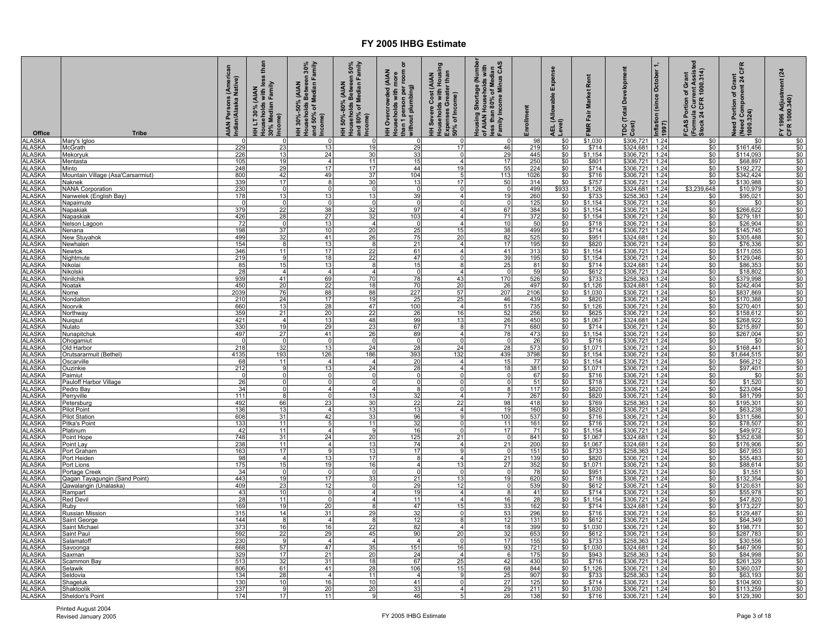| Office                         | <b>Tribe</b>                                | (American<br>AIAN Persons (Ameri<br>Indian/Alaska Native) | less than<br>HH LT 30% (AIAN<br>Households with less<br>30% Median Family<br>Income) | HH 30%-50% (AIAN<br>Households Between 30%<br>and 50% of Median Family<br>Income) | Households Between 50%<br>and 80% of Median Family<br>Income)<br>HH 50%-80% (AIAN | ৯<br>than 1 person per room<br>without plumbing)<br>(AIAN<br>HH Overcrowded (AIAN<br>Households with more | HH Severe Cost (AIAN<br>Households with Housing<br>Expenses Greater than<br>50% of Income) | Housing Shortage (Number<br>of AIAN Households with<br>less than 80% of Median<br>Family Income Minus CAS | Enrollment        | Expense<br><b>AEL (Allowable</b><br>Level) | Rent<br><b>Market</b><br>FMR Fair | TDC (Total Development<br>Cost)                                                                        | Inflation (since October 1,<br>1997) | (Formula Current Assisted<br>Stock 24 CFR 1000.314)<br>FCAS Portion of Grant | CFR<br>Need Portion of Grant<br>(Need Component 24 Cl<br>1000.324) | $\overline{a}$<br>FY 1996 Adjustment<br>CFR 1000.340) |
|--------------------------------|---------------------------------------------|-----------------------------------------------------------|--------------------------------------------------------------------------------------|-----------------------------------------------------------------------------------|-----------------------------------------------------------------------------------|-----------------------------------------------------------------------------------------------------------|--------------------------------------------------------------------------------------------|-----------------------------------------------------------------------------------------------------------|-------------------|--------------------------------------------|-----------------------------------|--------------------------------------------------------------------------------------------------------|--------------------------------------|------------------------------------------------------------------------------|--------------------------------------------------------------------|-------------------------------------------------------|
| <b>ALASKA</b><br><b>ALASKA</b> | Mary's Igloo<br>McGrath                     | $\Omega$<br>229                                           | 23                                                                                   | $\mathbf 0$<br>13                                                                 | $\Omega$<br>19                                                                    | $\Omega$<br>29                                                                                            | 17                                                                                         | 46                                                                                                        | 98<br>219         | \$0<br>\$0                                 | \$1,030<br>\$714                  | \$306,721<br>\$324,681                                                                                 | 1.24<br>1.24                         | \$0<br>\$0                                                                   | \$0<br>\$161,456                                                   | \$0<br>\$0                                            |
| <b>ALASKA</b>                  | Mekoryuk                                    | 226                                                       | 13                                                                                   | 24                                                                                | 30                                                                                | 33                                                                                                        |                                                                                            | 29                                                                                                        | 445               | \$0                                        | \$1,154                           | \$306,721                                                                                              | 1.24                                 | \$0                                                                          | \$114,093                                                          | \$0                                                   |
| <b>ALASKA</b>                  | Mentasta                                    | 105                                                       | 19                                                                                   | $\overline{4}$                                                                    | 11                                                                                | 15                                                                                                        | $\overline{4}$                                                                             | 17                                                                                                        | 250<br>224        | $\frac{$0}{$0}$                            | $$801$<br>$$714$                  | \$306,721<br>\$306,721                                                                                 | 1.24                                 | \$0                                                                          | \$68,897<br>\$192,272                                              | \$0                                                   |
| <b>ALASKA</b>                  | Minto                                       | 248                                                       | 29                                                                                   | 17<br>49                                                                          | 17                                                                                | 44                                                                                                        | 19<br>$\sqrt{2}$                                                                           | 55                                                                                                        |                   |                                            | \$716                             |                                                                                                        | 1.24                                 | \$0                                                                          | \$342,424                                                          | \$0                                                   |
| <b>ALASKA</b><br>ALASKA        | Mountain Village (Asa'Carsarmiut)<br>Naknek | 800<br>339                                                | 42<br>17                                                                             | 8                                                                                 | 37<br>30                                                                          | 104<br>13                                                                                                 | 17                                                                                         | 113<br>50                                                                                                 | 1026<br>314       | $\frac{$0}{$0}$                            | \$757                             | \$306,721 1.24<br>\$306,721                                                                            | 1.24                                 | $\frac{$0}{$0}$                                                              | \$130,988                                                          | \$0<br>\$0                                            |
| <b>ALASKA</b>                  | <b>NANA Corporation</b>                     | 230                                                       | $\overline{0}$                                                                       | $\mathbf 0$                                                                       | $\Omega$                                                                          | $\mathbf{0}$                                                                                              |                                                                                            | $\Omega$                                                                                                  | 499               | \$933                                      | \$1,126                           | \$324,681                                                                                              | 1.24                                 | \$3,239,648                                                                  | \$10,979                                                           | \$0                                                   |
| <b>ALASKA</b>                  | Nanwelek (English Bay)                      | 178                                                       | 13                                                                                   | 13                                                                                | 13                                                                                | 39                                                                                                        |                                                                                            | 19                                                                                                        | 260               | $\frac{$0}{$0}$                            | \$733                             | \$258,363                                                                                              | 1.24                                 | $\frac{$0}{$0}$                                                              | \$95,021                                                           | \$0                                                   |
| <b>ALASKA</b><br><b>ALASKA</b> | Napaimute                                   | $\mathbf 0$<br>379                                        | $\mathbf 0$<br>22                                                                    | $\mathbf 0$<br>38                                                                 | $\Omega$<br>32                                                                    | $\overline{0}$<br>97                                                                                      | $\Omega$<br>4                                                                              | $\overline{0}$<br>67                                                                                      | 125<br>384        | \$0                                        | \$1,154<br>\$1,154                | $$306,721$ 1.24<br>\$306,721                                                                           | 1.24                                 | \$0                                                                          | \$0<br>\$266,622                                                   | \$0<br>\$0                                            |
| <b>ALASKA</b>                  | Napakiak<br>Napaskiak                       | 426                                                       | 28                                                                                   | 27                                                                                | 32                                                                                | 103                                                                                                       |                                                                                            | 71                                                                                                        | 372               | \$0                                        | \$1,154                           | \$306,721                                                                                              | 1.24                                 | \$0                                                                          | \$279,181                                                          | \$0                                                   |
| <b>ALASKA</b>                  | Nelson Lagoon                               | 72                                                        | $\Omega$                                                                             | 13                                                                                | $\overline{4}$                                                                    | $\Omega$                                                                                                  | $\overline{4}$                                                                             | 10                                                                                                        | 50                | \$0                                        | \$718                             | \$306,721                                                                                              | 1.24                                 | \$0                                                                          | \$26,904                                                           | \$0                                                   |
| <b>ALASKA</b>                  | <b>Nenana</b>                               | 198                                                       | $\frac{37}{32}$                                                                      | 10                                                                                | $\frac{20}{26}$                                                                   | $\frac{25}{75}$                                                                                           | 15                                                                                         | $\frac{38}{82}$                                                                                           | 499               | $\frac{$0}{$0}$                            | $$714$<br>$$951$                  | $\frac{$306,721}{$324,681}$<br>$$306,721$                                                              | 1.24                                 | $\frac{$0}{$0}$                                                              | \$145,745<br>\$305,488                                             | $\frac{$0}{$0}$                                       |
| <b>ALASKA</b>                  | New Stuyahok                                | 499<br>154                                                | 8                                                                                    | 41<br>13                                                                          | -8                                                                                | 21                                                                                                        | 20<br>$\overline{4}$                                                                       | 17                                                                                                        | 525<br>195        | \$0                                        | \$820                             |                                                                                                        | 1.24<br>1.24                         | \$0                                                                          | \$76,336                                                           | \$0                                                   |
| <b>ALASKA</b><br><b>ALASKA</b> | Newhalen<br><b>Newtok</b>                   | 346                                                       | 11                                                                                   | 17                                                                                | 22                                                                                | 61                                                                                                        |                                                                                            | 41                                                                                                        | 313               | \$0                                        | \$1,154                           | \$306,721                                                                                              | 1.24                                 | \$0                                                                          | \$171,055                                                          | \$0                                                   |
| <b>ALASKA</b>                  | Nightmute                                   | 219                                                       | $\mathbf{Q}$                                                                         | 18                                                                                | 22                                                                                | 47                                                                                                        |                                                                                            | 39                                                                                                        | 195               | \$0                                        | \$1,154                           | \$306,721                                                                                              | 1.24                                 | \$0                                                                          | \$129,046                                                          | \$0                                                   |
| <b>ALASKA</b>                  | Nikolai                                     | 85                                                        | 15                                                                                   | 13                                                                                | 8                                                                                 | 15                                                                                                        |                                                                                            | 25                                                                                                        | 81                | \$0                                        | \$714                             | \$324,681 1.24                                                                                         |                                      | \$0                                                                          | \$86,353                                                           | \$0                                                   |
| <b>ALASKA</b>                  | Nikolski                                    | 28                                                        | $\overline{4}$                                                                       | $\overline{4}$                                                                    | $\overline{a}$                                                                    | $\overline{0}$                                                                                            | $\overline{4}$                                                                             | $\overline{0}$                                                                                            | 59                | \$0                                        | \$612                             | \$306,721 1.24                                                                                         |                                      | \$0                                                                          | \$18,802                                                           | \$0                                                   |
| <b>ALASKA</b><br><b>ALASKA</b> | Ninilchik<br>Noatak                         | 939<br>450                                                | 41<br>20                                                                             | 69<br>22                                                                          | 70<br>18                                                                          | 78<br>70                                                                                                  | 43<br>20                                                                                   | 170<br>26                                                                                                 | 526<br>497        | \$0<br>\$0                                 | \$733<br>\$1,126                  | \$258,363 1.24<br>\$324,681 1.24                                                                       |                                      | \$0<br>\$0                                                                   | \$379,998<br>\$242,404                                             | \$0<br>\$0                                            |
| <b>ALASKA</b>                  | Nome                                        | 2039                                                      | 76                                                                                   | 88                                                                                | 88                                                                                | 227                                                                                                       | 57                                                                                         | 207                                                                                                       | 2106              | \$0                                        | \$1,030                           | \$306,721                                                                                              | 1.24                                 | \$0                                                                          | \$837,869                                                          | \$0                                                   |
| <b>ALASKA</b>                  | Nondalton                                   | 210                                                       | 24                                                                                   | 17                                                                                | 19                                                                                | 25                                                                                                        | 25                                                                                         | $\frac{46}{51}$                                                                                           | 439<br>735        |                                            | \$820                             | \$306,721                                                                                              | 1.24                                 |                                                                              |                                                                    | \$0                                                   |
| <b>ALASKA</b>                  | Noorvik                                     | 660                                                       | 13                                                                                   | 28                                                                                | 47                                                                                | 100                                                                                                       | $\overline{4}$                                                                             |                                                                                                           |                   | $\frac{$0}{$0}{$0}{$0 $}$                  | $$1,126$<br>\$625<br>\$1,067      | $\frac{$306,721 \quad 1.24}{$306,721 \quad 1.24}$<br>$\frac{$306,721 \quad 1.24}{$324,681 \quad 1.24}$ |                                      |                                                                              | $\frac{$170,388}{$270,401}$<br>$$158,612$<br>$$268,922$            | \$0                                                   |
| <b>ALASKA</b><br><b>ALASKA</b> | Northway<br>Nuigsut                         | 359<br>421                                                | 21<br>$\overline{4}$                                                                 | 20<br>13                                                                          | $\frac{22}{48}$                                                                   | 26<br>99                                                                                                  | 16<br>13                                                                                   | 52<br>26                                                                                                  | $\frac{256}{450}$ |                                            |                                   |                                                                                                        |                                      |                                                                              |                                                                    | \$0<br>\$0                                            |
| <b>ALASKA</b>                  | Nulato                                      | 330                                                       | 19                                                                                   | 29                                                                                | 23                                                                                | 67                                                                                                        |                                                                                            | 71                                                                                                        | 680               | \$0                                        | \$714                             | \$306,721                                                                                              | 1.24                                 | \$0                                                                          | \$215,897                                                          | \$0                                                   |
| <b>ALASKA</b>                  | Nunapitchul                                 | 497                                                       | 27                                                                                   | 41                                                                                | 26                                                                                | 89                                                                                                        |                                                                                            | 78                                                                                                        | 473               | \$0                                        | \$1,154                           | $$306,721$ 1.24                                                                                        |                                      | \$0                                                                          | \$267,004                                                          | \$0                                                   |
| <b>ALASKA</b>                  | Ohogamiut                                   | $\Omega$                                                  |                                                                                      | $\Omega$                                                                          | $\Omega$                                                                          | $\Omega$                                                                                                  |                                                                                            | $\Omega$                                                                                                  | 26                | \$0                                        | \$716                             | \$306,721 1.24                                                                                         |                                      | \$0                                                                          | \$0                                                                | \$0                                                   |
| <b>ALASKA</b><br><b>ALASKA</b> | Old Harbor<br>Orutsararmuit (Bethel)        | 218<br>4135                                               | 32<br>193                                                                            | 13<br>126                                                                         | 24<br>186                                                                         | 28<br>393                                                                                                 | 24<br>132                                                                                  | 28<br>439                                                                                                 | 573<br>3798       | \$0<br>\$0                                 | \$1,071<br>\$1,154                | \$306,721 1.24<br>\$306,721 1.24                                                                       |                                      | \$0<br>\$0                                                                   | \$168,441<br>\$1,644,515                                           | \$0<br>\$0                                            |
| <b>ALASKA</b>                  | Oscarville                                  | 68                                                        | 11                                                                                   | $\overline{a}$                                                                    | $\overline{\bf{4}}$                                                               | 20                                                                                                        | Δ                                                                                          | 15                                                                                                        | 77                | \$0                                        | \$1,154                           | \$306,721                                                                                              | 1.24                                 | \$0                                                                          | \$66,212                                                           | \$0                                                   |
| <b>ALASKA</b>                  | <u>Ouzinkie</u>                             | 212                                                       | 9                                                                                    | 13                                                                                | 24                                                                                | 28                                                                                                        | 4                                                                                          | 18                                                                                                        | 381               | \$0                                        | \$1,071                           | \$306,721                                                                                              | 1.24                                 | \$0                                                                          | \$97,401                                                           | \$0                                                   |
| <b>ALASKA</b>                  | Paimiut                                     | $\mathbf 0$                                               | $\Omega$                                                                             | $\Omega$                                                                          | $\Omega$                                                                          | $\mathbf{0}$                                                                                              |                                                                                            | $\Omega$                                                                                                  | 67                | \$0                                        | \$716                             | \$306,721                                                                                              | 1.24                                 | \$0                                                                          | \$0                                                                | \$0                                                   |
| <b>ALASKA</b><br><b>ALASKA</b> | Pauloff Harbor Village                      | 26<br>34                                                  | $\Omega$                                                                             | $\Omega$<br>$\overline{4}$                                                        | $\Omega$<br>$\overline{a}$                                                        | 0<br>8                                                                                                    |                                                                                            | $\Omega$<br>8                                                                                             | 51<br>117         | $\frac{$0}{$0}$                            | \$718<br>\$820                    | $\frac{$306,721}{\$306,721}$                                                                           | 1.24<br>1.24                         | \$0<br>\$0                                                                   | $$1,520$<br>$$23,084$                                              | \$0<br>\$0                                            |
| <b>ALASKA</b>                  | Pedro Bay<br>Perryville                     | 111                                                       | $\mathbf{R}$                                                                         | $\Omega$                                                                          | 13                                                                                | 32                                                                                                        | $\Delta$                                                                                   | $\overline{7}$                                                                                            | 267               | \$0                                        | \$820                             | \$306,721                                                                                              | 1.24                                 | \$0                                                                          | \$81,799                                                           | \$0                                                   |
| <b>ALASKA</b>                  | Petersburg                                  | 492                                                       | 66                                                                                   | 23                                                                                | 30                                                                                | 22                                                                                                        | $\overline{2}$                                                                             | 98                                                                                                        | 418               | \$0                                        | \$769                             | \$258,363                                                                                              | 1.24                                 | \$0                                                                          | \$195,301                                                          | \$0                                                   |
| <b>ALASKA</b>                  | <b>Pilot Point</b>                          | 136                                                       | 13                                                                                   | $\overline{4}$                                                                    | 13                                                                                | 13                                                                                                        |                                                                                            | 19                                                                                                        | 160               | \$0                                        | \$820                             | \$306,721                                                                                              | 1.24                                 | \$0                                                                          | \$63,238                                                           | \$0                                                   |
| <b>ALASKA</b>                  | <b>Pilot Station</b>                        | 608                                                       | 31                                                                                   | 42                                                                                | 33                                                                                | 96                                                                                                        |                                                                                            | 100                                                                                                       | 537               | $\frac{$0}{$0}$                            | \$716                             | \$306,721                                                                                              | 1.24                                 | \$0<br>$\overline{50}$                                                       | \$311,586                                                          | \$0                                                   |
| <b>ALASKA</b><br><b>ALASKA</b> | Pitka's Point<br>Platinum                   | 133<br>42                                                 | 11<br>11                                                                             | 5<br>$\overline{4}$                                                               | 11<br>-9                                                                          | 32<br>16                                                                                                  | $\Omega$                                                                                   | 11<br>17                                                                                                  | 161<br>71         | \$0                                        | \$716<br>\$1,154                  | \$306,721 1.24<br>\$306,721                                                                            | 1.24                                 | \$0                                                                          | \$78,507<br>\$49,972                                               | \$0<br>\$0                                            |
| <b>ALASKA</b>                  | Point Hope                                  | 748                                                       | 31                                                                                   | 24                                                                                | 20                                                                                | 125                                                                                                       | 21                                                                                         | - 0                                                                                                       | 841               | \$0                                        | \$1,067                           | \$324,681                                                                                              | 1.24                                 | \$0                                                                          | \$352,638                                                          | \$0                                                   |
| <b>ALASKA</b>                  | Point Lay                                   | 238                                                       | 11                                                                                   | $\overline{4}$                                                                    | 13                                                                                | 74                                                                                                        | $\overline{4}$                                                                             | 21                                                                                                        | 200               | \$0                                        | \$1,067                           | \$324,681                                                                                              | 1.24                                 | \$0                                                                          | \$176,906                                                          | \$0                                                   |
| <b>ALASKA</b>                  | Port Graham                                 | 163                                                       | 17<br>$\overline{4}$                                                                 | 9                                                                                 | 13                                                                                | 17                                                                                                        | <sub>9</sub><br>$\overline{4}$                                                             | $\Omega$<br>21                                                                                            | 151               | $\frac{$0}{$0}{$0}{$0 $}$                  | $$733$<br>$$820$<br>$$1,071$      | $\frac{$258,363}{$306,721}$<br>$\frac{$306,721}{$306,721}$                                             | 1.24                                 | $\frac{$0}{$0}{$0}{$0 $}$                                                    | \$67,953                                                           | $\frac{$0}{$0}{$0}$                                   |
| <b>ALASKA</b><br><b>ALASKA</b> | Port Heiden<br>Port Lions                   | 98<br>175                                                 | 15                                                                                   | 13<br>19                                                                          | 17<br>16                                                                          | $\boldsymbol{8}$<br>$\overline{4}$                                                                        | 13                                                                                         | 27                                                                                                        | 139<br>352        |                                            |                                   |                                                                                                        | 1.24<br>1.24                         |                                                                              | \$55,483<br>\$88,614                                               |                                                       |
| <b>ALASKA</b>                  | Portage Creek                               | 34                                                        | $\mathbf 0$                                                                          | $\overline{0}$                                                                    | $\overline{0}$                                                                    | $\mathbf 0$                                                                                               | $\Omega$                                                                                   | 0                                                                                                         | 78                | \$0                                        | \$951                             | $$306,721$ 1.24                                                                                        |                                      | \$0                                                                          | \$1,551                                                            | \$0                                                   |
| <b>ALASKA</b>                  | Qagan Tayagungin (Sand Point)               | 443                                                       | 19                                                                                   | 17                                                                                | 33                                                                                | 21                                                                                                        | 13                                                                                         | 19                                                                                                        | 620               | \$0                                        | \$718                             | \$306,721                                                                                              | 1.24                                 | \$0                                                                          | \$132,354                                                          | \$0                                                   |
| <b>ALASKA</b><br><b>ALASKA</b> | Qawalangin (Unalaska)<br>Rampart            | 409<br>43                                                 | 23<br>10                                                                             | 12<br>$\overline{0}$                                                              | $\Omega$<br>4                                                                     | 29<br>19                                                                                                  | 12<br>$\overline{4}$                                                                       | $\Omega$                                                                                                  | 539<br>41         | $\frac{$0}{$0}$                            | \$612<br>\$714                    | \$306,721<br>\$306,721 1.24                                                                            | 1.24                                 | \$0<br>\$0                                                                   | \$120,631<br>\$55,978                                              | \$0<br>\$0                                            |
| <b>ALASKA</b>                  | <b>Red Devil</b>                            | 28                                                        | 11                                                                                   | $\mathbf 0$                                                                       | $\overline{\mathbf{4}}$                                                           | 11                                                                                                        | $\overline{\mathbf{4}}$                                                                    | 16                                                                                                        | 28                | \$0                                        | \$1,154                           | \$306,721 1.24                                                                                         |                                      | \$0                                                                          | \$47,820                                                           | \$0                                                   |
| <b>ALASKA</b>                  | Ruby                                        | 169                                                       | 19                                                                                   | 20                                                                                | 8                                                                                 | 47                                                                                                        | 15                                                                                         | 33                                                                                                        | 162               | \$0                                        | \$714                             | $$324,681$ 1.24                                                                                        |                                      | \$0                                                                          | \$173,227                                                          | \$0                                                   |
| <b>ALASKA</b>                  | Russian Mission                             | 315                                                       | 14                                                                                   | 31                                                                                | 29                                                                                | 32                                                                                                        |                                                                                            | 53                                                                                                        | 296               | \$0                                        | \$716                             | \$306,721                                                                                              | 1.24                                 | \$0                                                                          | \$129,487                                                          | \$0                                                   |
| <b>ALASKA</b><br><b>ALASKA</b> | Saint George<br>Saint Michae                | 144<br>373                                                | 8<br>16                                                                              | $\overline{4}$<br>16                                                              | 8<br>22                                                                           | 12<br>82                                                                                                  | $\overline{4}$                                                                             | 12<br>18                                                                                                  | 131<br>399        | \$0<br>\$0                                 | \$612<br>\$1,030                  | \$306,721<br>\$306,721                                                                                 | 1.24<br>1.24                         | \$0<br>\$0                                                                   | \$64,349<br>\$198,771                                              | \$0<br>\$0                                            |
| <b>ALASKA</b>                  | Saint Paul                                  | 592                                                       | 22                                                                                   | 29                                                                                | 45                                                                                | 90                                                                                                        | 20                                                                                         | 32                                                                                                        | 653               | \$0                                        |                                   |                                                                                                        | 1.24                                 | \$0                                                                          | \$287,783                                                          | \$0                                                   |
| <b>ALASKA</b>                  | Salamatof                                   | 230                                                       | 9                                                                                    | $\overline{a}$                                                                    | $\overline{a}$                                                                    | $\overline{4}$                                                                                            | $\Omega$                                                                                   | 17                                                                                                        | 155               | $\overline{\$0}$                           | $$612$<br>$$733$                  | \$306,721<br>\$258,363                                                                                 | 1.24                                 | $\overline{\$0}$                                                             | \$30,556                                                           | \$0                                                   |
| <b>ALASKA</b>                  | Savoonga                                    | 668                                                       | 57                                                                                   | 47                                                                                | 35                                                                                | 151                                                                                                       | 16                                                                                         | 93                                                                                                        | 721               | \$0                                        | \$1,030                           | \$324,681                                                                                              | 1.24                                 | \$0                                                                          | \$467,909                                                          | \$0                                                   |
| <b>ALASKA</b><br><b>ALASKA</b> | Saxman                                      | 329<br>513                                                | 17<br>32                                                                             | 21<br>31                                                                          | 20<br>18                                                                          | 24<br>67                                                                                                  | 4<br>25                                                                                    | - 6<br>42                                                                                                 | 175<br>430        | \$0<br>\$0                                 | \$943<br>\$716                    | \$258,363<br>\$306,721                                                                                 | 1.24<br>1.24                         | \$0<br>\$0                                                                   | \$84,998<br>\$261,329                                              | \$0<br>\$0                                            |
| <b>ALASKA</b>                  | Scammon Bay<br>Selawik                      | 806                                                       | 61                                                                                   | 41                                                                                | 28                                                                                | 106                                                                                                       | 15                                                                                         | 68                                                                                                        | 844               | \$0                                        | \$1,126                           | \$306,721                                                                                              | 1.24                                 | \$0                                                                          | \$360,037                                                          | \$0                                                   |
| <b>ALASKA</b>                  | Seldovia                                    | 134                                                       | 28                                                                                   | $\overline{4}$                                                                    | 11                                                                                | $\overline{a}$                                                                                            |                                                                                            | 25                                                                                                        | 907               | \$0                                        | \$733                             | \$258,363 1.24                                                                                         |                                      | \$0                                                                          | \$63,193                                                           | \$0                                                   |
| <b>ALASKA</b>                  | Shageluk                                    | 130                                                       | 10                                                                                   | 16                                                                                | 10                                                                                | 41                                                                                                        | $\Omega$                                                                                   | 27                                                                                                        | 125               | \$0                                        | \$714                             | \$306,721                                                                                              | 1.24                                 | \$0                                                                          | \$104,900                                                          | \$0                                                   |
| <b>ALASKA</b><br><b>ALASKA</b> | Shaktoolik<br>Sheldon's Point               | 237<br>174                                                | 9<br>17                                                                              | 20<br>11                                                                          | 20                                                                                | 33<br>46                                                                                                  | 4                                                                                          | 29<br>26                                                                                                  | 211<br>138        | \$0<br>\$0                                 | \$1,030<br>\$716                  | \$306,721<br>\$306,721                                                                                 | 1.24<br>1.24                         | $\frac{$0}{$0}$                                                              | \$113,259<br>\$129,390                                             | \$0<br>\$0                                            |
|                                |                                             |                                                           |                                                                                      |                                                                                   |                                                                                   |                                                                                                           |                                                                                            |                                                                                                           |                   |                                            |                                   |                                                                                                        |                                      |                                                                              |                                                                    |                                                       |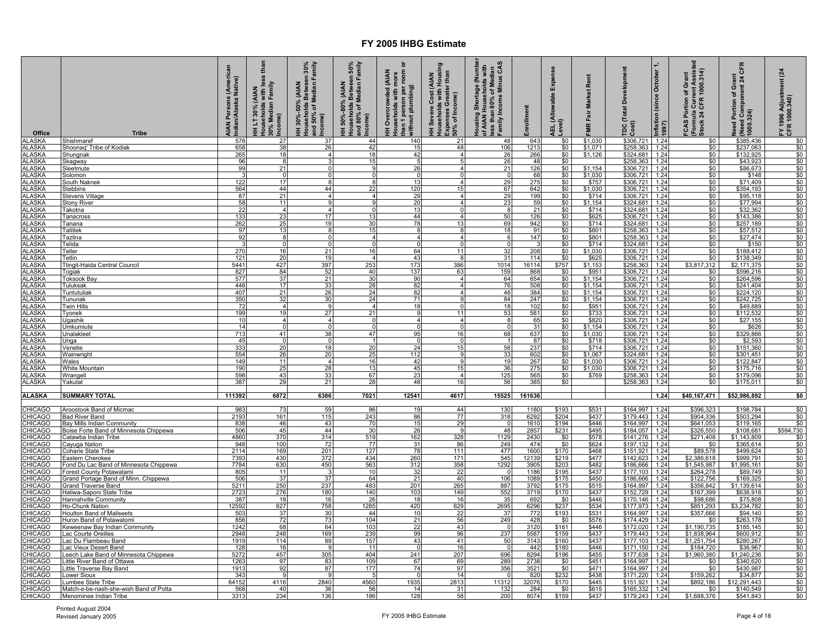| Office                         | <b>Tribe</b>                                                       | AIAN Persons (American<br>Indian/Alaska Native) | tha<br>less<br>HH LT 30% (AIAN<br>Households with les:<br>30% Median Family<br>, Income) | HH 30%-50% (AIAN<br>Households Between 30%<br>and 50% of Median Family<br>ncome) | Households Between 50%<br>and 80% of Median Family<br>Income)<br>(AIAN<br>HH 50%-80% | ō<br>HH Overcrowded (AIAN<br>Households with more<br>than 1 person per room o<br>than 1 person per<br>without plumbing) | HH Severe Cost (AIAN<br>Households with Housing<br>Expenses Greater than<br>, 50% of Income) | Housing Shortage (Number<br>of AIAN Households with<br>less than 80% of Median<br>Family Income Minus CAS | nrollment         | Expense<br>AEL (Allowable E<br>Level) | Rent<br><b>Market</b><br>Fair<br><b>FMR</b> | <b>Total Development</b><br>Cost)<br>рc                              | October<br>(since<br>Inflation (<br>1997) | (Formula Current Assist<br>Stock 24 CFR 1000.314)<br>FCAS Portion of Grant | CFR<br>Need Portion of Grant<br>  (Need Component 24 Cl<br>  1000.324) | (24)<br>FY 1996 Adjustment<br>CFR 1000.340) |
|--------------------------------|--------------------------------------------------------------------|-------------------------------------------------|------------------------------------------------------------------------------------------|----------------------------------------------------------------------------------|--------------------------------------------------------------------------------------|-------------------------------------------------------------------------------------------------------------------------|----------------------------------------------------------------------------------------------|-----------------------------------------------------------------------------------------------------------|-------------------|---------------------------------------|---------------------------------------------|----------------------------------------------------------------------|-------------------------------------------|----------------------------------------------------------------------------|------------------------------------------------------------------------|---------------------------------------------|
| <b>ALASKA</b><br><b>ALASKA</b> | Shishmaref<br>Shoonag' Tribe of Kodiak                             | 578<br>658                                      | 27<br>38                                                                                 | 37<br>26                                                                         | 44<br>42                                                                             | 140<br>15                                                                                                               | 21<br>48                                                                                     | 48<br>106                                                                                                 | 643<br>1213       | \$0<br>\$0                            | \$1,030<br>\$1,071                          | \$306,721<br>\$258,363                                               | 1.24<br>1.24                              | \$0<br>\$0                                                                 | \$385,436<br>\$237,063                                                 | $\frac{$80}{$0}{$0}{$0 $$                   |
| ALASKA                         | Shungnak                                                           | 265                                             | 18                                                                                       |                                                                                  | 18                                                                                   | 42                                                                                                                      |                                                                                              | 26                                                                                                        | 266               | \$0                                   | \$1,126                                     | \$324,681                                                            | 1.24                                      | \$0                                                                        | \$132,925                                                              |                                             |
| <b>ALASKA</b>                  | Skagway                                                            | 96                                              | 8                                                                                        |                                                                                  | 15                                                                                   | 5                                                                                                                       |                                                                                              | $\frac{26}{21}$                                                                                           | 48                | $\frac{$0}{$0}$                       |                                             | \$258,363<br>\$306,721                                               | $\frac{1.24}{1.24}$                       | $\frac{$0}{$0}$                                                            | \$43,923                                                               |                                             |
| <b>ALASKA</b>                  | Sleetmute                                                          | 99                                              | 21                                                                                       | $\Omega$                                                                         |                                                                                      | 26                                                                                                                      |                                                                                              |                                                                                                           | 126               |                                       | \$1,154                                     |                                                                      |                                           |                                                                            | \$86,673                                                               |                                             |
| <b>ALASKA</b><br><b>ALASKA</b> | Solomon<br>South Nakne                                             | 122                                             | $\Omega$<br>17                                                                           | $\Omega$<br>8                                                                    |                                                                                      | $\Omega$<br>13                                                                                                          |                                                                                              | $\sqrt{ }$<br>29                                                                                          | 68<br>275         | \$0<br>\$0                            | \$1,030<br>\$757                            | \$306,721<br>\$306,721                                               | 1.24<br>1.24                              | \$0<br>\$0                                                                 | \$148<br>\$71,409                                                      | \$0<br>\$0                                  |
| <b>ALASKA</b>                  | <b>Stebbins</b>                                                    | 564                                             | 44                                                                                       | 44                                                                               | 22                                                                                   | 120                                                                                                                     | 15                                                                                           | 67                                                                                                        | 642               | \$0                                   | \$1,030                                     | \$306,721                                                            | 1.24                                      | \$0                                                                        | \$354,193                                                              | \$0                                         |
| <b>ALASKA</b>                  | Stevens Village                                                    | 87                                              | 21                                                                                       | $\Delta$                                                                         |                                                                                      | 29                                                                                                                      | $\Delta$                                                                                     | 29                                                                                                        | 199               | \$0                                   | \$714                                       | \$306,721                                                            | 1.24                                      | \$0                                                                        | \$95,118                                                               | \$0                                         |
| <b>ALASKA</b>                  | <b>Stony River</b>                                                 | 58                                              | 11                                                                                       | 9                                                                                |                                                                                      | 20                                                                                                                      | $\Delta$                                                                                     | 23                                                                                                        | 59                | \$0                                   | \$1,154                                     | \$324,681                                                            | 1.24                                      | \$0                                                                        | \$77,994                                                               | \$0                                         |
| <b>ALASKA</b>                  | Takotna                                                            | 22                                              | $\overline{4}$                                                                           | $\overline{4}$<br>17                                                             | 13                                                                                   | 13                                                                                                                      | $\Omega$<br>4                                                                                | -8                                                                                                        | 21                | \$0                                   | \$714                                       | \$324,681                                                            | 1.24                                      | \$0                                                                        | \$32,362                                                               | \$0                                         |
| <b>ALASKA</b><br><b>ALASKA</b> | Tanacros:<br>Tanana                                                | 133<br>262                                      | 23<br>25                                                                                 | 19                                                                               | 30                                                                                   | 44<br>78                                                                                                                | 13                                                                                           | 50<br>69                                                                                                  | 126<br>942        | \$0<br>\$0                            | \$625<br>\$714                              | \$306,721<br>\$324,681                                               | 1.24<br>1.24                              | \$0<br>\$0                                                                 | \$143,386<br>\$257,189                                                 | \$0<br>\$0                                  |
| <b>ALASKA</b>                  | Tatitlek                                                           | 97                                              | 13                                                                                       |                                                                                  | 15                                                                                   | 8                                                                                                                       | 8                                                                                            | 18                                                                                                        | 91                |                                       | \$801                                       | <u>\$258,363</u>                                                     | 1.24                                      |                                                                            | \$57,512                                                               |                                             |
| <b>ALASKA</b>                  | Tazlina                                                            | $\frac{1}{92}$                                  | 8                                                                                        | $\Omega$                                                                         | $\boldsymbol{\Lambda}$                                                               | $\overline{4}$                                                                                                          | $\overline{4}$                                                                               | - 6                                                                                                       | 147               | $\frac{$0}{$0}$                       | \$801                                       | \$258,363<br>\$324,681                                               | 1.24                                      | $\frac{$0}{$0}$                                                            | \$27,474                                                               | $$0$<br>$$0$                                |
| <b>ALASKA</b>                  | Telida                                                             | $\mathbf{B}$                                    | $\mathbf 0$<br>16                                                                        | $\Omega$                                                                         | $\cap$                                                                               | $\overline{0}$                                                                                                          | $\Omega$                                                                                     | $\Omega$                                                                                                  | ູ                 | \$0                                   | \$714                                       |                                                                      | 1.24                                      | \$0                                                                        | \$150                                                                  | $\frac{$0}{$0}$                             |
| <b>ALASKA</b><br><b>ALASKA</b> | Teller<br>Tetlin                                                   | 270<br>121                                      | 20                                                                                       | 21<br>19                                                                         | 16                                                                                   | 64<br>43                                                                                                                | 11<br>$\mathsf{R}$                                                                           | 32<br>31                                                                                                  | 208<br>114        | \$0<br>\$0                            | \$1,030<br>\$625                            | \$306,721<br>\$306,721                                               | 1.24<br>1.24                              | \$0<br>\$0                                                                 | \$188,412<br>\$138,349                                                 | \$0                                         |
| <b>ALASKA</b>                  | Tlingit-Haida Central Council                                      | 5441                                            | 427                                                                                      | 397                                                                              | 253                                                                                  | 173                                                                                                                     | 386                                                                                          | 1014                                                                                                      | 16114             | \$757                                 | \$1,153                                     | \$258,363                                                            | 1.24                                      | \$3,817,312                                                                | \$2.171.375                                                            | \$0                                         |
| <b>ALASKA</b>                  | Togiak                                                             | 827                                             | 84                                                                                       | 52                                                                               | 40                                                                                   | 137                                                                                                                     | 63                                                                                           | 159                                                                                                       | 868               | \$0                                   | \$951                                       | \$306,721                                                            | 1.24                                      | \$0                                                                        | \$596,216                                                              | \$0                                         |
| <b>ALASKA</b>                  | <b>Toksook Bay</b>                                                 | 577                                             | 37                                                                                       | 21                                                                               | 30                                                                                   | 90                                                                                                                      | $\overline{4}$                                                                               | 64                                                                                                        | 654               | \$0                                   | \$1,154                                     | \$306,721                                                            | 1.24                                      | \$0                                                                        | \$264,596                                                              | \$0                                         |
| <b>ALASKA</b><br><b>ALASKA</b> | Tuluksak<br>Tuntutuliak                                            | 448<br>407                                      | 17<br>21                                                                                 | 33<br>26                                                                         | 28<br>24                                                                             | 82<br>82                                                                                                                | $\overline{4}$<br>$\overline{4}$                                                             | 76<br>46                                                                                                  | 508<br>384        | \$0<br>\$0                            | \$1,154<br>\$1,154                          | \$306,721<br>\$306,721                                               | 1.24<br>1.24                              | \$0<br>\$0                                                                 | \$241,404<br>\$224,120                                                 | \$0<br>\$0                                  |
| <b>ALASKA</b>                  | <u>Tununak</u>                                                     | 350                                             | 32                                                                                       | 30                                                                               | 24                                                                                   | 71                                                                                                                      |                                                                                              | 84                                                                                                        |                   |                                       | \$1,154                                     |                                                                      |                                           |                                                                            | \$242,725                                                              |                                             |
| <b>ALASKA</b>                  | Twin Hills                                                         | 72                                              | $\overline{4}$                                                                           |                                                                                  |                                                                                      | 18                                                                                                                      | $\Omega$                                                                                     | 18                                                                                                        | $\frac{247}{102}$ | $\frac{$0}{$0}$                       |                                             |                                                                      |                                           | $\frac{$0}{$0}$                                                            | \$49,889                                                               | $\frac{$0}{$0}{$0}$                         |
| <b>ALASKA</b>                  | Tyonek                                                             | 199                                             | 19                                                                                       | 27                                                                               | 21                                                                                   | 9                                                                                                                       | 11                                                                                           | 53                                                                                                        | 581               | \$0                                   | $\frac{$951}{$733}$ \$820                   | \$306,721 1.24<br>\$306,721 1.24<br>\$306,721 1.24<br>\$306,721 1.24 |                                           | \$0                                                                        | $\frac{$112,532}{$27,155}$                                             |                                             |
| <b>ALASKA</b><br><b>ALASKA</b> | Ugashik                                                            | 10<br>14                                        | $\overline{4}$<br>$\Omega$                                                               | $\overline{a}$                                                                   | $\Omega$                                                                             | $\overline{4}$<br>$\overline{0}$                                                                                        | $\overline{a}$                                                                               | -8                                                                                                        | 65<br>31          | \$0<br>\$0                            | \$1,154                                     | \$306,721                                                            | 1.24                                      | \$0<br>\$0                                                                 | \$626                                                                  | \$0<br>\$0                                  |
| <b>ALASKA</b>                  | Umkumiute<br><b>Jnalaklee</b>                                      | 713                                             | 41                                                                                       | 38                                                                               | 47                                                                                   | 95                                                                                                                      | 16                                                                                           | 68                                                                                                        | 637               | \$0                                   | \$1.030                                     | \$306,721                                                            | 1.24                                      | \$0                                                                        | \$329,866                                                              | \$0                                         |
| <b>ALASKA</b>                  | Unga                                                               | 45                                              | $\Omega$                                                                                 |                                                                                  |                                                                                      | $\Omega$                                                                                                                | $\Omega$                                                                                     |                                                                                                           | 87                | \$0                                   | \$718                                       | \$306,721                                                            | 1.24                                      | \$0                                                                        | \$2,593                                                                | \$0                                         |
| <b>ALASKA</b>                  | Venetie                                                            | 333                                             | 20                                                                                       | 18                                                                               | 20                                                                                   | 24                                                                                                                      | 15                                                                                           | 58                                                                                                        | 237               | \$0                                   | \$714                                       | \$306,721                                                            | 1.24                                      | \$0                                                                        | \$151,360                                                              | \$0                                         |
| <b>ALASKA</b>                  | Wainwright                                                         | 554<br>149                                      | 26<br>11                                                                                 | 20                                                                               | 25                                                                                   | 112                                                                                                                     | q                                                                                            | 33                                                                                                        | 602               | \$0                                   | \$1,067                                     | \$324,681                                                            | 1.24                                      | \$0                                                                        | \$301,451                                                              | \$0                                         |
| <b>ALASKA</b><br><b>ALASKA</b> | Wales<br>White Mountain                                            | 190                                             | 25                                                                                       | $\overline{4}$<br>28                                                             | 16<br>13                                                                             | 42<br>45                                                                                                                | 15                                                                                           | 19<br>36                                                                                                  | 267<br>275        | \$0<br>\$0                            | \$1,030<br>\$1,030                          | \$306,721<br>\$306,721                                               | 1.24<br>1.24                              | \$0<br>\$0                                                                 | \$122,847<br>\$175,716                                                 | \$0<br>\$0                                  |
| <b>ALASKA</b>                  | Wrangell                                                           | 598                                             | 43                                                                                       | 33                                                                               | 67                                                                                   | 23                                                                                                                      | $\overline{4}$                                                                               | 125                                                                                                       | 565               | \$0                                   | \$769                                       | \$258,363                                                            | 1.24                                      | \$0                                                                        | \$179,096                                                              | \$0                                         |
| <b>ALASKA</b>                  | Yakutat                                                            | 387                                             | 29                                                                                       | 21                                                                               | 28                                                                                   | 48                                                                                                                      | 16                                                                                           | 56                                                                                                        | 385               | \$0                                   |                                             | \$258,363                                                            | 1.24                                      | \$0                                                                        | \$175,011                                                              | \$0                                         |
|                                |                                                                    | 111392                                          | 6872                                                                                     | 6386                                                                             | 7021                                                                                 | 12541                                                                                                                   | 4617                                                                                         | 15525                                                                                                     | 161636            |                                       |                                             |                                                                      | 1.24                                      | \$40,167,471                                                               | \$52,986,892                                                           | \$0                                         |
| <b>ALASKA</b>                  | <b>SUMMARY TOTAL</b>                                               |                                                 |                                                                                          |                                                                                  |                                                                                      |                                                                                                                         |                                                                                              |                                                                                                           |                   |                                       |                                             |                                                                      |                                           |                                                                            |                                                                        |                                             |
| <b>CHICAGO</b>                 | Aroostook Band of Micmac                                           | 983                                             | 73                                                                                       | 59                                                                               | 86                                                                                   | 19                                                                                                                      | 44                                                                                           | 130                                                                                                       | 1180              | \$193                                 | \$531                                       | \$164,997                                                            | 1.24                                      | \$396,323                                                                  | \$198,784                                                              |                                             |
| CHICAGO                        | <b>Bad River Band</b>                                              | 2193                                            | 161                                                                                      | 115                                                                              | 243                                                                                  | 86                                                                                                                      | 77                                                                                           | 318                                                                                                       | 6292              | \$204                                 | $$437$<br>$$446$                            | \$179.443                                                            | 1.24                                      | \$904.336                                                                  | \$503.294                                                              | $\frac{$0}{$0}{$0}{$0 $$                    |
| CHICAGO<br><b>CHICAGO</b>      | Bay Mills Indian Community                                         | 838<br>506                                      | 46<br>45                                                                                 | 43<br>44                                                                         | 70<br>30                                                                             | 15<br>26                                                                                                                | 29<br>-9                                                                                     | 48                                                                                                        | 1610<br>2857      | \$194<br>\$231                        | \$495                                       | \$164,997<br>\$184,057                                               | 1.24                                      | \$641,053<br>\$326,550                                                     | \$119,165<br>\$108,681                                                 | \$594,730                                   |
| <b>CHICAGO</b>                 | Boise Forte Band of Minnesota Chippewa<br>Catawba Indian Tribe     | 4860                                            | 370                                                                                      | 314                                                                              | 519                                                                                  | 162                                                                                                                     | 328                                                                                          | 1129                                                                                                      | 2430              | \$0                                   | \$578                                       | \$141,276                                                            | 1.24<br>1.24                              | \$271,408                                                                  | $\overline{$}1,143,809$                                                | \$0                                         |
| CHICAGO                        | Cayuga Nation                                                      | 948                                             | 100                                                                                      | 72                                                                               | 77                                                                                   | 31                                                                                                                      | 86                                                                                           | 249                                                                                                       | 474               | \$0                                   | \$624                                       | \$197,132                                                            | 1.24                                      | \$0                                                                        | \$365,614                                                              | \$0                                         |
| CHICAGO                        | Coharie State Tribe                                                | 2114                                            | 169                                                                                      | 201                                                                              | 127                                                                                  | 78                                                                                                                      | 111                                                                                          | 477                                                                                                       | 1600              | \$170                                 | \$468                                       | \$151,921                                                            | 1.24                                      | \$89,578                                                                   | \$499,624                                                              | $$0$<br>$$0$<br>$$0$<br>$$0$                |
| CHICAGO<br>CHICAGO             | Eastern Cherokee                                                   | 7393<br>7784                                    | 430<br>630                                                                               | 372<br>450                                                                       | 434<br>563                                                                           | 260<br>312                                                                                                              | 171<br>358                                                                                   | 545<br>1292                                                                                               | 12139<br>3905     | \$219<br>\$203                        | \$477<br>\$482                              | \$142,623<br>\$186,666                                               | 1.24<br>1.24                              | \$2,386,618<br>\$1,545,987                                                 | \$999,791<br>\$1,995,161                                               |                                             |
| <b>CHICAGO</b>                 | Fond Du Lac Band of Minnesota Chippewa<br>Forest County Potawatami | 805                                             | 11                                                                                       |                                                                                  | 10                                                                                   | 32                                                                                                                      | 22                                                                                           |                                                                                                           | 1186              | \$195                                 | \$437                                       | \$177,103                                                            | 1.24                                      | \$264,278                                                                  | \$89,749                                                               | \$0                                         |
| CHICAGO                        | Grand Portage Band of Minn. Chippewa                               | 506                                             | 37                                                                                       | 37                                                                               | 64                                                                                   | 21                                                                                                                      | 40                                                                                           | 106                                                                                                       | 1089              | \$175                                 | \$450                                       | \$186,666                                                            | 1.24                                      | \$122,756                                                                  | \$169,325                                                              | \$0                                         |
| <b>HICAGO</b>                  | <b>Grand Traverse Band</b>                                         | 5211                                            | 250                                                                                      | 237                                                                              | 483                                                                                  | 201                                                                                                                     | 265                                                                                          | 887                                                                                                       | 3792              | \$175                                 | \$515                                       | \$164,997                                                            | 1.24                                      | \$356,842                                                                  | \$1,139,614                                                            | \$0                                         |
| <b>CHICAGO</b>                 | Haliwa-Saponi State Tribe                                          | 2723                                            | 276                                                                                      | 180<br>16                                                                        | 140                                                                                  | 103<br>18                                                                                                               | 149<br>16                                                                                    | 552<br>35                                                                                                 | 3719              | \$170                                 | \$437<br>\$446                              | \$152,729                                                            | 1.24<br>1.24                              | \$167,399                                                                  | \$638,918                                                              | \$0<br>\$0                                  |
| CHICAGO<br><u>CHICAGO</u>      | Hannahville Community<br>Ho-Chunk Nation                           | 387<br>12592                                    | 18<br>827                                                                                | 758                                                                              | 26<br>1285                                                                           | 420                                                                                                                     | 629                                                                                          | 2695                                                                                                      | 692<br>6296       | \$0<br>\$237                          | \$534                                       | \$170,146<br>\$177,973                                               | 1.24                                      | \$98,686<br>\$851,293                                                      | \$75,808<br>\$3,234,782                                                | \$0                                         |
| <b>HICAGO</b>                  | <b>Houlton Band of Maliseets</b>                                   | 503                                             | 37                                                                                       | 30                                                                               | 44                                                                                   | 10                                                                                                                      | 22                                                                                           | 37                                                                                                        | 772               | \$193                                 | \$531                                       | \$164,997                                                            | 1.24                                      | \$357,666                                                                  | \$94,140                                                               | \$0                                         |
| CHICAGO                        | luron Band of Potawatomi                                           | 856                                             | 72                                                                                       | 73                                                                               | 104                                                                                  | 21                                                                                                                      | 56                                                                                           | 249                                                                                                       | 428               | \$0                                   | \$576                                       | \$174,429                                                            | 1.24                                      | \$0                                                                        | \$263,178                                                              | \$0                                         |
| CHICAGO                        | Keweenaw Bay Indian Community                                      | 1242                                            | 68                                                                                       | 64                                                                               | 103                                                                                  | 22                                                                                                                      | 43                                                                                           |                                                                                                           | 3120              | \$161                                 | \$446                                       | \$172,020                                                            | 1.24                                      | \$1,190,735                                                                | \$185,145                                                              | $\frac{$0}{$0}{$0 $}$                       |
| CHICAGO<br><b>CHICAGO</b>      | ac Courte Oreilles<br><u>ac Du Flambeau Band</u>                   | 2948<br>1919                                    | 248<br>114                                                                               | 169<br>89                                                                        | 239<br>157                                                                           | 99<br>43                                                                                                                | 96<br>41                                                                                     | 237<br>50                                                                                                 | 5587<br>3143      | \$159<br>\$160                        | \$437<br>\$437                              | \$179,443<br>\$177,103                                               | 1.24<br>1.24                              | \$1,838,964<br>\$1,251,754                                                 | \$600,912<br>\$280,267                                                 |                                             |
| CHICAGO                        | ac Vieux Desert Band                                               | 128                                             | 16                                                                                       | Q                                                                                | 11                                                                                   | $\Omega$                                                                                                                | 16                                                                                           |                                                                                                           | 442               | \$180                                 | \$446                                       | \$171,150                                                            | 1.24                                      | \$184,720                                                                  | \$36,967                                                               | \$0                                         |
| CHICAGO                        | eech Lake Band of Minnesota Chippewa                               | 5272                                            | 457                                                                                      | 305                                                                              | 404                                                                                  | 241                                                                                                                     | 207                                                                                          | 696                                                                                                       | 8294              | \$196                                 | \$455                                       | \$177,638                                                            | 1.24                                      | \$1,960,380                                                                | \$1,240,236                                                            | \$0                                         |
| CHICAGO                        | ittle River Band of Ottawa                                         | 1263                                            | 97                                                                                       | 83                                                                               | 109                                                                                  | 67                                                                                                                      | 69                                                                                           | 289                                                                                                       | 2738              | \$0                                   | \$451                                       | \$164,997                                                            | 1.24                                      | \$0                                                                        | \$340,620                                                              | \$0                                         |
| CHICAGO<br>CHICAGO             | ittle Traverse Bay Band<br>ower Sioux.                             | 1913<br>343                                     | 92<br><b>Q</b>                                                                           | 87<br>-9                                                                         | 177                                                                                  | 74                                                                                                                      | 97<br>14                                                                                     | 356                                                                                                       | 3521<br>820       | \$0<br>\$232                          | \$471<br>\$438                              | \$164,997<br>\$171.220                                               | 1.24<br>1.24                              | \$0<br>\$159,262                                                           | \$430,987<br>\$34,877                                                  | \$0<br>\$0                                  |
| CHICAGO                        | umbee State Tribe                                                  | 64152                                           | 4116                                                                                     | 2840                                                                             | 4560                                                                                 | 1935                                                                                                                    | 2813                                                                                         | 11312                                                                                                     | 32076             | \$170                                 | \$445                                       | \$151,921                                                            | 1.24                                      | \$892,186                                                                  | \$12,291,443                                                           | \$0                                         |
| <b>CHICAGO</b>                 | Match-e-be-nash-she-wish Band of Potta                             | 568                                             | 40                                                                                       | 36                                                                               | 56                                                                                   | 14                                                                                                                      | 31                                                                                           | 132                                                                                                       | 284               | \$0                                   | \$615                                       | \$165,332                                                            | 1.24                                      | \$0                                                                        | \$140,549                                                              | \$0                                         |
| <b>CHICAGO</b>                 | Menominee Indian Tribe                                             | 331                                             | 234                                                                                      | 136                                                                              | 186                                                                                  | 128                                                                                                                     | 58                                                                                           | 200                                                                                                       | 8074              | \$159                                 | \$437                                       | \$179,243                                                            | 1.24                                      | \$1,688,376                                                                | \$541,843                                                              | \$0                                         |

Printed August 2004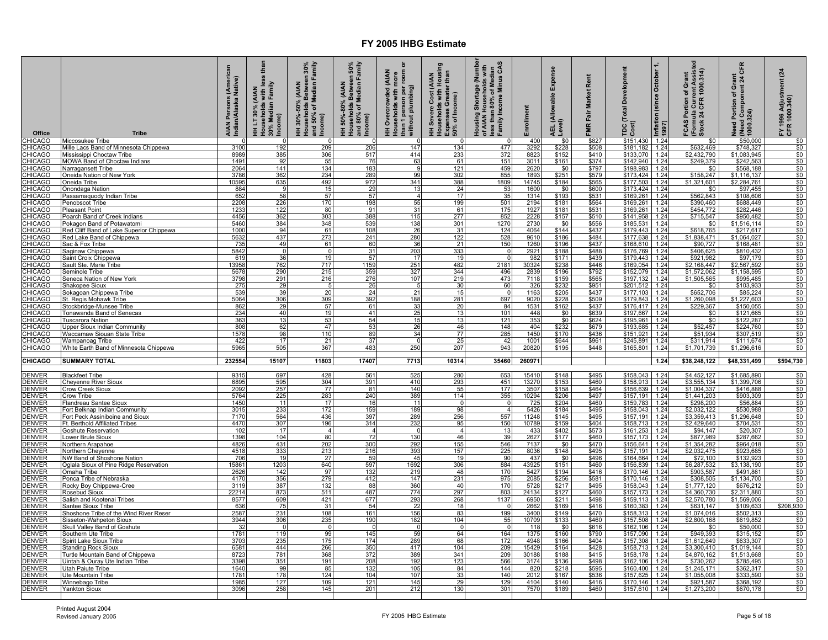| Office                         | <b>Tribe</b>                                                       | (America<br>Native)<br>Persons<br>AIAN Persons<br>Indian/Alaska l | tha<br>Family<br>(AIAN<br>s with I<br>30% Median F<br>Income)<br>HHLT30% (A<br>-<br>-<br>E | en 30%<br>Family<br>olds Between:<br>of Median Far<br>(AIAN<br>HH 30%-50% (<br>Households B<br>and 50% of Mt<br><b>come</b> ) | en 50%<br>Family<br>Households Between 5<br>and 80% of Median Fan<br>Income)<br>(AIAN<br>50%-80%<br>Ŧ | ō<br>person per room<br><b>AIAN</b><br>more<br>HH Overcrowded (A<br>Households with mo<br>than 1 person per ro<br>without plumbing) | HH Severe Cost (AIAN<br>Households with Housing<br>Expenses Greater than<br>50% of Income) | of Median<br>Minus CAS<br>Housing Shortage (Numbe<br>of AIAN Households with<br>less than 80% of Median<br>Income<br>amily | nrollment      | Expense<br>AEL (Allowable I<br>Level) | Rent<br>rket<br>g<br>Fair<br>ΜŔ | elopment<br>δ<br>Total<br>Cost)<br>ă | Inflation (since October<br>1997) | FCAS Portion of Grant<br>(Formula Current Assisted<br>Stock 24 CFR 1000.314) | CFR<br>Need Portion of Grant<br>  (Need Component 24 Cl<br>  1000.324) | $\overline{a}$<br>FY 1996 Adjustme<br>CFR 1000.340) |
|--------------------------------|--------------------------------------------------------------------|-------------------------------------------------------------------|--------------------------------------------------------------------------------------------|-------------------------------------------------------------------------------------------------------------------------------|-------------------------------------------------------------------------------------------------------|-------------------------------------------------------------------------------------------------------------------------------------|--------------------------------------------------------------------------------------------|----------------------------------------------------------------------------------------------------------------------------|----------------|---------------------------------------|---------------------------------|--------------------------------------|-----------------------------------|------------------------------------------------------------------------------|------------------------------------------------------------------------|-----------------------------------------------------|
| <b>HICAGO</b>                  | Miccosukee Tribe                                                   |                                                                   |                                                                                            |                                                                                                                               |                                                                                                       | - 0<br>147                                                                                                                          |                                                                                            |                                                                                                                            | 400            | \$0                                   | \$827                           | \$151,430 1.24                       |                                   | \$0                                                                          | \$50,000                                                               | \$0                                                 |
| <b>HICAGO</b><br><b>HICAGO</b> | Mille Lacs Band of Minnesota Chippewa<br>Mississippi Choctaw Tribe | 3100<br>8989                                                      | 192<br>385                                                                                 | 209<br>306                                                                                                                    | 206<br>517                                                                                            | 414                                                                                                                                 | 134<br>233                                                                                 | 477<br>372                                                                                                                 | 3292<br>8823   | \$228<br>\$152                        | \$508<br>\$410                  | \$181,182<br>\$133,070               | 1.24<br>1.24                      | \$632,469<br>\$2,432,790                                                     | \$748,327<br>\$1,083,945                                               | \$0<br>\$0                                          |
| <b>HICAGO</b>                  | <b>MOWA Band of Choctaw Indians</b>                                | 1491                                                              | 92                                                                                         |                                                                                                                               | 76                                                                                                    | 63                                                                                                                                  | 61                                                                                         | 151                                                                                                                        | 3011           | \$161                                 | \$374                           | \$142,940 1.24                       |                                   | \$249,379                                                                    | \$242,563                                                              | \$0                                                 |
| <b>HICAGO</b>                  | <b>Narragansett Tribe</b>                                          | 2064                                                              | 141                                                                                        | $\frac{55}{134}$                                                                                                              | 183                                                                                                   | 9                                                                                                                                   | 121                                                                                        | 459                                                                                                                        | 2620           | \$0                                   | \$797                           | \$198,983 1.24                       |                                   | \$0                                                                          | \$568,188                                                              | \$0                                                 |
| <b>HICAGO</b>                  | Oneida Nation of New York                                          | 3786                                                              | 362<br>635                                                                                 | 234<br>492                                                                                                                    | 289<br>972                                                                                            | 99<br>341                                                                                                                           | 302<br>388                                                                                 | 855<br>1809                                                                                                                | 1893<br>14745  | $$251$<br>$$184$                      | \$579<br>\$565                  | \$173,424 1.24                       |                                   | \$158,247<br>\$1,321,601                                                     | \$1,116,137<br>\$2,284,761                                             | \$0                                                 |
| <b>HICAGO</b><br><b>HICAGO</b> | Oneida Tribe<br>Inondaga Nation                                    | 10595<br>884                                                      | <b>Q</b>                                                                                   | 15                                                                                                                            | 29                                                                                                    | 13                                                                                                                                  | 24                                                                                         | 53                                                                                                                         | 1600           | \$0                                   | \$600                           | \$177,503 1.24<br>\$173,424 1.24     |                                   | \$0                                                                          | \$97,455                                                               | \$0<br>\$0                                          |
| <b>HICAGO</b>                  | assamaquody Indian Tribe                                           | 652                                                               | 58                                                                                         | 57                                                                                                                            | 57                                                                                                    | $\overline{\mathbf{A}}$                                                                                                             | 17                                                                                         | 35                                                                                                                         | 1314           | \$193                                 | \$531                           | \$169,261 1.24                       |                                   | \$562,843                                                                    | \$108,606                                                              | \$0                                                 |
| <b>HICAGO</b>                  | enobscot Tribe                                                     | 2208                                                              | 226                                                                                        | 170                                                                                                                           | 198                                                                                                   | 55                                                                                                                                  | 199                                                                                        | 501                                                                                                                        | 2194           | \$181                                 | \$564                           | \$169.261 1.24                       |                                   | \$390,460                                                                    | \$688,449                                                              | \$0                                                 |
| <b>HICAGO</b>                  | Pleasant Point                                                     | 1233                                                              | 122                                                                                        | 80                                                                                                                            | 91                                                                                                    | 31<br>115                                                                                                                           | 61                                                                                         | 175                                                                                                                        | 1927           | \$181                                 | \$531                           | \$169,261 1.24                       |                                   | \$454,772                                                                    | \$282,446                                                              | \$0                                                 |
| <b>HICAGO</b><br><b>HICAGO</b> | Poarch Band of Creek Indians<br>Pokagon Band of Potawatomi         | 4456<br>5460                                                      | 362<br>384                                                                                 | 303<br>348                                                                                                                    | 388<br>539                                                                                            | 138                                                                                                                                 | 277<br>301                                                                                 | 852<br>1270                                                                                                                | 2228<br>2730   | \$157<br>\$0                          | \$510<br>\$556                  | \$141,958 1.24<br>\$185,531          | 1.24                              | \$715,547<br>\$0                                                             | \$950,482<br>\$1,516,114                                               | \$0<br>\$0                                          |
| <b>HICAGO</b>                  | <u>Red Cliff Band of Lake Superior Chippewa</u>                    | 1000                                                              | 94                                                                                         | 61                                                                                                                            | 108                                                                                                   | 26                                                                                                                                  | 31                                                                                         | 124                                                                                                                        | 4064           | \$144                                 | \$437                           | \$179,443                            | 1.24                              | \$618,765                                                                    | \$217,617                                                              | \$0                                                 |
| <b>HICAGO</b>                  | Red Lake Band of Chippewa                                          | 5632                                                              | 437                                                                                        | 273                                                                                                                           | 241                                                                                                   | 280                                                                                                                                 | 122                                                                                        | 528                                                                                                                        | 9610           | \$186                                 | \$484                           | \$177,638                            | 1.24                              | \$1,838,471                                                                  | \$1,064,027                                                            | \$0                                                 |
| <b>HICAGO</b>                  | Sac & Fox Tribe                                                    | 735                                                               | 49                                                                                         | 61                                                                                                                            | 60                                                                                                    | 36                                                                                                                                  | 21                                                                                         | 150                                                                                                                        | 1260           | \$196                                 | \$437                           | \$168,610                            | 1.24                              | \$90,727                                                                     | \$168,481                                                              | \$0                                                 |
| <b>HICAGO</b><br><b>HICAGO</b> | aginaw Chippewa<br>Saint Croix Chippewa                            | 5842<br>619                                                       | 0<br>36                                                                                    | 0<br>19                                                                                                                       | 31<br>57                                                                                              | 203<br>17                                                                                                                           | 333<br>19                                                                                  | $\Omega$<br>$\Omega$                                                                                                       | 2921<br>982    | \$188<br>\$171                        | \$488<br>\$439                  | \$176,769<br>\$179.443               | 1.24<br>1.24                      | \$406,625<br>\$921.982                                                       | \$810,432<br>\$97,179                                                  | \$0<br>\$0                                          |
| <b>HICAGO</b>                  | Sault Ste. Marie Tribe                                             | 13958                                                             | 762                                                                                        | 717                                                                                                                           | 1159                                                                                                  | 251                                                                                                                                 | 482                                                                                        | 2181                                                                                                                       | 30324          | \$238                                 | \$446                           | \$169,054                            | 1.24                              | \$2,168,447                                                                  | \$2,567,592                                                            | \$0                                                 |
| <b>HICAGO</b>                  | Seminole Tribe                                                     | 5678                                                              | 290                                                                                        | 215                                                                                                                           | 359                                                                                                   | 327                                                                                                                                 | 344                                                                                        | 496                                                                                                                        | 2839           | \$196                                 | \$792                           | \$152,079                            | 1.24                              | \$1,572,062                                                                  | \$1,158,595                                                            | \$0                                                 |
| <b>HICAGO</b>                  | Seneca Nation of New York                                          | 3798                                                              | 291                                                                                        | 216                                                                                                                           | 276                                                                                                   | 107                                                                                                                                 | 219<br>30                                                                                  | 473                                                                                                                        | 7118           | \$159                                 | \$565                           | \$197.132                            | 1.24                              | \$1,505,565                                                                  | \$995.485                                                              | \$0                                                 |
| <b>HICAGO</b><br><b>HICAGO</b> | Shakopee Sioux<br>Sokagoan Chippewa Tribe                          | 275<br>539                                                        | 29<br>39                                                                                   | 20                                                                                                                            | 26<br>24                                                                                              | 21                                                                                                                                  | 15                                                                                         | 60                                                                                                                         | 326<br>1163    | \$232<br>\$205                        | \$951<br>\$437                  | \$201.512<br>$\overline{$177,103}$   | 1.24<br>1.24                      | \$0<br>\$652,706                                                             | \$103.933<br>\$85,224                                                  | \$0<br>\$0                                          |
| <b>HICAGO</b>                  | St. Regis Mohawk Tribe                                             | 5064                                                              | 306                                                                                        | 309                                                                                                                           | 392                                                                                                   | 188                                                                                                                                 | 281                                                                                        | 697                                                                                                                        | 9020           | \$228                                 | \$509                           | \$179,843 1.24                       |                                   | \$1,260,098                                                                  | \$1,227,603                                                            | \$0                                                 |
| HICAGO                         | Stockbridge-Munsee Tribe                                           | 862                                                               | 29                                                                                         | 57                                                                                                                            | 61                                                                                                    | 33                                                                                                                                  | 20                                                                                         | 84                                                                                                                         | 1531           | \$162                                 | \$437                           | \$176,417 1.24                       |                                   | \$229,367                                                                    | \$150,055                                                              | \$0                                                 |
| <b>HICAGO</b>                  | <b>Fonawanda Band of Senecas</b>                                   | 234                                                               | 40                                                                                         | 19                                                                                                                            | 41                                                                                                    | 25<br>15                                                                                                                            | 13                                                                                         | 101                                                                                                                        | 448            | \$0                                   | \$639                           | \$197,667 1.24                       |                                   | \$0                                                                          | \$121,665                                                              | \$0                                                 |
| <b>HICAGO</b><br><b>HICAGO</b> | Tuscarora Nation<br><b>Jpper Sioux Indian Community</b>            | 363<br>808                                                        | 13<br>62                                                                                   | 53<br>47                                                                                                                      | 54<br>53                                                                                              | 26                                                                                                                                  | 13<br>46                                                                                   | 121<br>148                                                                                                                 | 353<br>404     | \$0<br>\$232                          | \$624<br>\$679                  | \$195,961 1.24<br>\$193,685          | 1.24                              | \$0<br>\$52,457                                                              | \$122,287<br>\$224,760                                                 | \$0<br>\$0                                          |
| HICAGO                         | <b>Waccamaw Siouan State Tribe</b>                                 | 1578                                                              | 98                                                                                         | 110                                                                                                                           | 89                                                                                                    | 34                                                                                                                                  | 77                                                                                         | 285                                                                                                                        | 1450           | \$170                                 | \$436                           | \$151,921 1.24                       |                                   | \$51,934                                                                     | \$307,519                                                              | \$0                                                 |
| HICAGO                         | Wampanoag Tribe                                                    | 422                                                               | 17                                                                                         | 21                                                                                                                            | 37                                                                                                    | $\Omega$                                                                                                                            | 25                                                                                         | 42                                                                                                                         | 1001           | \$644                                 | \$961                           | \$245,891 1.24                       |                                   | \$311,914                                                                    | \$111,674                                                              | \$0                                                 |
| <b>HICAGO</b>                  | White Earth Band of Minnesota Chippewa                             | 5965                                                              | 505                                                                                        | 367                                                                                                                           | 483                                                                                                   | 250                                                                                                                                 | 207                                                                                        | 943                                                                                                                        | 20820          | \$195                                 | \$448                           | \$165,801                            | 1.24                              | \$1,701,739                                                                  | \$1,296,616                                                            | \$0                                                 |
| <b>CHICAGO</b>                 | <b>SUMMARY TOTAL</b>                                               | 232554                                                            | 15107                                                                                      | 11803                                                                                                                         | 17407                                                                                                 | 7713                                                                                                                                | 10314                                                                                      | 35460                                                                                                                      | 260971         |                                       |                                 |                                      | 1.24                              | \$38,248,122                                                                 | \$48,331,499                                                           | \$594,730                                           |
|                                |                                                                    |                                                                   |                                                                                            |                                                                                                                               |                                                                                                       |                                                                                                                                     |                                                                                            |                                                                                                                            |                |                                       |                                 |                                      |                                   |                                                                              |                                                                        |                                                     |
| <b>DENVER</b>                  | <b>Blackfeet Tribe</b>                                             | 9315                                                              | 697                                                                                        | 428                                                                                                                           | 561                                                                                                   | 525                                                                                                                                 | 280                                                                                        | 653                                                                                                                        | 15410          | \$148                                 | \$495                           | \$158,043 1.24                       |                                   | \$4,452,127                                                                  | \$1,685,890                                                            | \$0                                                 |
| <b>DENVER</b><br>DENVER        | <b>Cheyenne River Sioux</b><br>Crow Creek Sioux                    | 6895<br>2092                                                      | 595<br>257                                                                                 | 304<br>77                                                                                                                     | 391<br>81                                                                                             | 410<br>140                                                                                                                          | 293<br>55                                                                                  | 451<br>177                                                                                                                 | 13270<br>3507  | \$153<br>\$158                        | \$460<br>\$464                  | \$158,913<br>\$156,639               | 1.24<br>1.24                      | \$3,555,134<br>\$1,004,337                                                   | \$1,399,706<br>\$416,888                                               | \$0<br>\$0                                          |
| DENVER                         | crow Tribe                                                         | 5764                                                              | 225                                                                                        | 283                                                                                                                           | 240                                                                                                   | 389                                                                                                                                 | 114                                                                                        | 355                                                                                                                        | 10294          | \$206                                 | \$497                           | \$157,191                            | 1.24                              | \$1,441,203                                                                  | \$903,309                                                              | \$0                                                 |
| <b>DENVER</b>                  | <b>Iandreau Santee Sioux</b>                                       | 1450                                                              | 11                                                                                         | 17                                                                                                                            | 16                                                                                                    | 11                                                                                                                                  |                                                                                            | - 0                                                                                                                        | 725            | \$204                                 | \$460                           | \$159,783                            | 1.24                              | \$298,200                                                                    | \$56,884                                                               | \$0                                                 |
| <b>ENVER</b>                   | Fort Belknap Indian Community                                      | 3015                                                              | 233                                                                                        | 172                                                                                                                           | 159                                                                                                   | 189                                                                                                                                 | 98                                                                                         | $\overline{a}$                                                                                                             | 5426           | \$184                                 | \$495                           | \$158.043                            | 1.24                              | \$2,032,122                                                                  | \$530,988                                                              | \$0                                                 |
| <b>DENVER</b><br>ENVER         | Fort Peck Assiniboine and Sioux<br>Ft. Berthold Affiliated Tribes  | 7170<br>4470                                                      | 564<br>307                                                                                 | 436<br>196                                                                                                                    | 397<br>314                                                                                            | 289<br>232                                                                                                                          | 256<br>95                                                                                  | 557<br>150                                                                                                                 | 11248<br>1078  | \$145<br>\$159                        | \$495<br>\$404                  | \$157.191<br>\$158,713               | 1.24<br>1.24                      | \$3.359.413<br>\$2,429,640                                                   | \$1.296.648<br>\$704,531                                               | \$0<br>\$0                                          |
| DENVER                         | Goshute Reservation                                                | 102                                                               | 17                                                                                         | $\overline{4}$                                                                                                                | $\overline{A}$                                                                                        | $\Omega$                                                                                                                            | $\overline{4}$                                                                             | 13                                                                                                                         | 433            | \$402                                 | \$573                           | \$161,253                            | 1.24                              | \$94,147                                                                     | \$20,307                                                               | \$0                                                 |
| <b>DENVER</b>                  | ower Brule Sioux.                                                  | 1398                                                              | 104                                                                                        | 80                                                                                                                            | 72                                                                                                    | 130                                                                                                                                 | 46                                                                                         | 39                                                                                                                         | 2627           | \$177                                 | \$460                           | \$157,173                            | 1.24                              | \$877,989                                                                    | \$287,662                                                              | \$0                                                 |
| <b>ENVER</b><br><b>ENVER</b>   | Northern Arapahoe<br>Northern Cheyenne                             | 4826<br>4518                                                      | 431<br>333                                                                                 | 202<br>213                                                                                                                    | 300<br>216                                                                                            | 292<br>393                                                                                                                          | 155<br>157                                                                                 | 546<br>225                                                                                                                 | 7137<br>8036   | \$0<br>\$148                          | \$470<br>\$495                  | \$156.641<br>\$157.191               | 1.24<br>1.24                      | \$1.354.282<br>\$2.032.475                                                   | \$964.018<br>\$923.685                                                 | \$0<br>\$0                                          |
| ENVER                          | NW Band of Shoshone Nation                                         | 706                                                               | 19                                                                                         | 27                                                                                                                            | 59                                                                                                    | 45                                                                                                                                  | 19                                                                                         | 90                                                                                                                         | 437            | \$0                                   | \$496                           | \$164,664                            | 1.24                              | \$72,100                                                                     | \$132,923                                                              | \$0                                                 |
| <b>DENVER</b>                  | Oglala Sioux of Pine Ridge Reservation                             | 15861                                                             | 1203                                                                                       | 640                                                                                                                           | 597                                                                                                   | 1692                                                                                                                                | 306                                                                                        | 884                                                                                                                        | 43925          | \$151                                 | \$460                           | \$156,839 1.24                       |                                   | \$6,287,532                                                                  | \$3,138,190                                                            | \$0                                                 |
| <b>DENVER</b>                  | Omaha Tribe                                                        | 2626                                                              | 142                                                                                        | 97                                                                                                                            | 132                                                                                                   | 219                                                                                                                                 | 48                                                                                         | 170                                                                                                                        | 5427           | \$194                                 | \$416                           | \$170,146 1.24                       |                                   | \$903,587                                                                    | \$491,861                                                              | \$0                                                 |
| <b>ENVER</b><br><b>DENVER</b>  | Ponca Tribe of Nebraska<br>Rocky Boy Chippewa-Cree                 | 4170<br>3119                                                      | 356<br>387                                                                                 | 279<br>132                                                                                                                    | 412<br>88                                                                                             | 147<br>360                                                                                                                          | 231<br>40                                                                                  | 975<br>170                                                                                                                 | 2085<br>5728   | \$256<br>\$217                        | \$581<br>\$495                  | \$170,146<br>\$158,043               | 1.24<br>1.24                      | \$308,505<br>\$1,777,120                                                     | \$1,134,700<br>\$676,212                                               | \$0<br>\$0                                          |
| <b>ENVER</b>                   | Rosebud Sioux                                                      | 22214                                                             | 873                                                                                        | 511                                                                                                                           | 487                                                                                                   | 774                                                                                                                                 | 297                                                                                        | 803                                                                                                                        | 24134          | \$127                                 | \$460                           | \$157.173                            | 1.24                              | \$4,360,730                                                                  | \$2.311.880                                                            | \$0                                                 |
| <b>ENVER</b>                   | Salish and Kootenai Tribes                                         | 8577                                                              | 609                                                                                        | 421                                                                                                                           | 677                                                                                                   | 293                                                                                                                                 | 268                                                                                        | 1137                                                                                                                       | 6950           | \$211                                 | \$498                           | \$159,113                            | 1.24                              | \$2,570,780                                                                  | \$1,569,006                                                            | \$0                                                 |
| <b>DENVER</b>                  | Santee Sioux Tribe                                                 | 636                                                               | 75                                                                                         | 31                                                                                                                            | 54                                                                                                    | 22                                                                                                                                  | 18                                                                                         |                                                                                                                            | 2662           | \$169                                 | \$416                           | \$160,383 1.24                       |                                   | \$631,147                                                                    | \$109,633                                                              | \$208,930                                           |
| DENVER<br>DENVER               | Shoshone Tribe of the Wind River Reser<br>Sisseton-Wahpeton Sioux  | 2587<br>3944                                                      | 231<br>306                                                                                 | 108<br>235                                                                                                                    | 161<br>190                                                                                            | 156<br>182                                                                                                                          | 83<br>104                                                                                  | 199<br>55                                                                                                                  | 3400<br>10709  | \$149<br>\$133                        | \$470<br>\$460                  | \$158,313 1.24<br>\$157,508 1.24     |                                   | \$1,074,016<br>\$2,800,168                                                   | \$502,313<br>\$619,852                                                 | \$0<br>\$0                                          |
| <b>ENVER</b>                   | <b>Skull Valley Band of Goshute</b>                                | 32                                                                |                                                                                            | - 0                                                                                                                           | - C                                                                                                   | $\Omega$                                                                                                                            |                                                                                            | - 0                                                                                                                        | 118            | \$0                                   | \$616                           | \$162,106                            | 1.24                              | \$0                                                                          | \$50,000                                                               | \$0                                                 |
| <b>ENVER</b>                   | Southern Ute Tribe                                                 | 1781                                                              | 119                                                                                        | 99                                                                                                                            | 145                                                                                                   | 59                                                                                                                                  | 64                                                                                         | 164                                                                                                                        | 1375           | \$160                                 | \$790                           | \$157.090                            | 1.24                              | \$949,393                                                                    | \$315,152                                                              | \$0                                                 |
| <b>DENVER</b>                  | Spirit Lake Sioux Tribe                                            | 3703                                                              | 235                                                                                        | 175                                                                                                                           | 174                                                                                                   | 289                                                                                                                                 | 68                                                                                         | 172                                                                                                                        | 4948           | \$166                                 | \$404                           | \$157.308                            | 1.24                              | \$1,612,649                                                                  | \$633,307                                                              | \$0                                                 |
| <b>DENVER</b><br>DENVER        | <b>Standing Rock Sioux</b><br>Turtle Mountain Band of Chippewa     | 6581<br>8723                                                      | 444<br>781                                                                                 | 266<br>368                                                                                                                    | 350<br>372                                                                                            | 417<br>389                                                                                                                          | 104<br>341                                                                                 | 209<br>209                                                                                                                 | 15429<br>30188 | \$164<br>\$188                        | \$428<br>\$415                  | \$158,713 1.24<br>\$158,178 1.24     |                                   | \$3,300,410<br>\$4,870,162                                                   | \$1,019,144<br>\$1,513,668                                             | \$0<br>\$0                                          |
| <b>ENVER</b>                   | Uintah & Ouray Ute Indian Tribe                                    | 3398                                                              | 351                                                                                        | 191 <sup>I</sup>                                                                                                              | 208                                                                                                   | 192                                                                                                                                 | 123                                                                                        | 566                                                                                                                        | 3174           | \$136                                 | \$498                           | \$162,106                            | 1.24                              | \$730,262                                                                    | \$785,495                                                              | \$0                                                 |
| <b>ENVER</b>                   | Jtah Paiute Tribe                                                  | 1640                                                              | 99                                                                                         | 85                                                                                                                            | 132                                                                                                   | 105                                                                                                                                 | 84                                                                                         | 144                                                                                                                        | 820            | \$218                                 | \$595                           | \$160,400                            | 1.24                              | \$1,245,171                                                                  | \$362,317                                                              | \$0                                                 |
| <b>ENVER</b><br>DENVER         | <b>Ite Mountain Tribe</b><br>Winnebago Tribe                       | 1781<br>1985                                                      | 178<br>127                                                                                 | 124<br>109                                                                                                                    | 104<br>121                                                                                            | 107<br>145                                                                                                                          | 33<br>29                                                                                   | 140<br>129                                                                                                                 | 2012<br>4104   | \$167<br>\$140                        | \$536<br>\$416                  | \$157,625<br>\$170,146               | 1.24<br>1.24                      | \$1,055,008<br>\$921,587                                                     | \$333,590<br>\$368,192                                                 | \$0<br>\$0                                          |
| <b>DENVER</b>                  | <b>Yankton Sioux</b>                                               | 3096                                                              | 258                                                                                        | 145                                                                                                                           | 201                                                                                                   | 212                                                                                                                                 | 130                                                                                        | 301                                                                                                                        | 7570           | \$189                                 | \$460                           | \$157,610                            | 1.24                              | \$1,273,200                                                                  | \$670,178                                                              | \$0                                                 |
|                                |                                                                    |                                                                   |                                                                                            |                                                                                                                               |                                                                                                       |                                                                                                                                     |                                                                                            |                                                                                                                            |                |                                       |                                 |                                      |                                   |                                                                              |                                                                        |                                                     |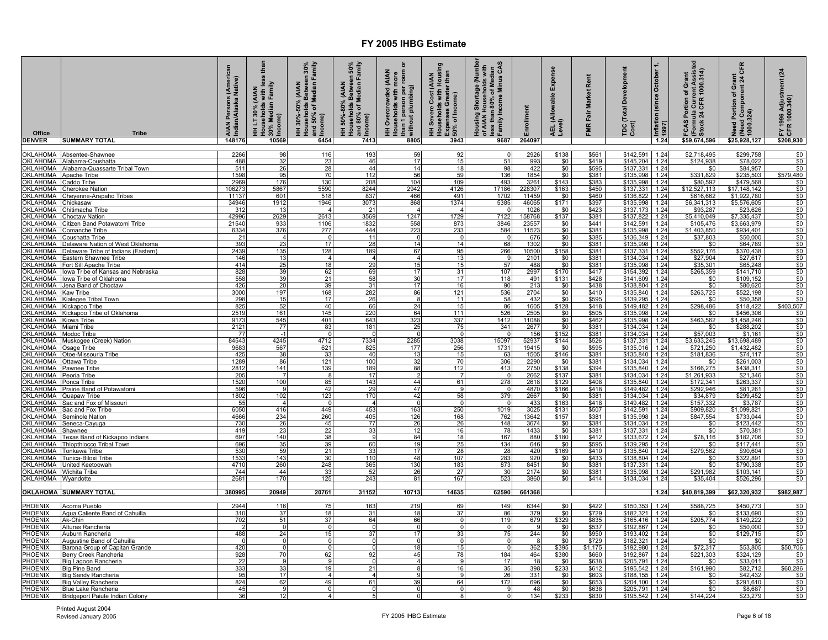| Office<br><b>DENVER</b> | <b>Tribe</b><br><b>SUMMARY TOTAL</b>                         | AIAN Persons (American<br>Indian/Alaska Native)<br>148176 | less tha<br>HH LT 30% (AIAN<br>Households with less<br>30% Median Family<br>}Income)<br>10569 | HH 30%-50% (AIAN<br>Households Between 30%<br>and 50% of Median Family<br>[Income]<br>6454 | Households Between 50%<br> and 80% of Median Family<br> <br> Income)<br>HH 50%-80% (AIAN<br>7413 | ō<br>HH Overcrowded (AIAN<br>Households with more<br>than 1 person per room or<br>swithout plumbing)<br>8805 | HH Severe Cost (AIAN<br>Households with Housing<br>Expenses Greater than<br>Soo% of Income)<br>3943 | Housing Shortage (Number<br>of AIAN Households with<br>less than 80% of Median<br>p Family Income Minus CAS | Enrollment<br>264097 | Expense<br>AEL (Allowable E<br>Level) | Rent<br><b>Market</b><br>FMR Fair | TDC (Total Development<br>Cost) | October<br>Inflation (since C<br>1997)<br>1.24 | (Formula Current Assist<br>Stock 24 CFR 1000.314)<br>Portion of Grant<br>FCAS I<br>\$59,674,596 | Need Portion of Grant<br>(Need Component 24 CFR<br>1000.324)<br>\$25,928,127 | FY 1996 Adjustment (24<br>CFR 1000.340)<br>\$208,930 |
|-------------------------|--------------------------------------------------------------|-----------------------------------------------------------|-----------------------------------------------------------------------------------------------|--------------------------------------------------------------------------------------------|--------------------------------------------------------------------------------------------------|--------------------------------------------------------------------------------------------------------------|-----------------------------------------------------------------------------------------------------|-------------------------------------------------------------------------------------------------------------|----------------------|---------------------------------------|-----------------------------------|---------------------------------|------------------------------------------------|-------------------------------------------------------------------------------------------------|------------------------------------------------------------------------------|------------------------------------------------------|
|                         |                                                              |                                                           |                                                                                               |                                                                                            |                                                                                                  |                                                                                                              |                                                                                                     | 9687                                                                                                        |                      |                                       |                                   |                                 |                                                |                                                                                                 |                                                                              |                                                      |
| OKLAHOMA                | Absentee-Shawnee                                             | 2266                                                      | 98                                                                                            | 116                                                                                        | 193                                                                                              | 59                                                                                                           | 92                                                                                                  | $\Omega$                                                                                                    | 2926                 | \$138                                 | \$561                             | \$142,591                       | 1.24                                           | \$2,718,495                                                                                     | \$299,758                                                                    | \$0                                                  |
| OKLAHOMA<br>OKLAHOMA    | Alabama-Coushatta<br>Alabama-Quassarte Tribal Town           | 488<br>511                                                | 32<br>26                                                                                      | 23<br>28                                                                                   | 46<br>44                                                                                         | 17<br>14                                                                                                     | 15<br>18                                                                                            | 51<br>98                                                                                                    | 993<br>422           | \$0<br>\$0                            | \$419<br>\$595                    | \$145,204<br>\$137,331          | 1.24<br>1.24                                   | \$124,938<br>\$0                                                                                | \$78,022<br>\$84,957                                                         | $\frac{$0}{$0}$                                      |
| OKLAHOMA                | <b>Apache Tribe</b>                                          | 1598                                                      | 95                                                                                            | 70                                                                                         | 112                                                                                              | 56                                                                                                           | 59                                                                                                  | 136                                                                                                         | 1854                 | \$0                                   | \$381                             | \$135,998                       | 1.24                                           | \$331,829                                                                                       | \$235,503                                                                    | \$579,480                                            |
| OKLAHOMA                | Caddo Tribe                                                  | 2969                                                      | 176                                                                                           | 130                                                                                        | 208                                                                                              | 104                                                                                                          | 109                                                                                                 | 493                                                                                                         | 3261                 | \$143                                 | \$383                             | \$135,998                       | 1.24                                           | \$80,592                                                                                        | \$479,568                                                                    | \$0                                                  |
| OKLAHOMA<br>OKLAHOMA    | <b>Cherokee Nation</b>                                       | 10627<br>11137                                            | 5867<br>601                                                                                   | 5590<br>518                                                                                | 8244                                                                                             | 2942<br>466                                                                                                  | 4126<br>491                                                                                         | 17186<br>1702                                                                                               | 228307<br>11459      | \$163                                 | \$450                             | \$137,331                       | 1.24<br>1.24                                   | \$12,527,113                                                                                    | \$17,148,142<br>\$1,922,780                                                  | \$0                                                  |
| OKLAHOMA                | <b>Cheyenne-Arapaho Tribes</b><br>Chickasaw                  | 34946                                                     | 1912                                                                                          | 1946                                                                                       | 837<br>3073                                                                                      | 868                                                                                                          | 1374                                                                                                | 5385                                                                                                        | 46065                | \$0<br>\$171                          | \$460<br>\$397                    | \$136,822<br>\$135,998          | 1.24                                           | \$616,662<br>\$6,341,313                                                                        | \$5,576,605                                                                  | $\frac{$0}{$0}$                                      |
| OKLAHOMA                | <u>Chitimacha Tribe</u>                                      | 312                                                       | 13                                                                                            | 4                                                                                          | 21                                                                                               |                                                                                                              | -4                                                                                                  | $\Omega$                                                                                                    | 1026                 | \$0                                   | \$423                             | \$137,173                       | 1.24                                           | \$93,287                                                                                        | \$23,626                                                                     | \$0                                                  |
| OKLAHOMA<br>OKLAHOMA    | Choctaw Nation                                               | 42996<br>21540                                            | 2629<br>933                                                                                   | 2613<br>1106                                                                               | 3569<br>1832                                                                                     | 1247                                                                                                         | 1729<br>873                                                                                         | 7122                                                                                                        | 158768               | \$137<br>\$0                          | \$381                             | \$137,822<br>\$142,591          | 1.24                                           | \$5,410,049                                                                                     | \$7,335,437                                                                  | \$0                                                  |
| <b>OKLAHOMA</b>         | Citizen Band Potawatomi Tribe<br>Comanche Tribe              | 6334                                                      | 376                                                                                           | 277                                                                                        | 444                                                                                              | 558<br>223                                                                                                   | 233                                                                                                 | 3846<br>584                                                                                                 | 23557<br>11523       | \$0                                   | \$441                             | \$135,998                       | 1.24<br>1.24                                   | \$105,476<br>\$1,403,850                                                                        | \$3,663,979<br>\$934,401                                                     | \$0                                                  |
| OKLAHOMA                | Coushatta Tribe                                              | 21                                                        | $\overline{4}$                                                                                | $\Omega$                                                                                   | 11                                                                                               |                                                                                                              | $\Omega$                                                                                            | $\overline{0}$                                                                                              | 676                  | \$0                                   | \$381<br>\$385                    | \$136,349                       | 1.24                                           | \$37,803                                                                                        | \$50,000                                                                     | $\frac{$0}{$0}$                                      |
| OKLAHOMA                | Delaware Nation of West Oklahoma                             | 393                                                       | 23                                                                                            | 17                                                                                         | 28                                                                                               | 14                                                                                                           | 14                                                                                                  | 68                                                                                                          | 1302                 | \$0                                   | \$381                             | \$135,998                       | 1.24                                           | \$0                                                                                             | \$64,789                                                                     | \$0                                                  |
| OKLAHOMA<br>OKLAHOMA    | Delaware Tribe of Indians (Eastern)<br>Eastern Shawnee Tribe | 2439<br>146                                               | 135<br>13                                                                                     | 128<br>$\overline{4}$                                                                      | 189<br>$\overline{4}$                                                                            | 67                                                                                                           | 95<br>13                                                                                            | 266<br>-9                                                                                                   | 10500<br>2101        | \$158<br>\$0                          | \$381<br>\$381                    | \$137,331<br>\$134,034          | 1.24<br>1.24                                   | \$552,176<br>\$27,904                                                                           | \$370,438<br>\$27,617                                                        | \$0<br>\$0                                           |
| OKLAHOMA                | Fort Sill Apache Tribe                                       | 414                                                       | 25                                                                                            | 18                                                                                         | 29                                                                                               | 15                                                                                                           | 15                                                                                                  | 57                                                                                                          | 488                  | \$0                                   | \$381                             | \$135,998                       | 1.24                                           | \$35,301                                                                                        | \$65,248                                                                     |                                                      |
|                         | OKLAHOMA lowa Tribe of Kansas and Nebraska                   | 828                                                       | 39                                                                                            | 62                                                                                         | 69                                                                                               | 17                                                                                                           | 31                                                                                                  | 107                                                                                                         | 2997                 | \$170                                 | \$417                             | \$154,392                       | 1.24                                           | \$265,359                                                                                       | \$141,710                                                                    | $\frac{$0}{$0}$                                      |
| OKLAHOMA                | lowa Tribe of Oklahoma                                       | 558                                                       | 39                                                                                            | 21                                                                                         | 58                                                                                               | 30                                                                                                           | 17                                                                                                  | 118                                                                                                         | 491                  | \$131                                 | \$428                             | \$141,609                       | 1.24                                           | \$0                                                                                             | \$109,152                                                                    | \$0                                                  |
| OKLAHOMA<br>OKLAHOMA    | Jena Band of Choctaw<br><b>Kaw Tribe</b>                     | 426<br>3000                                               | 20<br>197                                                                                     | 39<br>168                                                                                  | 31<br>282                                                                                        | 17<br>86                                                                                                     | 16<br>121                                                                                           | 90<br>536                                                                                                   | 213<br>2704          | \$0<br>\$0                            | \$438<br>\$410                    | \$138,804<br>\$135,840          | 1.24<br>1.24                                   | \$0<br>\$263,725                                                                                | \$80,620<br>\$522,198                                                        | \$0<br>\$0                                           |
| <b>OKLAHOMA</b>         | Kialegee Tribal Town                                         | 298                                                       | 15                                                                                            | 17                                                                                         |                                                                                                  | -8                                                                                                           | 11                                                                                                  | 58                                                                                                          | 432                  |                                       |                                   | \$139,295                       | 1.24                                           | \$0                                                                                             | \$50,358                                                                     |                                                      |
| OKLAHOMA                | Kickapoo Tribe                                               | 825                                                       | 52                                                                                            | 40                                                                                         | $\frac{26}{66}$                                                                                  | 24                                                                                                           | 15                                                                                                  | 86                                                                                                          | 1605                 | $\frac{$0}{$128}$                     | $$595$<br>$$418$                  | \$149,482                       | 1.24                                           | \$298,486                                                                                       | \$118,422                                                                    | $\frac{$0}{$403,507}$                                |
|                         | OKLAHOMA Kickapoo Tribe of Oklahoma                          | 2519<br>9173                                              | 161                                                                                           | 145<br>401                                                                                 | 220<br>643                                                                                       | 64<br>323                                                                                                    | 111                                                                                                 | 526<br>1412                                                                                                 | 2505<br>11088        | \$0<br>\$0                            | \$505<br>\$462                    | \$135,998<br>\$135,998          | 1.24                                           | \$0<br>\$463,562                                                                                | \$456,306<br>\$1,458,246                                                     | \$0<br>\$0                                           |
| OKLAHOMA<br>OKLAHOMA    | Kiowa Tribe<br>Miami Tribe                                   | 2121                                                      | 545<br>77                                                                                     | 83                                                                                         | 181                                                                                              | 25                                                                                                           | 337<br>75                                                                                           | 341                                                                                                         | 2677                 | \$0                                   | \$381                             | \$134,034                       | 1.24<br>1.24                                   | \$0                                                                                             | \$288,202                                                                    | \$0                                                  |
| <b>OKLAHOMA</b>         | <u> Modoc Tribe</u>                                          | 77                                                        |                                                                                               | $\mathbf 0$                                                                                |                                                                                                  |                                                                                                              | $\Omega$                                                                                            | $\Omega$                                                                                                    | 156                  | \$152                                 | \$381                             | \$134,034                       | 1.24                                           | \$57,003                                                                                        | \$1.161                                                                      | $\frac{$0}{$0}$                                      |
|                         | OKLAHOMA Muskogee (Creek) Nation                             | 84543                                                     | 4245                                                                                          | 4712                                                                                       | 7334                                                                                             | 2285                                                                                                         | 3038                                                                                                | 15097                                                                                                       | 52937                | \$144                                 | \$526                             | $\overline{$}137,331$           | 1.24                                           | \$3,633,245                                                                                     | \$13,698,489                                                                 |                                                      |
| OKLAHOMA<br>OKLAHOMA    | Osage Tribe<br>Otoe-Missouria Tribe                          | 9683<br>425                                               | 567<br>38                                                                                     | 621<br>33                                                                                  | 825<br>40                                                                                        | 177<br>$\overline{13}$                                                                                       | 256<br>15                                                                                           | 1731<br>63                                                                                                  | 19415<br>1505        | \$0<br>\$146                          | \$595<br>\$381                    | \$135,016<br>\$135,840          | 1.24<br>1.24                                   | \$721,250<br>\$181,836                                                                          | \$1,432,482<br>\$74,117                                                      | \$0<br>\$0                                           |
| OKLAHOMA                | Ottawa Tribe                                                 | 1289                                                      | 86                                                                                            | 121                                                                                        | 100                                                                                              | 32                                                                                                           | 70                                                                                                  | 306                                                                                                         | 2290                 | \$0                                   | \$381                             | \$134,034                       | 1.24                                           | \$0                                                                                             | \$261,003                                                                    | \$0                                                  |
| <u>OKLAHOMA</u>         | Pawnee Tribe                                                 | 2812                                                      | 141                                                                                           | 139                                                                                        | 189                                                                                              | 88                                                                                                           | 112                                                                                                 | 413                                                                                                         | 2750                 | \$138                                 | \$394<br>\$381                    | \$135,840                       | 1.24                                           | \$166,275                                                                                       | \$438,311                                                                    | $\frac{$0}{$0}{$0}{$0 $}$                            |
| OKLAHOMA<br>OKLAHOMA    | Peoria Tribe<br>Ponca Tribe                                  | 205<br>1520                                               | 100                                                                                           | 85                                                                                         | 17<br>143                                                                                        | 44                                                                                                           | $\overline{7}$<br>61                                                                                | $\Omega$<br>278                                                                                             | 2662<br>2618         | \$137<br>\$129                        | \$408                             | \$134,034<br>\$135,840          | 1.24<br>1.24                                   | \$1,261,933<br>\$172,341                                                                        | \$21,346<br>\$263,337                                                        |                                                      |
| OKLAHOMA                | Prairie Band of Potawatomi                                   | 596                                                       |                                                                                               | -42                                                                                        | 29                                                                                               | 47                                                                                                           | 9                                                                                                   | - 0                                                                                                         | 4870                 | \$166                                 | \$418                             | \$149,482                       | 1.24                                           | \$292,946                                                                                       | \$81,261                                                                     | \$0                                                  |
| OKLAHOMA                | Quapaw Tribe                                                 | 1802                                                      | 102                                                                                           | 123                                                                                        | 170                                                                                              | 42                                                                                                           | 58                                                                                                  | 379                                                                                                         | 2667                 | \$0                                   | \$381                             | \$134,034                       | 1.24                                           | \$34,879                                                                                        | \$299,452                                                                    | \$0                                                  |
| OKLAHOMA                | Sac and Fox of Missouri                                      | 55                                                        | 416                                                                                           | $\Omega$<br>449                                                                            | 453                                                                                              | 163                                                                                                          | $\mathbf 0$                                                                                         | $\overline{0}$<br>1019                                                                                      | 433                  | \$163                                 | \$418                             | \$149,482                       | 1.24                                           | \$157,332                                                                                       | \$3,787                                                                      | $\frac{$0}{$0}$                                      |
| OKLAHOMA                | OKLAHOMA Sac and Fox Tribe<br>Seminole Nation                | 6050<br>4666                                              | 234                                                                                           | 260                                                                                        | 405                                                                                              | 126                                                                                                          | 250<br>168                                                                                          | 762                                                                                                         | 3025<br>13642        | \$131<br>\$157                        | \$507<br>\$381                    | \$142,591<br>\$135,998          | 1.24<br>1.24                                   | \$909,820<br>\$847,554                                                                          | \$1,099,821<br>\$733,044                                                     | \$0                                                  |
| OKLAHOMA                | Seneca-Cayuga                                                | 730                                                       | 26                                                                                            | 45                                                                                         | 77                                                                                               | 26                                                                                                           | 26                                                                                                  | 148                                                                                                         | 3674                 | \$0                                   | \$381                             | \$134,034                       | 1.24                                           | \$0                                                                                             | \$123,442                                                                    | \$0                                                  |
| OKLAHOMA                | Shawnee                                                      | 419                                                       | 23                                                                                            | 22                                                                                         | 33                                                                                               | 12                                                                                                           | 16                                                                                                  | 78                                                                                                          | 1433                 | \$0                                   | \$381                             | \$137,331                       | 1.24                                           | \$0                                                                                             | \$70,381                                                                     | \$0                                                  |
| OKLAHOMA<br>OKLAHOMA    | Texas Band of Kickapoo Indians<br>Thiopthlocco Tribal Town   | 697<br>696                                                | 140<br>35                                                                                     | 38<br>39                                                                                   | 9<br>60                                                                                          | 84<br>19                                                                                                     | $\frac{18}{25}$                                                                                     | 167<br>134                                                                                                  | 880<br>646           | \$180<br>\$0                          | \$412<br>\$595                    | \$133,672<br>\$139,295          | 1.24<br>1.24                                   | \$78,116<br>\$0                                                                                 | \$182,706<br>\$117,441                                                       | $\frac{$0}{$0}{$0}{$0 $}$                            |
| OKLAHOMA                | <b>Tonkawa Tribe</b>                                         | 530                                                       | 59                                                                                            | 21                                                                                         | 33                                                                                               | 17                                                                                                           | 28                                                                                                  | 28                                                                                                          | 420                  | \$169                                 | \$410                             | \$135,840                       | 1.24                                           | \$279,562                                                                                       | \$90,604                                                                     |                                                      |
| OKLAHOMA                | Tunica-Biloxi Tribe                                          | 1533                                                      | 143                                                                                           | 30                                                                                         | 110                                                                                              | 48                                                                                                           | 107                                                                                                 | 283                                                                                                         | 920                  | \$0                                   | \$433                             | \$138,804                       | 1.24                                           | \$0                                                                                             | \$322,891                                                                    | \$0                                                  |
| OKLAHOMA<br>OKLAHOMA    | <b>Jnited Keetoowah</b><br><b>Wichita Tribe</b>              | 4710<br>744                                               | 260<br>44                                                                                     | 248<br>33                                                                                  | 365<br>52                                                                                        | 130<br>26                                                                                                    | 183<br>27                                                                                           | 873                                                                                                         | 8451<br>2174         | \$0<br>\$0                            | \$381<br>\$381                    | \$137,331<br>\$135,998          | 1.24<br>1.24                                   | \$0<br>\$291,982                                                                                | \$790,338<br>\$103,141                                                       | \$0                                                  |
| OKLAHOMA Wyandotte      |                                                              | 2681                                                      | 170                                                                                           | 125                                                                                        | 243                                                                                              | 81                                                                                                           | 167                                                                                                 | $\frac{30}{523}$                                                                                            | 3860                 | $\overline{\$0}$                      | \$414                             | \$134,034                       | 1.24                                           | \$35,404                                                                                        | \$526,296                                                                    | $\frac{$0}{$0}$                                      |
|                         | <b>OKLAHOMA SUMMARY TOTAL</b>                                | 380995                                                    | 20949                                                                                         | 20761                                                                                      | 31152                                                                                            | 10713                                                                                                        | 14635                                                                                               | 62590                                                                                                       | 661368               |                                       |                                   |                                 | 1.24                                           | \$40,819,399                                                                                    | \$62,320,932                                                                 | \$982,987                                            |
| PHOENIX                 | Acoma Pueblo                                                 | 2944                                                      | 116                                                                                           | 75                                                                                         | 163                                                                                              | 219                                                                                                          | 69                                                                                                  | 149                                                                                                         | 6344                 | \$0                                   | \$422                             | \$150,353                       | 1.24                                           | \$588,725                                                                                       | \$450,773                                                                    |                                                      |
| PHOENIX                 | Agua Caliente Band of Cahuilla                               | 310                                                       | 37                                                                                            | 18                                                                                         | 31                                                                                               | 18                                                                                                           | 37                                                                                                  | 86                                                                                                          | 379                  | \$0                                   | \$729                             | \$182,321                       | 1.24                                           | \$0                                                                                             | \$133,690                                                                    | $\frac{$0}{$0}{$0}{$0 $$                             |
| PHOENIX                 | Ak-Chin                                                      | 702                                                       | 51                                                                                            | 37                                                                                         | 64                                                                                               | 66                                                                                                           | $\mathbf 0$                                                                                         | 119                                                                                                         | 679                  | \$329                                 | \$835                             | \$165,416                       | 1.24                                           | \$205,774                                                                                       | \$149,222                                                                    |                                                      |
| <b>PHOENIX</b>          | Alturas Rancheria                                            |                                                           | $\Omega$                                                                                      | $\Omega$<br>15 <sup>1</sup>                                                                | - 0<br>37                                                                                        | $\Omega$<br>17                                                                                               | $\overline{0}$<br>33                                                                                | $\Omega$<br>75                                                                                              | - 91                 | \$0                                   | \$537                             | \$192,867                       | 1.24                                           | \$0                                                                                             | \$50,000                                                                     | \$0                                                  |
| PHOENIX<br>PHOENIX      | Auburn Rancheria<br><b>Augustine Band of Cahuilla</b>        | 488                                                       | 24                                                                                            | $\Omega$                                                                                   |                                                                                                  |                                                                                                              | $\Omega$                                                                                            | $\Omega$                                                                                                    | 244                  | \$0<br>\$0                            | \$950<br>\$729                    | \$193,402<br>\$182,321          | 1.24<br>1.24                                   | \$0<br>\$0                                                                                      | \$129,715<br>\$0                                                             | \$0<br>\$0                                           |
| PHOENIX                 | Barona Group of Capitan Grande                               | 420                                                       |                                                                                               | $\overline{0}$                                                                             | $\Omega$                                                                                         | 18                                                                                                           | 15                                                                                                  | $\overline{0}$                                                                                              | 362                  | \$395                                 | \$1,175                           | \$192,980                       | 1.24                                           | \$72,317                                                                                        | \$53,805                                                                     | \$50,706                                             |
| PHOENIX                 | Berry Creek Rancheria                                        | 928                                                       | 70                                                                                            | 62                                                                                         | 92                                                                                               | 45                                                                                                           | 78                                                                                                  | 184                                                                                                         | 464                  | \$380                                 | \$660                             | \$192,867                       | 1.24                                           | \$221,303                                                                                       | \$324,129                                                                    | \$0                                                  |
| PHOENIX<br>PHOENIX      | Big Lagoon Rancheria                                         | 22<br>333                                                 | - 9<br>33                                                                                     | -9<br>19                                                                                   | - 0<br>21                                                                                        | $\overline{a}$<br>8                                                                                          | 9<br>16                                                                                             | 17<br>35                                                                                                    | 18<br>398            | \$0<br>\$233                          | \$638<br>\$612                    | \$205,791<br>\$195,542          | 1.24<br>1.24                                   | \$0<br>\$161,990                                                                                | \$33,011<br>\$82,712                                                         | \$0<br>\$60,286                                      |
| PHOENIX                 | <b>Big Pine Band</b><br>Big Sandy Rancheria                  | 95                                                        | 17                                                                                            | 4                                                                                          |                                                                                                  |                                                                                                              | 9                                                                                                   | 26                                                                                                          | 331                  |                                       | \$603                             | \$188,155                       | 1.24                                           | \$0                                                                                             | \$42,432                                                                     |                                                      |
| PHOENIX                 | <b>Big Valley Rancheria</b>                                  | 824                                                       | 62                                                                                            | 49                                                                                         | 61                                                                                               | 39                                                                                                           | 64                                                                                                  | 172                                                                                                         | 696                  | $\frac{$0}{$0}$                       | \$653                             | \$204,100                       | 1.24                                           | \$0                                                                                             | \$291,610                                                                    | $\frac{$0}{$0}{$0}{$0 $$                             |
| <b>PHOENIX</b>          | Blue Lake Rancheria                                          | 45                                                        | <b>g</b>                                                                                      |                                                                                            |                                                                                                  | $\Omega$                                                                                                     | $\mathbf 0$                                                                                         | -9                                                                                                          | 48                   | \$0                                   | \$638                             | \$205,791                       | 1.24                                           | \$0                                                                                             | \$8,687                                                                      |                                                      |
| <b>PHOENIX</b>          | Bridgeport Paiute Indian Colony                              | 36                                                        | 12                                                                                            | $\overline{4}$                                                                             | 5                                                                                                | $\overline{0}$                                                                                               | $\overline{\mathbf{8}}$                                                                             | $\overline{0}$                                                                                              | 134                  | \$233                                 | \$830                             | \$195,542                       | 1.24                                           | \$144,224                                                                                       | \$23,279                                                                     | \$0                                                  |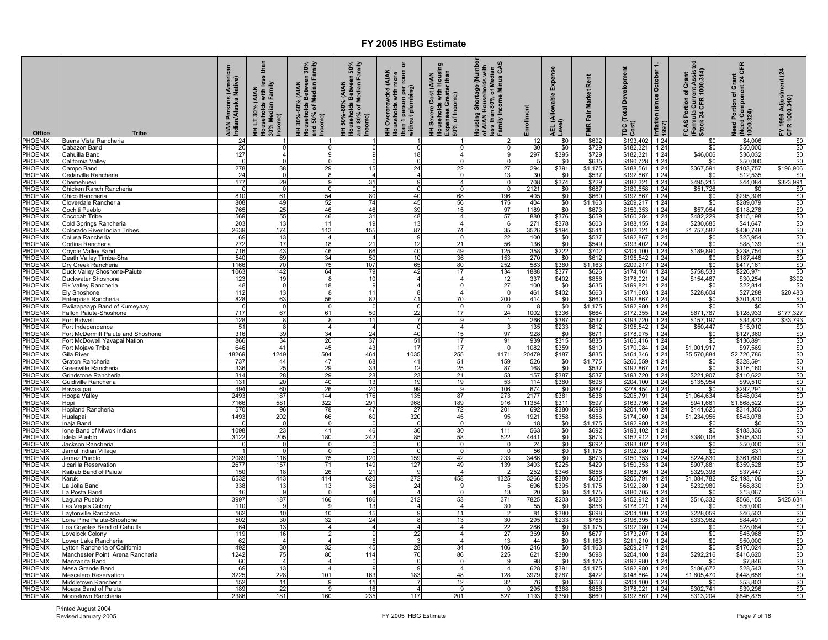| Office                    | <b>Tribe</b>                                          | s (American<br>I Native)<br>AIAN Persons (<br>Indian/Alaska N | than<br>HH LT 30% (AIAN<br>Households with less<br>30% Median Family<br>Income) | HH 30%-50% (AIAN<br>Households Between 30%<br>and 50% of Median Family<br>Income) | Households Between 50%<br>and 80% of Median Family<br>Income)<br>(AIAN<br>HH 50%-80% | HH Overcrowded (AIAN<br>Households with more<br>than 1 person per room o<br>without plumbing) | HH Severe Cost (AIAN<br>Households with Housing<br>Expenses Greater than<br>50% of Income) | Housing Shortage (Number<br>of AIAN Households with<br>less than 80% of Median<br>Family Income Minus CAS | <b>urollment</b> | Exper<br>wable<br>$rac{6}{5}$<br>evel)<br>긊 | Rent<br>rket<br>۵g<br>Fair<br><b>MIR</b> | Development<br>Total<br>$\frac{100}{1000}$ | Inflation (since October<br>1997) | FCAS Portion of Grant<br>(Formula Current Assisted<br>Stock 24 CFR 1000.314) | CFR<br>Need Portion of Grant<br>(Need Component 24 C)<br>(1000.324) | (24)<br>FY 1996 Adjustment ।<br>CFR 1000.340) |
|---------------------------|-------------------------------------------------------|---------------------------------------------------------------|---------------------------------------------------------------------------------|-----------------------------------------------------------------------------------|--------------------------------------------------------------------------------------|-----------------------------------------------------------------------------------------------|--------------------------------------------------------------------------------------------|-----------------------------------------------------------------------------------------------------------|------------------|---------------------------------------------|------------------------------------------|--------------------------------------------|-----------------------------------|------------------------------------------------------------------------------|---------------------------------------------------------------------|-----------------------------------------------|
| PHOENIX                   | Buena Vista Rancheria                                 | 24                                                            |                                                                                 |                                                                                   |                                                                                      | -1                                                                                            |                                                                                            | -2                                                                                                        | 12               | \$0                                         | \$692                                    | \$193,402 1.24                             |                                   | \$0                                                                          | \$4,006                                                             | \$0                                           |
| PHOENIX<br>PHOENIX        | Cabazon Band<br>Cahuilla Band                         | 20<br>127                                                     | $\overline{4}$                                                                  | $\Omega$<br>9                                                                     |                                                                                      | $\Omega$<br>18                                                                                | - 0<br>$\overline{4}$                                                                      | - 0<br>-9                                                                                                 | 30<br>297        | \$0<br>\$395                                | \$729<br>\$729                           | \$182,321<br>\$182,321                     | 1.24<br>1.24                      | \$0<br>\$46,006                                                              | \$50,000<br>\$36,032                                                | \$0<br>\$0                                    |
| PHOENIX                   | California Valley                                     |                                                               |                                                                                 |                                                                                   |                                                                                      | $\Omega$                                                                                      | $\Omega$                                                                                   | $\overline{0}$                                                                                            |                  |                                             | \$635                                    | \$190,728                                  | 1.24                              |                                                                              | \$50,000                                                            |                                               |
| PHOENIX                   | Campo Band                                            | 278                                                           | 38                                                                              | 29                                                                                | 15                                                                                   | 24                                                                                            | 22                                                                                         | $\overline{27}$                                                                                           | 294              | $\frac{$0}{$391}$                           | \$1,175                                  | \$188,561 1.24                             |                                   | $\frac{$0}{\$367,591}$                                                       | \$103,757                                                           | $$0$<br>\$196,906                             |
| PHOENIX                   | Cedarville Rancheria                                  | 24                                                            | $\Omega$                                                                        | 8                                                                                 |                                                                                      | $\overline{\mathbf{A}}$                                                                       | $\mathbf 0$                                                                                | 13                                                                                                        | 30               | \$0                                         | \$537                                    | \$192,867                                  | 1.24                              | \$0                                                                          | \$12,535                                                            | \$0                                           |
| PHOENIX                   | Chemehuevi                                            | 177                                                           | 29<br>$\Omega$                                                                  | -9<br>$\Omega$                                                                    | 31                                                                                   | 9<br>$\Omega$                                                                                 | $\overline{4}$                                                                             | ō                                                                                                         | 708              | \$374                                       | \$729                                    | $$182,321$ 1.24                            |                                   | \$495,215                                                                    | \$44,084                                                            | \$323,991                                     |
| PHOENIX<br>PHOENIX        | Chicken Ranch Rancheria<br>Chico Rancheria            | $\Omega$<br>810                                               | 61                                                                              | 54                                                                                | 80                                                                                   | 40                                                                                            | 68                                                                                         | 196                                                                                                       | 2121<br>405      | \$0<br>\$0                                  | \$687<br>\$660                           | \$189,658<br>\$192.867 1.24                | 1.24                              | \$51,726<br>\$0                                                              | \$0<br>\$295,308                                                    | \$0<br>\$0                                    |
| PHOENIX                   | Cloverdale Rancheria                                  | 808                                                           | 49                                                                              | 52                                                                                | 74                                                                                   | 45                                                                                            | 56                                                                                         | 175                                                                                                       | 404              | \$0                                         | \$1,163                                  | \$209,217 1.24                             |                                   | \$0                                                                          | \$289,079                                                           | \$0                                           |
| PHOENIX                   | Cochiti Pueblo                                        | 765                                                           | 25                                                                              | 46                                                                                | 46                                                                                   | 39                                                                                            | 15                                                                                         | 97                                                                                                        | 1189             | \$0                                         | \$673                                    | \$150,353                                  | 1.24                              | \$57,054                                                                     | \$118,276                                                           | \$0                                           |
| <b>PHOENIX</b>            | Cocopah Tribe                                         | 569                                                           | 55                                                                              | 46                                                                                | 31                                                                                   | 48                                                                                            | $\overline{4}$                                                                             | 57                                                                                                        | 880              | \$376                                       | \$659                                    | \$160,284                                  | 1.24                              | \$482,229                                                                    | \$115,198                                                           | \$0                                           |
| PHOENIX                   | Cold Springs Rancheria                                | 203                                                           | 13                                                                              | 11                                                                                | 1 <sup>5</sup>                                                                       | 13                                                                                            | $\overline{4}$                                                                             | -6                                                                                                        | 271              | \$378                                       | \$603                                    | \$188,155                                  | 1.24                              | \$230,685                                                                    | \$41,647                                                            | \$0                                           |
| PHOENIX<br>PHOENIX        | Colorado River Indian Tribes<br>Colusa Rancheria      | 2639<br>69                                                    | 174<br>13                                                                       | 113<br>$\overline{4}$                                                             | 155                                                                                  | 87<br>9                                                                                       | 74<br>$\overline{0}$                                                                       | 35                                                                                                        | 3526<br>100      | \$194<br>\$0                                | \$541                                    | \$182,321<br>\$192,867                     | 1.24<br>1.24                      | \$1,757,582<br>\$0                                                           | \$430,748<br>\$25,954                                               | \$0<br>\$0                                    |
| PHOENIX                   | Cortina Rancheria                                     | 272                                                           | 17                                                                              | 18                                                                                | 21                                                                                   | 12                                                                                            | 21                                                                                         | $\frac{22}{56}$                                                                                           | 136              | $\overline{\$0}$                            | \$537<br>\$549                           | \$193,402                                  | 1.24                              | \$0                                                                          | \$88,139                                                            | \$0                                           |
| <b>PHOENIX</b>            | Coyote Valley Band                                    | 716                                                           | 43                                                                              | 46                                                                                | 66                                                                                   | 40                                                                                            | 49                                                                                         | 125                                                                                                       | 358              | \$222                                       | \$702                                    | $$204,100$ 1.24                            |                                   | \$189,890                                                                    | \$238,754                                                           | \$0                                           |
| PHOENIX                   | Death Valley Timba-Sha                                | 540                                                           | 69                                                                              | 34                                                                                | 50                                                                                   | 10                                                                                            | 36                                                                                         | 153                                                                                                       | 270              | \$0                                         | \$612                                    | \$195,542                                  | 1.24                              | \$0                                                                          | \$187,446                                                           | \$0                                           |
| PHOENIX                   | Dry Creek Rancheria                                   | 1166                                                          | 70                                                                              | 75                                                                                | 107                                                                                  | 65                                                                                            | 80                                                                                         | 252                                                                                                       | 583              | \$380                                       | \$1,163                                  | \$209,217                                  | 1.24                              | \$0                                                                          | \$417.161                                                           | \$0                                           |
| PHOENIX<br>PHOENIX        | Duck Valley Shoshone-Paiute<br>Duckwater Shoshone     | 1063<br>123                                                   | 142<br>19                                                                       | 64<br>-8                                                                          | 79<br>10                                                                             | 42<br>$\overline{4}$                                                                          | 17<br>$\overline{4}$                                                                       | 134<br>12                                                                                                 | 1888<br>337      | \$377<br>\$402                              | \$626<br>\$856                           | \$174,161<br>\$178,021                     | 1.24<br>1.24                      | \$758,533<br>\$154,467                                                       | \$226,971<br>\$30,254                                               | \$0<br>\$392                                  |
| PHOENIX                   | Elk Valley Rancheria                                  | 48                                                            | $\Omega$                                                                        | 18                                                                                |                                                                                      | $\overline{4}$                                                                                | $\Omega$                                                                                   | 27                                                                                                        | 100              | \$0                                         | \$635                                    | \$199,821 1.24                             |                                   | \$0                                                                          | \$22,814                                                            | \$0                                           |
| <b>PHOENIX</b>            | Ely Shoshone                                          | 112                                                           | 13                                                                              | 8                                                                                 | 11                                                                                   | 8                                                                                             | $\overline{4}$                                                                             | 0                                                                                                         | 461              | \$402                                       | \$663                                    | \$171,603                                  | 1.24                              | \$228,604                                                                    | \$27,288                                                            | \$20,483                                      |
| <b>PHOENIX</b>            | Enterprise Rancheria                                  | 828                                                           | 63                                                                              | 56                                                                                | 82                                                                                   | 41                                                                                            | 70                                                                                         | 200                                                                                                       | 414              | \$0                                         | \$660                                    | \$192,867                                  | 1.24                              | \$0                                                                          | \$301,870                                                           | \$0                                           |
| PHOENIX                   | Ewiiaapaayp Band of Kumeyaay                          |                                                               | $\Omega$                                                                        | $\Omega$                                                                          |                                                                                      | $\Omega$                                                                                      | $\mathbf 0$                                                                                | $\Omega$                                                                                                  |                  | \$0                                         | \$1,175                                  | \$192,980                                  | 1.24                              | \$0                                                                          | \$0                                                                 | \$0                                           |
| PHOENIX<br><b>PHOENIX</b> | Fallon Paiute-Shoshone<br>Fort Bidwell                | 717<br>128                                                    | 67<br>8                                                                         | 61<br>œ                                                                           | 50<br>11                                                                             | $\frac{22}{7}$                                                                                | 17<br>9                                                                                    | 24<br>$\overline{1}$                                                                                      | 1002<br>266      | \$336<br>\$387                              | \$664<br>\$537                           | \$172,355<br>$$193,720$ 1.24               | 1.24                              | \$671,787<br>\$157,197                                                       | \$128,933<br>\$34,873                                               | \$177,327<br>\$33,793                         |
| PHOENIX                   | Fort Independence                                     | 51                                                            | $\mathbf{R}$                                                                    | $\overline{A}$                                                                    | $\overline{\phantom{a}}$                                                             | $\mathbf 0$                                                                                   | $\overline{4}$                                                                             | $\mathbf{B}$                                                                                              | 135              | \$233                                       | \$612                                    | \$195,542 1.24                             |                                   | \$50,447                                                                     | \$15,910                                                            | \$0                                           |
| PHOENIX                   | Fort McDermitt Paiute and Shoshone                    | 316                                                           | 39                                                                              | 34                                                                                | $\overline{2}$                                                                       | 40                                                                                            | 15                                                                                         | 97                                                                                                        | 928              | \$0                                         | \$671                                    | \$178,975                                  | 1.24                              | \$0                                                                          | \$127,360                                                           | \$0                                           |
| <b>PHOENIX</b>            | Fort McDowell Yavapai Nation                          | 866                                                           | 34                                                                              | 20                                                                                | 37                                                                                   | 51                                                                                            | 17                                                                                         | 91                                                                                                        | 939              | \$315                                       | \$835                                    | \$165,416                                  | 1.24                              | \$0                                                                          | \$136.891                                                           | \$0                                           |
| <b>PHOENIX</b><br>PHOENIX | Fort Mojave Tribe                                     | 646                                                           | 41<br>1249                                                                      | 45<br>504                                                                         | 43<br>464                                                                            | 17                                                                                            | 17<br>255                                                                                  | $\Omega$<br>1171                                                                                          | 1082<br>20479    | \$359                                       | \$810                                    | \$170,084                                  | 1.24<br>1.24                      | \$1,001,917<br>\$5,570,884                                                   | \$97,569                                                            | \$0<br>\$0                                    |
| PHOENIX                   | Gila River<br>Graton Rancheria                        | 18269<br>737                                                  | 44                                                                              | 47                                                                                | 68                                                                                   | 1035<br>41                                                                                    | 51                                                                                         | 159                                                                                                       | 526              | \$187<br>\$0                                | \$835<br>\$1,775                         | \$164,346<br>\$260,559                     | 1.24                              | \$0                                                                          | \$2,726,786<br>\$328,591                                            | \$0                                           |
| <b>PHOENIX</b>            | Greenville Rancheria                                  | 336                                                           | 25                                                                              | 29                                                                                | 33                                                                                   | 12                                                                                            | 25                                                                                         | 87                                                                                                        | 168              | \$0                                         | \$537                                    | \$192,867                                  | 1.24                              | \$0                                                                          | \$116,160                                                           | \$0                                           |
| PHOENIX                   | Grindstone Rancheria                                  | 314                                                           | 28                                                                              | 29                                                                                | 28                                                                                   | 23                                                                                            | 21                                                                                         | 53                                                                                                        | 157              | \$387                                       | \$537                                    | \$193,720                                  | 1.24                              | \$221,907                                                                    | \$110,622                                                           | \$0                                           |
| PHOENIX                   | Guidiville Rancheria                                  | 131                                                           | 20                                                                              | 40                                                                                | 13                                                                                   | 19                                                                                            | 19                                                                                         | 53                                                                                                        | 114              | \$380                                       | \$698                                    | \$204,100                                  | 1.24                              | \$135.954                                                                    | \$99,510                                                            | \$0                                           |
| PHOENIX<br>PHOENIX        | Havasupai                                             | 494<br>2493                                                   | 60<br>187                                                                       | 26<br>144                                                                         | 20<br>176                                                                            | 99<br>135                                                                                     | 9<br>87                                                                                    | 106<br>273                                                                                                | 674<br>2177      | \$0<br>\$381                                | \$887<br>\$638                           | \$278,454<br>\$205,791                     | 1.24<br>1.24                      | \$0<br>\$1,064,634                                                           | \$292,291<br>\$648,034                                              | \$0<br>\$0                                    |
| PHOENIX                   | Hoopa Valley<br>Hopi                                  | 7166                                                          | 581                                                                             | 322                                                                               | 291                                                                                  | 968                                                                                           | 189                                                                                        | 916                                                                                                       | 11354            | \$311                                       | \$597                                    | \$163,796                                  | 1.24                              | \$941,661                                                                    | \$1,868,522                                                         | \$0                                           |
| PHOENIX                   | <b>Hopland Rancheria</b>                              | 57C                                                           | 96                                                                              | 78                                                                                | 47                                                                                   | 27                                                                                            | 72                                                                                         | 201                                                                                                       | 692              | \$380                                       | \$698                                    | \$204,100                                  | 1.24                              | \$141,625                                                                    | \$314.350                                                           | \$0                                           |
| PHOENIX                   | Hualapai                                              | 1493                                                          | 202                                                                             | 66                                                                                | 60                                                                                   | 320                                                                                           | 45                                                                                         | 95                                                                                                        | 1921             | \$358                                       | \$856                                    | \$174,060                                  | 1.24                              | \$1.234.956                                                                  | \$543.078                                                           | \$0                                           |
| PHOENIX<br>PHOENIX        | Inaia Band                                            | 1098                                                          | $\Omega$<br>23                                                                  | $\Omega$                                                                          |                                                                                      | $\Omega$<br>36                                                                                | $\overline{0}$<br>30                                                                       | $\overline{0}$<br>111                                                                                     | 18<br>563        | \$0<br>\$0                                  | \$1.175<br>\$692                         | \$192,980<br>\$193,402                     | 1.24<br>1.24                      | \$0<br>\$0                                                                   | \$0<br>\$183,336                                                    | \$0                                           |
| PHOENIX                   | Ione Band of Miwok Indians<br>Isleta Pueblo           | 3122                                                          | 205                                                                             | 41<br>180                                                                         | 46<br>242                                                                            | 85                                                                                            | 58                                                                                         | 522                                                                                                       | 4441             | \$0                                         | \$673                                    | \$152,912                                  | 1.24                              | \$380,106                                                                    | \$505,830                                                           | \$0<br>\$0                                    |
| PHOENIX                   | Jackson Rancheria                                     | n                                                             | $\Omega$                                                                        | $\Omega$                                                                          |                                                                                      | $\mathbf 0$                                                                                   | $\mathbf 0$                                                                                | - 0                                                                                                       | 24               | \$0                                         | \$692                                    | \$193,402                                  | 1.24                              | \$0                                                                          | \$50,000                                                            | \$0                                           |
| PHOENIX                   | Jamul Indian Village                                  |                                                               | $\Omega$                                                                        | $\mathbf 0$                                                                       |                                                                                      | $\overline{0}$                                                                                | $\mathbf 0$                                                                                | - 0                                                                                                       | 56               | \$0                                         | \$1,175                                  | \$192,980                                  | 1.24                              | \$0                                                                          | \$31                                                                | \$0                                           |
| <b>PHOENIX</b>            | Jemez Pueblo                                          | 2089                                                          | 116                                                                             | 75                                                                                | 120                                                                                  | 159<br>127                                                                                    | 42                                                                                         | 233<br>139                                                                                                | 3486             | \$0<br>\$225                                | \$673                                    | \$150,353                                  | 1.24                              | \$224,830                                                                    | \$361,680                                                           | \$0                                           |
| PHOENIX<br>PHOENIX        | Jicarilla Reservation<br>Kaibab Band of Paiute        | 2677<br>150                                                   | 157<br>18                                                                       | 71<br>26                                                                          | 149<br>21                                                                            | -9                                                                                            | 49<br>$\overline{4}$                                                                       | $\overline{2}$                                                                                            | 3403<br>252      | \$346                                       | \$429<br>\$856                           | \$150,353 1.24<br>$$163,796$ 1.24          |                                   | \$907,881<br>\$329,398                                                       | \$359,528<br>\$37,447                                               | \$0<br>\$0                                    |
| PHOENIX                   | Karuk                                                 | 6532                                                          | 443                                                                             | 414                                                                               | 620                                                                                  | 272                                                                                           | 458                                                                                        | 1325                                                                                                      | 3266             | \$380                                       | \$635                                    | \$205,791                                  | 1.24                              | \$1,084,782                                                                  | \$2,193,106                                                         | \$0                                           |
| PHOENIX                   | La Jolla Band                                         | 338                                                           | 13                                                                              | 13                                                                                | 36                                                                                   | 24                                                                                            | q                                                                                          | 5                                                                                                         | 696              | \$395                                       | \$1,175                                  | \$192,980                                  | 1.24                              | \$232,980                                                                    | \$68,830                                                            | \$0                                           |
| PHOENIX                   | La Posta Band                                         | 16                                                            | 9                                                                               | $\Omega$                                                                          |                                                                                      | $\overline{4}$                                                                                | $\Omega$                                                                                   | 13                                                                                                        | 20               | \$0                                         | \$1,175                                  | \$180,705                                  | 1.24                              | \$0                                                                          | \$13,067                                                            | \$0                                           |
| PHOENIX<br>PHOENIX        | Laguna Pueblo                                         | 3997                                                          | 187<br>9                                                                        | 166                                                                               | 186                                                                                  | 212                                                                                           | 53                                                                                         | 371                                                                                                       | 7825             | \$203                                       | \$423                                    | \$152,912 1.24                             |                                   | \$516,332                                                                    | \$568,155                                                           | \$425,634                                     |
| <b>PHOENIX</b>            | as Vegas Colony<br>aytonville Rancheria               | 110<br>162                                                    | 10                                                                              | -9<br>10                                                                          | 13<br>15                                                                             | $\overline{4}$<br>9                                                                           | $\overline{4}$<br>11                                                                       | 30<br>-2                                                                                                  | 55<br>81         | \$0<br>\$380                                | \$856<br>\$698                           | \$178,021<br>\$204,100                     | 1.24<br>1.24                      | \$0<br>\$228,059                                                             | \$50,000<br>\$46,503                                                | \$0<br>\$0                                    |
| PHOENIX                   | one Pine Paiute-Shoshone                              | 502                                                           | 30                                                                              | 32                                                                                | 24                                                                                   | 8                                                                                             | 13                                                                                         | 30                                                                                                        | 295              | \$233                                       | \$768                                    | \$196,395                                  | 1.24                              | \$333,962                                                                    | \$84,491                                                            | \$0                                           |
| <b>PHOENIX</b>            | os Coyotes Band of Cahuilla                           | 64                                                            | 13                                                                              | $\boldsymbol{A}$                                                                  |                                                                                      | $\overline{4}$                                                                                | $\overline{\mathbf{A}}$                                                                    | 22                                                                                                        | 286              | \$0                                         | \$1,175                                  | \$192,980                                  | 1.24                              | \$0                                                                          | \$28,084                                                            | \$0                                           |
| PHOENIX                   | _ovelock Colony                                       | 119                                                           | 16                                                                              |                                                                                   |                                                                                      | 22                                                                                            |                                                                                            | 27                                                                                                        | 369              | \$0                                         | \$677                                    | \$173,207                                  | 1.24                              | \$0                                                                          | \$45,968                                                            | \$0                                           |
| <b>PHOENIX</b><br>PHOENIX | ower Lake Rancheria<br>_ytton Rancheria of California | 62<br>492                                                     | $\overline{4}$<br>30                                                            | $\overline{\mathbf{4}}$<br>32                                                     | 45                                                                                   | 3<br>28                                                                                       | $\overline{4}$<br>34                                                                       | 13<br>106                                                                                                 | 44<br>246        | \$0<br>\$0                                  | \$1,163<br>\$1,163                       | \$211,210<br>\$209,217                     | 1.24<br>1.24                      | \$0<br>\$0                                                                   | \$50,000<br>\$176,024                                               | \$0<br>\$0                                    |
| <b>PHOENIX</b>            | Manchester Point Arena Rancheria                      | 1242                                                          | 75                                                                              | 80                                                                                | 114                                                                                  | 70                                                                                            | 86                                                                                         | 225                                                                                                       | 621              | \$380                                       | \$698                                    | \$204,100                                  | 1.24                              | \$292,216                                                                    | \$416,620                                                           | \$0                                           |
| <b>PHOENIX</b>            | Manzanita Band                                        | 60                                                            | $\overline{4}$                                                                  | $\overline{\mathbf{4}}$                                                           |                                                                                      | $\Omega$                                                                                      | $\Omega$                                                                                   | -9                                                                                                        | 98               | \$0                                         | \$1.175                                  | \$192.980                                  | 1.24                              | \$0                                                                          | \$7,846                                                             | \$0                                           |
| PHOENIX                   | Mesa Grande Band                                      | 69                                                            | 13                                                                              | $\Delta$                                                                          |                                                                                      | 9                                                                                             | $\overline{4}$                                                                             | $\overline{4}$                                                                                            | 628              | \$391                                       | \$1,175                                  | \$192,980                                  | 1.24                              | \$186,672                                                                    | \$28,543                                                            | \$0                                           |
| PHOENIX<br>PHOENIX        | <b>Mescalero Reservation</b>                          | 3225                                                          | 228<br>11                                                                       | 101<br>-9                                                                         | 163<br>11                                                                            | 183<br>$\overline{7}$                                                                         | 48                                                                                         | 128                                                                                                       | 3979             | \$287                                       | \$422                                    | \$148,864 1.24                             |                                   | \$1,805,470                                                                  | \$448,658                                                           | \$0                                           |
| <b>PHOENIX</b>            | Middletown Rancheria<br>Moapa Band of Paiute          | 152<br>189                                                    | 22                                                                              |                                                                                   | 16                                                                                   | $\overline{4}$                                                                                | 12<br>9                                                                                    | 32<br>- 0                                                                                                 | 76<br>295        | \$0<br>\$388                                | \$653<br>\$856                           | \$204,100<br>\$178,021                     | 1.24<br>1.24                      | \$0<br>\$302,741                                                             | \$53,803<br>\$39,296                                                | \$0<br>\$0                                    |
| <b>PHOENIX</b>            | Mooretown Rancheria                                   | 2386                                                          | 181                                                                             | 160                                                                               | 235                                                                                  | 117                                                                                           | 201                                                                                        | 527                                                                                                       | 1193             | \$380                                       | \$660                                    | \$192,867 1.24                             |                                   | \$313,204                                                                    | \$846,875                                                           | \$0                                           |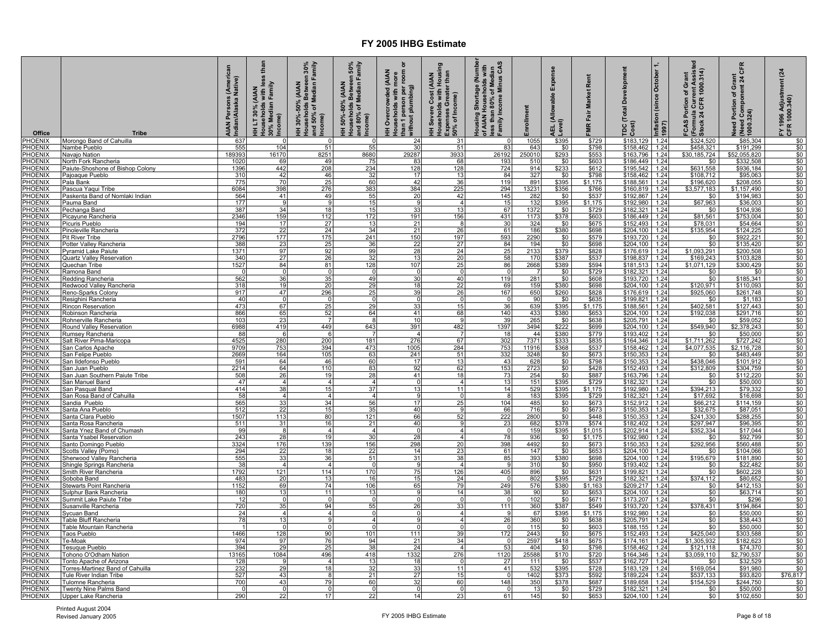| Office                         | <b>Tribe</b>                                           | AIAN Persons (American<br>Indian/Alaska Native) | than<br>HH LT 30% (AIAN<br>Households with less<br>30% Median Family<br>Income) | Households Between 30%<br>and 50% of Median Family<br>HH 30%-50% (AIAN<br>Income) | Households Between 50%<br>and 80% of Median Family<br>Income)<br><b>AIAN</b><br>HH 50%-80% | person per room or<br>HH Overcrowded (AIAN<br>Households with more<br>than 1 person per room o<br>, without plumbing) | HH Severe Cost (AIAN<br>Households with Housing<br>Expenses Greater than<br>, 50% of Income) | Housing Shortage (Number<br>of AIAN Households with<br>less than 80% of Median<br>Family Income Minus CAS | nrollment              | Expense<br>AEL (Allowable I<br>Level) | Rent<br>đ<br>울<br><b>IMR Fair</b> | <b>Total Development</b><br>$\frac{10}{2}$ | Inflation (since October 1,<br>1997) | FCAS Portion of Grant<br>(Formula Current Assisted<br>Stock 24 CFR 1000.314) | CFR<br>Need Portion of Grant<br>  (Need Component 24 C<br>  1000.324) | (24)<br>FY 1996 Adjustment ।<br>CFR 1000.340) |
|--------------------------------|--------------------------------------------------------|-------------------------------------------------|---------------------------------------------------------------------------------|-----------------------------------------------------------------------------------|--------------------------------------------------------------------------------------------|-----------------------------------------------------------------------------------------------------------------------|----------------------------------------------------------------------------------------------|-----------------------------------------------------------------------------------------------------------|------------------------|---------------------------------------|-----------------------------------|--------------------------------------------|--------------------------------------|------------------------------------------------------------------------------|-----------------------------------------------------------------------|-----------------------------------------------|
| PHOENIX                        | Morongo Band of Cahuilla                               | 637                                             | - 0                                                                             | - 0                                                                               | $\cap$                                                                                     | 24                                                                                                                    | 31                                                                                           |                                                                                                           | 1055                   | \$395                                 | \$729                             | \$183,129                                  | 1.24                                 | \$324,520                                                                    | \$85,304                                                              | \$0                                           |
| <b>HOENIX</b>                  | Nambe Pueblo                                           | 555                                             | 104                                                                             | 51                                                                                | 55                                                                                         | 30                                                                                                                    | 51                                                                                           | 83                                                                                                        | 643                    | \$0                                   | \$798                             | \$158,462 1.24                             |                                      | \$458,321                                                                    | \$191,299                                                             | \$0                                           |
| <b>HOENIX</b><br>PHOENIX       | Vavajo Nation<br><b>North Fork Rancheria</b>           | 189393<br>1020                                  | 16170<br>69                                                                     | 8251<br>49                                                                        | 8680<br>75                                                                                 | 29287<br>83                                                                                                           | 3933<br>68                                                                                   | 26192<br>193                                                                                              | 250010                 | \$293<br>\$0                          | \$553<br>\$603                    | \$163,796<br>\$186,449                     | 1.24<br>1.24                         | \$30,185,724<br>\$0                                                          | \$52,055,820<br>\$332,508                                             | \$0<br>\$0                                    |
| PHOENIX                        | Paiute-Shoshone of Bishop Colony                       | 1396                                            | 442                                                                             | 208                                                                               | 234                                                                                        | 128                                                                                                                   | 128                                                                                          | 724                                                                                                       | 510<br>914             | \$233                                 | \$612                             | \$195,542 1.24                             |                                      | \$631,558                                                                    | \$936,184                                                             | \$0                                           |
| PHOENIX                        | Pajoaque Pueblo                                        | 310                                             | 42                                                                              | 46                                                                                | 32                                                                                         | 17                                                                                                                    | 13                                                                                           | 84                                                                                                        | 327                    | \$0                                   | \$798                             | $$158,462$ 1.24                            |                                      | \$108,712                                                                    | \$95,063                                                              | \$0                                           |
| <b>HOENIX</b>                  | Pala Bank                                              | 775                                             | 70                                                                              | 25                                                                                | 60                                                                                         | 42                                                                                                                    | 36                                                                                           | 119                                                                                                       | 891                    | \$395                                 | \$1,175                           | $$188,561$ 1.24                            |                                      | \$196,620                                                                    | \$208,055                                                             | \$0                                           |
| <b>HOENIX</b><br>PHOENIX       | Pascua Yaqui Tribe<br>Paskenta Band of Nomlaki Indian  | 6084<br>564                                     | 398<br>41                                                                       | 276<br>49                                                                         | 383<br>55                                                                                  | 384<br>20                                                                                                             | 225<br>42                                                                                    | 294<br>145                                                                                                | 13231<br>282           | \$356<br>\$0                          | \$766<br>\$537                    | \$160,819<br>\$192.867 1.24                | 1.24                                 | \$3,577,183<br>\$0                                                           | \$1,157,490<br>\$194.983                                              | \$0<br>\$0                                    |
| PHOENIX                        | Pauma Band                                             | 177                                             | $\mathbf{q}$                                                                    | 9                                                                                 | 15                                                                                         | 9                                                                                                                     | $\overline{4}$                                                                               | 15                                                                                                        | 132                    | \$395                                 | \$1,175                           | \$192,980 1.24                             |                                      | \$67,963                                                                     | \$36,003                                                              | \$0                                           |
| PHOENIX                        | Pechanga Band                                          | 387                                             | 34                                                                              | 18                                                                                | 15                                                                                         | 33                                                                                                                    | 13                                                                                           | 67                                                                                                        | 1372                   | \$0                                   | \$729                             | \$182,321 1.24                             |                                      | \$0                                                                          | \$104,936                                                             | \$0                                           |
| PHOENIX                        | Picayune Rancheria                                     | 2346                                            | 159                                                                             | 112                                                                               | 172                                                                                        | 191                                                                                                                   | 156                                                                                          | 431                                                                                                       | 1173                   | \$378                                 | \$603                             | \$186,449                                  | 1.24                                 | \$81,561                                                                     | \$753,004                                                             | \$0                                           |
| PHOENIX                        | Picuris Pueblo                                         | 194                                             | 17                                                                              | 27                                                                                | 13                                                                                         | 21                                                                                                                    |                                                                                              | 30                                                                                                        | 324                    | \$0                                   | \$675                             | \$152,493                                  | 1.24                                 | \$78,031                                                                     | \$54,664                                                              | \$0                                           |
| PHOENIX<br><b>PHOENIX</b>      | Pinoleville Rancheria<br>Pit River Tribe               | 372<br>2796                                     | 22<br>177                                                                       | 24<br>175                                                                         | 34<br>241                                                                                  | 21<br>150                                                                                                             | 26<br>197                                                                                    | 61<br>593                                                                                                 | 186<br>2290            | \$380<br>\$0                          | \$698<br>\$579                    | \$204,100<br>\$193,720                     | 1.24<br>1.24                         | \$135,954<br>\$0                                                             | \$124,225<br>\$922,221                                                | \$0<br>\$0                                    |
| <b>PHOENIX</b>                 | Potter Valley Rancheria                                | 388                                             | 23                                                                              | 25                                                                                | 36                                                                                         | 22                                                                                                                    | 27                                                                                           | 84                                                                                                        | 194                    | \$0                                   | \$698                             | \$204,100                                  | 1.24                                 | \$0                                                                          | \$135,420                                                             | \$0                                           |
| <b>PHOENIX</b>                 | Pyramid Lake Paiute                                    | 1371                                            | 97                                                                              | 92                                                                                | 99                                                                                         | 28                                                                                                                    | 24                                                                                           | 25                                                                                                        | 2133                   | \$379                                 | \$828                             | \$176,619                                  | 1.24                                 | \$1,093,291                                                                  | \$200,508                                                             | \$0                                           |
| <b>HOENIX</b>                  | Quartz Valley Reservation                              | 340                                             | 27                                                                              | 26                                                                                | 32                                                                                         | 13                                                                                                                    | 20                                                                                           | 58                                                                                                        | 170                    | \$387                                 | \$537                             | \$198,837                                  | 1.24                                 | \$169,243                                                                    | \$103,828                                                             | \$0                                           |
| <b>HOENIX</b><br><b>HOENIX</b> | <u>Quechan Tribe</u><br>Ramona Band                    | 1527<br>$\Omega$                                | 84<br>$\overline{0}$                                                            | 81<br>$\Omega$                                                                    | 128<br>$\Omega$                                                                            | 107<br>$\Omega$                                                                                                       | 25                                                                                           | 86<br>$\Omega$                                                                                            | 2668<br>$\overline{7}$ | \$389<br>\$0                          | \$594<br>\$729                    | \$181,513<br>\$182,321 1.24                | 1.24                                 | \$1,071,129<br>\$0                                                           | \$300,429<br>\$0                                                      | \$0<br>\$0                                    |
| <b>PHOENIX</b>                 | Redding Rancheria                                      | 562                                             | 36                                                                              | 35                                                                                | 49                                                                                         | 30                                                                                                                    | 40                                                                                           | 119                                                                                                       | 281                    | \$0                                   | \$608                             | \$193,720 1.24                             |                                      | \$0                                                                          | \$185,341                                                             | \$0                                           |
| <b>HOENIX</b>                  | Redwood Valley Rancheria                               | 318                                             | 19                                                                              | <b>20</b>                                                                         | 29                                                                                         | 18                                                                                                                    | 22                                                                                           | 69                                                                                                        | 159                    | \$380                                 | \$698                             | $$204,100$ 1.24                            |                                      | \$120,971                                                                    | \$110,093                                                             | \$0                                           |
| <b>HOENIX</b>                  | Reno-Sparks Colony                                     | 917                                             | 47                                                                              | 296                                                                               | 25                                                                                         | 39                                                                                                                    | 26                                                                                           | 167                                                                                                       | 650                    | \$260                                 | \$828                             | \$176,619 1.24                             |                                      | \$925,060                                                                    | \$261,748                                                             | \$0                                           |
| PHOENIX                        | Resighini Rancheria                                    | 40                                              | $\Omega$                                                                        | - C                                                                               | C                                                                                          | $\Omega$                                                                                                              |                                                                                              | - 0                                                                                                       | 90                     | \$0                                   | \$635                             | $$199,821$ 1.24                            |                                      | \$0                                                                          | \$1,183                                                               | \$0                                           |
| PHOENIX<br>PHOENIX             | Rincon Reservation<br>Robinson Rancheria               | 473<br>866                                      | 67<br>65                                                                        | 25<br>52                                                                          | 29<br>64                                                                                   | 33<br>41                                                                                                              | 15<br>68                                                                                     | 36<br>140                                                                                                 | 639<br>433             | \$395<br>\$380                        | \$1,175                           | \$188,561 1.24                             |                                      | \$402,581<br>\$192,038                                                       | \$127,443<br>\$291,716                                                | \$0<br>\$0                                    |
| <b>PHOENIX</b>                 | Rohnerville Rancheria                                  | 103                                             | 23                                                                              |                                                                                   | -8                                                                                         | 10                                                                                                                    |                                                                                              | 39                                                                                                        | 265                    | \$0                                   | \$653<br>\$638                    | \$204,100 1.24<br>\$205,791 1.24           |                                      | \$0                                                                          | \$59,052                                                              | \$0                                           |
| <b>HOENIX</b>                  | Round Valley Reservation                               | 6988                                            | 419                                                                             | 449                                                                               | 643                                                                                        | 391                                                                                                                   | 482                                                                                          | 1397                                                                                                      | 3494                   | \$222                                 | \$699                             | \$204,100                                  | 1.24                                 | \$549,940                                                                    | \$2,378,243                                                           | \$0                                           |
| <b>HOENIX</b>                  | <b>Rumsey Rancheria</b>                                | 88                                              | 6                                                                               | -6                                                                                |                                                                                            | $\overline{4}$                                                                                                        |                                                                                              | 18                                                                                                        | 44                     | \$380                                 | \$779                             | \$193,402                                  | 1.24                                 | \$0                                                                          | \$50,000                                                              | \$0                                           |
| <b>HOENIX</b>                  | <u>ialt River Pima-Maricopa</u>                        | 4525                                            | 280                                                                             | 200                                                                               | 181                                                                                        | 276                                                                                                                   | 67                                                                                           | 302                                                                                                       | 7371                   | \$333                                 | \$835                             | \$164,346                                  | 1.24                                 | \$1.711.262                                                                  | \$727,242                                                             | \$0                                           |
| <b>HOENIX</b><br><b>HOENIX</b> | San Carlos Apache<br>San Felipe Pueblo                 | 9709<br>2669                                    | 753<br>164                                                                      | 394<br>105                                                                        | 473<br>63                                                                                  | 1005<br>241                                                                                                           | 284<br>51                                                                                    | 753<br>332                                                                                                | 11916<br>3248          | \$368<br>\$0                          | \$537<br>\$673                    | \$158,462<br>$$150,353$ 1.24               | 1.24                                 | \$4,077,535<br>\$0                                                           | \$2,116,728<br>\$483,449                                              | \$0<br>\$0                                    |
| <b>HOENIX</b>                  | <u>San Ildefonso Pueblo</u>                            | 591                                             | 64                                                                              | 46                                                                                | 60                                                                                         | 17                                                                                                                    | 13                                                                                           | 43                                                                                                        | 628                    | \$0                                   | \$798                             | $$150,353$ 1.24                            |                                      | \$438,046                                                                    | \$101,912                                                             | \$0                                           |
| <b>HOENIX</b>                  | <u>San Juan Pueblo</u>                                 | 2214                                            | 64                                                                              | 110                                                                               | 83                                                                                         | 92                                                                                                                    | 62                                                                                           | 153                                                                                                       | 2723                   | \$0                                   | \$428                             | \$152,493                                  | 1.24                                 | \$312,809                                                                    | \$304,759                                                             | \$0                                           |
| <b>HOENIX</b>                  | San Juan Southern Paiute Tribe                         | 508                                             | 26                                                                              | 19                                                                                | 28                                                                                         | 41                                                                                                                    | 18                                                                                           | 73                                                                                                        | 254                    | \$0                                   | \$887                             | \$163,796                                  | 1.24                                 | \$0                                                                          | \$112,220                                                             | \$0                                           |
| PHOENIX                        | San Manuel Band                                        | 47<br>414                                       | $\overline{4}$<br>38                                                            | $\overline{4}$<br>15                                                              | 37                                                                                         | $\Omega$<br>13                                                                                                        | 11                                                                                           | 13<br>14                                                                                                  | 151<br>529             | \$395                                 | \$729<br>\$1,175                  | \$182,321                                  | 1.24<br>1.24                         | \$0<br>\$394,213                                                             | \$50,000<br>\$79,332                                                  | \$0<br>\$0                                    |
| <b>HOENIX</b><br><b>HOENIX</b> | San Pasqual Band<br>San Rosa Band of Cahuilla          | 58                                              | $\overline{4}$                                                                  | $\overline{4}$                                                                    | $\overline{A}$                                                                             | $\mathbf{q}$                                                                                                          | $\Omega$                                                                                     | $\mathsf{R}$                                                                                              | 183                    | \$395<br>\$395                        | \$729                             | \$192,980<br>\$182,321                     | 1.24                                 | \$17,692                                                                     | \$16,698                                                              | \$0                                           |
| <b>HOENIX</b>                  | Sandia Pueblo                                          | 565                                             | 33                                                                              | 34                                                                                | 56                                                                                         | 17                                                                                                                    | 25                                                                                           | 104                                                                                                       | 485                    | \$0                                   | \$673                             | \$152,912                                  | 1.24                                 | \$66,212                                                                     | \$114,159                                                             | \$0                                           |
| <b>HOENIX</b>                  | Santa Ana Pueblo                                       | 512                                             | 22                                                                              | 15                                                                                | 35                                                                                         | 40                                                                                                                    |                                                                                              | 66                                                                                                        | 716                    | \$0                                   | \$673                             | \$150,353                                  | 1.24                                 | \$32,675                                                                     | \$87,051                                                              | \$0                                           |
| <b>HOENIX</b>                  | Santa Clara Pueblo                                     | 1507                                            | 113                                                                             | 80                                                                                | 121                                                                                        | 66                                                                                                                    | 52                                                                                           | 222                                                                                                       | 2800                   | \$0                                   | \$448                             | \$150.353                                  | 1.24                                 | \$241.330                                                                    | \$288.255                                                             | \$0                                           |
| <b>HOENIX</b><br>PHOENIX       | Santa Rosa Rancheria<br>Santa Ynez Band of Chumash     | 511<br>99                                       | 31<br>8                                                                         | 16<br>$\overline{a}$                                                              | 21<br>$\overline{4}$                                                                       | 40<br>$\Omega$                                                                                                        | <b>g</b><br>$\overline{4}$                                                                   | 23<br>$\Omega$                                                                                            | 682<br>159             | \$378<br>\$395                        | \$574<br>\$1,015                  | \$182,402<br>\$202,914 1.24                | 1.24                                 | \$297,947<br>\$352,334                                                       | \$96,395<br>\$17,044                                                  | \$0<br>\$0                                    |
| <b>PHOENIX</b>                 | <u>Santa Ysabel Reservation</u>                        | 243                                             | 28                                                                              | 19                                                                                | 30                                                                                         | 28                                                                                                                    | $\overline{4}$                                                                               | 78                                                                                                        | 936                    | \$0                                   | \$1,175                           | \$192,980                                  | 1.24                                 | \$0                                                                          | \$92,799                                                              | \$0                                           |
| <b>HOENIX</b>                  | Santo Domingo Pueblo                                   | 3324                                            | 176                                                                             | 139                                                                               | 156                                                                                        | 298                                                                                                                   | 20                                                                                           | 398                                                                                                       | 4492                   | \$0                                   | \$673                             | \$150,353                                  | 1.24                                 | \$292,956                                                                    | \$560,488                                                             | \$0                                           |
| PHOENIX                        | <b>Scotts Valley (Pomo)</b>                            | 294                                             | 22                                                                              | 18                                                                                | 22                                                                                         | 14                                                                                                                    | 23                                                                                           | 61                                                                                                        | 147                    | \$0                                   | \$653                             | \$204,100                                  | 1.24                                 | \$0                                                                          | \$104,066                                                             | \$0                                           |
| <b>PHOENIX</b><br>PHOENIX      | Sherwood Valley Rancheria<br>Shingle Springs Rancheria | $\frac{555}{38}$                                | 33<br>$\overline{4}$                                                            | 36<br>$\overline{a}$                                                              | 51<br>$\Omega$                                                                             | 31<br>-91                                                                                                             | 38<br>$\overline{4}$                                                                         | 85<br>-9                                                                                                  | 393<br>310             | \$380<br>\$0                          | \$698<br>\$950                    | \$204,100<br>\$193,402 1.24                | 1.24                                 | \$195,679<br>\$0                                                             | \$181,890<br>\$22,482                                                 | \$0<br>\$0                                    |
| PHOENIX                        | Smith River Rancheria                                  | 1792                                            | 121                                                                             | 114                                                                               | 170                                                                                        | 75                                                                                                                    | 126                                                                                          | 405                                                                                                       | 896                    | \$0                                   | \$631                             | \$199,821 1.24                             |                                      | $\frac{1}{50}$                                                               | \$602,228                                                             | \$0                                           |
| PHOENIX                        | Soboba Band                                            | 483                                             | 20                                                                              | 13                                                                                | 16                                                                                         | 15                                                                                                                    | 24                                                                                           | $\Omega$                                                                                                  | 802                    | \$395                                 | \$729                             | $$182,321$ 1.24                            |                                      | \$374,112                                                                    | \$80,652                                                              | \$0                                           |
| <b>HOENIX</b>                  | Stewarts Point Rancheria                               | 1152                                            | 69                                                                              | 74                                                                                | 106                                                                                        | 65                                                                                                                    | 79                                                                                           | 249                                                                                                       | 576                    | \$380                                 | \$1,163                           | \$209,217                                  | 1.24                                 | \$0                                                                          | \$412,153                                                             | \$0                                           |
| <b>HOENIX</b>                  | sulphur Bank Rancheria                                 | 180                                             | 13<br>$\Omega$                                                                  | 11<br>$\Omega$                                                                    | 13<br>$\Omega$                                                                             | $\mathbf{Q}$<br>$\Omega$                                                                                              | 14                                                                                           | 38                                                                                                        | 90                     | \$0                                   | \$653                             | \$204,100 1.24                             |                                      | \$0                                                                          | \$63,714                                                              | \$0                                           |
| PHOENIX<br>PHOENIX             | Summit Lake Paiute Tribe<br>Susanville Rancheria       | 12<br>720                                       | 35                                                                              | 94                                                                                | 55                                                                                         | 26                                                                                                                    | $\Omega$<br>33                                                                               | - 0<br>111                                                                                                | 102<br>360             | \$0<br>\$387                          | \$671<br>\$549                    | \$173,207 1.24<br>\$193,720 1.24           |                                      | \$0<br>\$378,431                                                             | \$296<br>\$194,864                                                    | \$0<br>\$0                                    |
| PHOENIX                        | Sycuan Band                                            | 24                                              | $\overline{4}$                                                                  | $\overline{a}$                                                                    |                                                                                            | n                                                                                                                     | 4                                                                                            |                                                                                                           | 67                     | \$395                                 | \$1,175                           | \$192,980                                  | 1.24                                 | \$0                                                                          | \$50,000                                                              | \$0                                           |
| PHOENIX                        | <b>Table Bluff Rancheria</b>                           | 78                                              | 13                                                                              |                                                                                   |                                                                                            |                                                                                                                       | 4                                                                                            | 26                                                                                                        | 360                    | \$0                                   | \$638                             | \$205,791                                  | 1.24                                 | \$0                                                                          | \$38,443                                                              | \$0                                           |
| <b>PHOENIX</b>                 | <b>Fable Mountain Rancheria</b>                        |                                                 | $\Omega$                                                                        |                                                                                   |                                                                                            | $\Omega$                                                                                                              | $\Omega$                                                                                     | $\Omega$                                                                                                  | 115                    | \$0                                   | \$603                             | \$188,155                                  | 1.24                                 | \$0                                                                          | \$50,000                                                              | \$0                                           |
| PHOENIX                        | Taos Pueblo<br>Ге-Моа⊧                                 | 1466<br>974                                     | 128<br>97                                                                       | 90<br>76                                                                          | 101<br>94                                                                                  | 111<br>21                                                                                                             | 39<br>34                                                                                     | 172                                                                                                       | 2443<br>2597           | \$0<br>\$418                          | \$675<br>\$675                    | \$152,493<br>\$174,161                     | 1.24                                 | \$425,040<br>\$1,305,932                                                     | \$303,588<br>\$182,623                                                | \$0<br>\$0                                    |
| PHOENIX<br>PHOENIX             | Fesuque Pueblo                                         | 394                                             | 29                                                                              | 25                                                                                | 38                                                                                         | 24                                                                                                                    |                                                                                              | 53                                                                                                        | 404                    | \$0                                   | \$798                             | \$158,462                                  | 1.24<br>1.24                         | \$121,118                                                                    | \$74,370                                                              | \$0                                           |
| <b>PHOENIX</b>                 | <b>Fohono O'Odham Nation</b>                           | 13165                                           | 1084                                                                            | 496                                                                               | 418                                                                                        | 1332                                                                                                                  | 276                                                                                          | 1120                                                                                                      | 25588                  | \$170                                 | \$720                             | \$164,346                                  | 1.24                                 | \$3,059,110                                                                  | \$2,790,537                                                           | \$0                                           |
| <b>HOENIX</b>                  | <b>Tonto Apache of Arizona</b>                         | 128                                             |                                                                                 | $\boldsymbol{A}$                                                                  | 13                                                                                         | 18                                                                                                                    |                                                                                              | 27                                                                                                        | 111                    | \$0                                   | \$537                             | \$162,727                                  | 1.24                                 | \$0                                                                          | \$32.529                                                              | \$0                                           |
| PHOENIX                        | Forres-Martinez Band of Cahuilla                       | 232                                             | 29                                                                              | 18                                                                                | 32                                                                                         | 33<br>27                                                                                                              | 11                                                                                           | 41                                                                                                        | 532                    | \$395                                 | \$728                             | \$183,129                                  | 1.24                                 | \$169,054                                                                    | \$91,980                                                              | \$0<br>\$76.817                               |
| PHOENIX<br>PHOENIX             | Tule River Indian Tribe<br>Fulomne Rancheria           | 527<br>700                                      | 43<br>43                                                                        | -8<br>79                                                                          | 21<br>60                                                                                   | 32                                                                                                                    | 15<br>60                                                                                     | - 0<br>148                                                                                                | 1402<br>350            | \$373<br>\$378                        | \$592<br>\$687                    | \$189.224 1.24<br>\$189,658                | 1.24                                 | \$537,133<br>\$154,529                                                       | \$93,820<br>\$244,750                                                 | \$0                                           |
| <b>PHOENIX</b>                 | Twenty Nine Palms Band                                 |                                                 | $\mathbf 0$                                                                     |                                                                                   |                                                                                            | $\Omega$                                                                                                              | $\Omega$                                                                                     | - 0                                                                                                       | 13                     | \$0                                   | \$729                             | \$182,321 1.24                             |                                      | \$0                                                                          | \$50,000                                                              | \$0                                           |
| <b>PHOENIX</b>                 | Upper Lake Rancheria                                   | 290                                             | 22                                                                              | 17                                                                                | 22                                                                                         | 14                                                                                                                    | 23                                                                                           | 61                                                                                                        | 145                    | \$0                                   | \$653                             | \$204,100 1.24                             |                                      | \$0                                                                          | \$102,650                                                             | \$0                                           |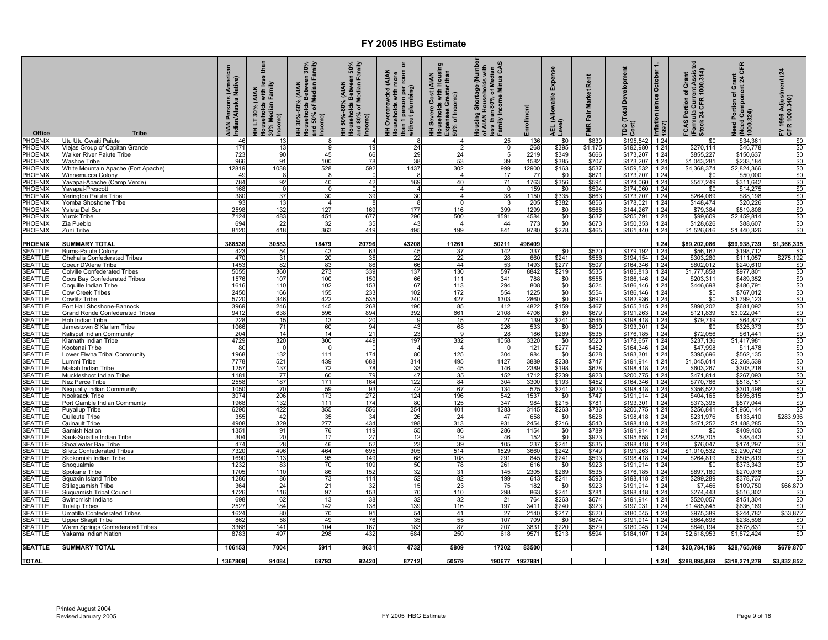| Office                           | <b>Tribe</b>                                               | AIAN Persons (American<br>Indian/Alaska Native) | than<br>less<br>HH LT 30% (AIAN<br>Households with less<br>30% Median Family<br>.<br>Income) | HH 30%-50% (AIAN<br>Households Between 30%<br>and 50% of Median Family<br>Income) | Households Between 50%<br>and 80% of Median Family<br>Income)<br>(AIAN<br>50%-80%<br>Ŧ | person per room or<br>HH Overcrowded (AIAN<br>Households with more<br>than 1 person per<br>without plumbing) | HH Severe Cost (AIAN<br>Households with Housing<br>Expenses Greater than<br>50% of Income) | Housing Shortage (Number<br>of AIAN Households with<br>less than 80% of Median<br>Family Income Minus CAS | Enrollment     | Expense<br>(Allowable<br>Level)<br>님 | Rent<br>Market<br>FMR Fair | Inflation (since October 1,<br>1997)<br><b>Total Development</b><br>$\frac{1}{2}$ | (Formula Current Assisted<br>Stock 24 CFR 1000.314)<br>FCAS Portion of Grant | CFR<br>Need Portion of Grant<br>  (Need Component 24 C<br>  1000.324) | (24)<br>FY 1996 Adjustment<br>CFR 1000.340) |
|----------------------------------|------------------------------------------------------------|-------------------------------------------------|----------------------------------------------------------------------------------------------|-----------------------------------------------------------------------------------|----------------------------------------------------------------------------------------|--------------------------------------------------------------------------------------------------------------|--------------------------------------------------------------------------------------------|-----------------------------------------------------------------------------------------------------------|----------------|--------------------------------------|----------------------------|-----------------------------------------------------------------------------------|------------------------------------------------------------------------------|-----------------------------------------------------------------------|---------------------------------------------|
| <b>PHOENIX</b>                   | Jtu Utu Gwaiti Paiute                                      | 46                                              | 13                                                                                           | 8                                                                                 | $\overline{4}$                                                                         | 8                                                                                                            |                                                                                            | 25                                                                                                        | 136            | \$0                                  | \$830                      | \$195,542<br>1.24                                                                 | \$0                                                                          | \$34,361                                                              | \$0                                         |
| <b>PHOENIX</b><br><b>PHOENIX</b> | Viejas Group of Capitan Grande                             | 171<br>723                                      | 13<br>90                                                                                     | 9<br>45                                                                           | 19<br>66                                                                               | 24<br>29                                                                                                     | 24                                                                                         | - 0                                                                                                       | 268<br>2219    | \$395<br>\$349                       | \$1,175<br>\$666           | \$192,980<br>1.24<br>\$173,207<br>1.24                                            | \$270,114<br>\$855,227                                                       | \$46,778<br>\$150,637                                                 | \$0<br>\$0                                  |
| <b>PHOENIX</b>                   | <b>Walker River Paiute Tribe</b><br><b>Washoe Tribe</b>    | 966                                             | 91                                                                                           | 100                                                                               | 78                                                                                     | 38                                                                                                           | 53                                                                                         | 39                                                                                                        | 1582           | \$385                                | \$707                      | \$173,207 1.24                                                                    | \$1,043,281                                                                  | \$233,184                                                             | \$0                                         |
| PHOENIX                          | White Mountain Apache (Fort Apache)                        | 12819                                           | 1038                                                                                         | 528                                                                               | 592                                                                                    | 1437                                                                                                         | 302                                                                                        | 999                                                                                                       | 12900          | \$163                                | \$537                      | \$159,532<br>1.24                                                                 | \$4,368,374                                                                  | \$2,824,366                                                           | \$0                                         |
| <b>PHOENIX</b>                   | <b>Winnemucca Colony</b>                                   | 49                                              |                                                                                              |                                                                                   | $\Omega$                                                                               |                                                                                                              | $\overline{4}$                                                                             | 17<br>71                                                                                                  | 77             | $\frac{$0}{$356}$                    | \$671<br>\$594             | \$173,207 1.24                                                                    | \$0                                                                          | \$50,000                                                              | \$0                                         |
| <b>PHOENIX</b><br><b>PHOENIX</b> | Yavapai-Apache (Camp Verde)<br>Yavapai-Prescott            | 784<br>168                                      | 92<br>$\Omega$                                                                               | 40<br>$\Omega$                                                                    | 42<br>$\Omega$                                                                         | 169<br>$\overline{4}$                                                                                        | 40<br>$\overline{4}$                                                                       | $\Omega$                                                                                                  | 1763<br>159    | \$0                                  | \$594                      | \$174,060<br>1.24<br>\$174,060<br>1.24                                            | \$547,249<br>\$0                                                             | \$311,642<br>\$14,275                                                 | \$0<br>\$0                                  |
| PHOENIX                          | <u>Yerington Paiute Tribe</u>                              | 380                                             | 37                                                                                           | 30                                                                                | 39                                                                                     | 30                                                                                                           | 4                                                                                          | 38                                                                                                        | 1150           | \$335                                | \$663                      | \$173,207<br>1.24                                                                 | \$264,069                                                                    | \$88,198                                                              | \$0                                         |
| PHOENIX                          | Yomba Shoshone Tribe                                       | 93                                              | 13                                                                                           | $\overline{4}$                                                                    | -8                                                                                     | 8                                                                                                            |                                                                                            |                                                                                                           | 205            | \$382                                | \$856                      | \$178,021<br>1.24                                                                 | \$148,474                                                                    | \$20,226                                                              | \$0                                         |
| <b>PHOENIX</b><br><b>PHOENIX</b> | Ysleta Del Sur<br><b>Yurok Tribe</b>                       | 2598<br>7124                                    | 132<br>483                                                                                   | 127<br>451                                                                        | 169<br>677                                                                             | 177<br>296                                                                                                   | 116<br>500                                                                                 | 399<br>1591                                                                                               | 1299<br>4584   | \$0<br>\$0                           | \$568<br>\$637             | \$144,267<br>1.24<br>\$205,791<br>1.24                                            | \$79,384<br>\$99,609                                                         | \$519,808<br>\$2,459,814                                              | \$0<br>\$0                                  |
| <b>PHOENIX</b>                   | Zia Pueblo                                                 | 694                                             | 22                                                                                           | 32                                                                                | 35                                                                                     | 43                                                                                                           | $\overline{a}$                                                                             | 44                                                                                                        | 773            | \$0                                  | \$673                      | \$150,353<br>1.24                                                                 | \$128,626                                                                    | \$88,607                                                              | \$0                                         |
| PHOENIX                          | Zuni Tribe                                                 | 8120                                            | 418                                                                                          | 363                                                                               | 419                                                                                    | 495                                                                                                          | 199                                                                                        | 841                                                                                                       | 9780           | \$278                                | \$465                      | \$161,440 1.24                                                                    | \$1,526,616                                                                  | \$1,440,326                                                           | \$0                                         |
|                                  |                                                            |                                                 |                                                                                              |                                                                                   |                                                                                        |                                                                                                              |                                                                                            |                                                                                                           |                |                                      |                            |                                                                                   |                                                                              |                                                                       |                                             |
| <b>PHOENIX</b><br><b>SEATTLE</b> | <b>SUMMARY TOTAL</b><br><b>Burns-Paiute Colony</b>         | 388538<br>423                                   | 30583<br>54                                                                                  | 18479<br>43                                                                       | 20796<br>63                                                                            | 43208<br>45                                                                                                  | 11261<br>37                                                                                | 50211<br>142                                                                                              | 496409<br>337  | \$0                                  | \$520                      | 1.24<br>\$179,192<br>1.24                                                         | \$89,202,086<br>\$56,162                                                     | \$99,938,739<br>\$198,712                                             | \$1,366,335<br>\$0                          |
| <b>SEATTLE</b>                   | <b>Chehalis Confederated Tribes</b>                        | 470                                             | 31                                                                                           | 20                                                                                | 35                                                                                     | 22                                                                                                           | 22                                                                                         | 28                                                                                                        | 660            | \$241                                | \$556                      | 1.24<br>\$194.154                                                                 | \$303,280                                                                    | \$111.057                                                             | \$275,192                                   |
| <b>SEATTLE</b>                   | Coeur D'Alene Tribe                                        | 1453                                            | 82                                                                                           | 83                                                                                | 86                                                                                     | 66                                                                                                           | 44                                                                                         | 53                                                                                                        | 1493           | \$277                                | \$507                      | \$164,346<br>1.24                                                                 | \$802,012                                                                    | \$240,610                                                             | \$0                                         |
| <b>SEATTLE</b>                   | <b>Colville Confederated Tribes</b>                        | 5055                                            | 360                                                                                          | 273                                                                               | 339                                                                                    | 137                                                                                                          | 130                                                                                        | 597                                                                                                       | 8842           | \$219                                | \$535                      | \$185,813<br>1.24                                                                 | \$1,777,858                                                                  | \$977,801                                                             | \$0                                         |
| <b>SEATTLE</b><br><b>SEATTLE</b> | Coos Bay Confederated Tribes<br>Coquille Indian Tribe      | 1576<br>1616                                    | 107<br>110                                                                                   | 100<br>102                                                                        | 150<br>153                                                                             | 66<br>67                                                                                                     | 111<br>113                                                                                 | 341<br>294                                                                                                | 788<br>808     | \$0<br>\$0                           | \$555<br>\$624             | \$186,146<br>1.24<br>\$186,146<br>1.24                                            | \$203.311<br>\$446,698                                                       | \$489,352<br>\$486,791                                                | \$0<br>\$0                                  |
| <b>SEATTLE</b>                   | <b>Cow Creek Tribes</b>                                    | 2450                                            | 166                                                                                          | 155                                                                               | 233                                                                                    | 102                                                                                                          | 172                                                                                        | 554                                                                                                       | 1225           | \$0                                  | \$554                      | \$186,146<br>1.24                                                                 | \$0                                                                          | \$767,012                                                             | \$0                                         |
| <b>SEATTLE</b>                   | Cowlitz Tribe                                              | 5720                                            | 346                                                                                          | 422                                                                               | 535                                                                                    | 240                                                                                                          | 427                                                                                        | 1303                                                                                                      | 2860           | $\frac{$0}{$159}$                    | \$690                      | \$182,936<br>1.24                                                                 | \$0                                                                          | \$1,799,123                                                           | \$0                                         |
| <b>SEATTLE</b>                   | Fort Hall Shoshone-Bannock                                 | 3969                                            | 246                                                                                          | 145                                                                               | 268                                                                                    | 190                                                                                                          | 85                                                                                         | 412                                                                                                       | 4822           |                                      | \$467                      | \$165,315<br>1.24                                                                 | \$890,202                                                                    | \$681,092                                                             | \$0                                         |
| SEATTLE<br>SEATTLE               | <b>Grand Ronde Confederated Tribes</b><br>Hoh Indian Tribe | 9412<br>228                                     | 638<br>15                                                                                    | 596<br>13                                                                         | 894<br>20                                                                              | 392<br>٥                                                                                                     | 661<br>15                                                                                  | 2108<br>27                                                                                                | 4706<br>139    | \$0<br>\$241                         | \$679<br>\$546             | \$191,263<br>1.24<br>\$198,418<br>1.24                                            | \$121,839<br>\$79,719                                                        | \$3,022,041<br>\$64,877                                               | \$0<br>\$0                                  |
| SEATTLE                          | Jamestown S'Klallam Tribe                                  | 1066                                            | 71                                                                                           | 60                                                                                | 94                                                                                     | 43                                                                                                           | 68                                                                                         | 226                                                                                                       | 533            | \$0                                  | \$609                      | \$193,301<br>1.24                                                                 | \$0                                                                          | \$325,373                                                             | \$0                                         |
| <b>SEATTLE</b>                   | <b>Kalispel Indian Community</b>                           | 204                                             | 14                                                                                           | 14                                                                                | 21                                                                                     | 23                                                                                                           |                                                                                            | 28                                                                                                        | 186            | \$269                                | \$535                      | \$176,185<br>1.24                                                                 | \$72,056                                                                     | \$61,441                                                              | \$0                                         |
| <b>SEATTLE</b>                   | Klamath Indian Tribe                                       | 4729                                            | 320                                                                                          | 300<br>$\Omega$                                                                   | 449                                                                                    | 197<br>$\overline{4}$                                                                                        | 332                                                                                        | 1058<br>- 0                                                                                               | 3320<br>121    | \$0<br>\$277                         | \$520<br>\$452             | \$178,657<br>1.24<br>\$164,346                                                    | \$237,136<br>\$47,998                                                        | \$1,417,981<br>\$11,478                                               | \$0<br>\$0                                  |
| <b>SEATTLE</b><br><b>SEATTLE</b> | Kootenai Tribe<br>ower Elwha Tribal Community.             | 80<br>1968                                      | 132                                                                                          | 1111                                                                              | 174                                                                                    | 80                                                                                                           | 125                                                                                        | 304                                                                                                       | 984            | \$0                                  | \$628                      | 1.24<br>\$193,301<br>1.24                                                         | \$395,696                                                                    | \$562,135                                                             | \$0                                         |
| <b>SEATTLE</b>                   | ummi Tribe.                                                | 7778                                            | 521                                                                                          | 439                                                                               | 688                                                                                    | 314                                                                                                          | 495                                                                                        | 1427                                                                                                      | 3889           | \$238                                | \$747                      | \$191,914<br>1.24                                                                 | \$1,045,614                                                                  | \$2,268,539                                                           | \$0                                         |
| <b>SEATTLE</b>                   | Makah Indian Tribe                                         | 1257                                            | 137                                                                                          | 72                                                                                | 78                                                                                     | 33                                                                                                           | 45                                                                                         | 146                                                                                                       | 2389           | \$198                                | \$628                      | \$198,418<br>1.24                                                                 | \$603,267                                                                    | \$303,218                                                             | \$0                                         |
| <b>SEATTLE</b><br><b>SEATTLE</b> | Muckleshoot Indian Tribe<br>Nez Perce Tribe                | 1181<br>2558                                    | 77<br>187                                                                                    | 60<br>171                                                                         | 79<br>164                                                                              | 47<br>122                                                                                                    | 35<br>84                                                                                   | 152<br>304                                                                                                | 1712<br>3300   | \$239<br>\$193                       | \$923<br>\$452             | \$200,775<br>1.24<br>\$164.346<br>1.24                                            | \$471,814<br>\$770.766                                                       | \$267,093<br>\$518,151                                                | \$0<br>\$0                                  |
| <b>SEATTLE</b>                   | <b>Nisqually Indian Community</b>                          | 1050                                            | 70                                                                                           | 59                                                                                | 93                                                                                     | 42                                                                                                           | 67                                                                                         | 134                                                                                                       | 525            | \$241                                | \$823                      | \$198,418<br>1.24                                                                 | \$356,522                                                                    | \$301,496                                                             | \$0                                         |
| SEATTLE                          | Nooksack Tribe                                             | 3074                                            | 206                                                                                          | 173                                                                               | 272                                                                                    | 124                                                                                                          | 196                                                                                        | 542                                                                                                       | 1537           | \$0                                  | \$747                      | 1.24<br>\$191,914                                                                 | \$404,165                                                                    | \$895,815                                                             | \$0                                         |
| SEATTLE<br><b>SEATTLE</b>        | Port Gamble Indian Community<br>Puyallup Tribe             | 1968<br>6290                                    | 132<br>422                                                                                   | $111$<br>355                                                                      | 174<br>556                                                                             | 80<br>254                                                                                                    | 125<br>401                                                                                 | 347<br>1283                                                                                               | 984<br>3145    | \$215                                | \$781                      | \$193,301<br>1.24<br>1.24                                                         | \$373,395                                                                    | \$577,044                                                             | \$0<br>\$0                                  |
| SEATTLE                          | Quileute Tribe                                             | 355                                             | 42                                                                                           | 35                                                                                | 34                                                                                     | 26                                                                                                           | 24                                                                                         | 47                                                                                                        | 658            | \$263<br>\$0                         | \$736<br>\$628             | \$200,775<br>\$198,418<br>1.24                                                    | \$256,841<br>\$231,976                                                       | \$1,956,144<br>\$133,410                                              | \$283,936                                   |
| SEATTLE                          | Quinault Tribe                                             | 4908                                            | 329                                                                                          | 277                                                                               | 434                                                                                    | 198                                                                                                          | 313                                                                                        | 931                                                                                                       | 2454           | \$216                                | \$540                      | \$198,418<br>1.24                                                                 | \$471,252                                                                    | \$1,488,285                                                           | \$0                                         |
| <b>SEATTLE</b>                   | Samish Nation                                              | 1351                                            | 91                                                                                           | 76                                                                                | 119                                                                                    | 55                                                                                                           | 86                                                                                         | 286                                                                                                       | 1154           | \$0                                  | \$789                      | \$191,914<br>1.24                                                                 | \$0                                                                          | \$409,400                                                             | \$0                                         |
| <b>SEATTLE</b><br>SEATTLE        | <u>Sauk-Suiattle Indian Tribe</u><br>Shoalwater Bay Tribe  | 304<br>474                                      | 20<br>28                                                                                     | 17<br>46                                                                          | 27<br>52                                                                               | 12<br>23                                                                                                     | 19<br>39                                                                                   | 46<br>105                                                                                                 | 152<br>237     | \$0<br>\$241                         | \$923<br>\$535             | \$195,658<br>1.24<br>1.24<br>\$198,418                                            | \$229,705<br>\$76,047                                                        | \$88,443<br>\$174,297                                                 | \$0<br>\$0                                  |
| <b>SEATTLE</b>                   | Siletz Confederated Tribes                                 | 7320                                            | 496                                                                                          | 464                                                                               | 695                                                                                    | 305                                                                                                          | 514                                                                                        | 1529                                                                                                      | 3660           | \$242                                | \$749                      | 1.24<br>\$191.263                                                                 | \$1.010.532                                                                  | \$2,290,743                                                           | \$0                                         |
| <b>SEATTLE</b>                   | Skokomish Indian Tribe                                     | 1690                                            | 113                                                                                          | 95                                                                                | 149                                                                                    | 68                                                                                                           | 108                                                                                        | 291                                                                                                       | 845            | \$241                                | \$593                      | 1.24<br>\$198,418                                                                 | \$264,819                                                                    | \$505,819                                                             | \$0                                         |
| <b>SEATTLE</b>                   | Snoqualmie                                                 | 1232                                            | 83<br>110                                                                                    | 70                                                                                | 109                                                                                    | 50                                                                                                           | 78<br>31                                                                                   | 261                                                                                                       | 616            | \$0                                  | \$923                      | 1.24<br>\$191,914                                                                 | \$0                                                                          | \$373,343                                                             | \$0                                         |
| <b>SEATTLE</b><br><b>SEATTLE</b> | Spokane Tribe<br>Squaxin Island Tribe                      | 1705<br>1286                                    | 86                                                                                           | 86<br>73                                                                          | 152<br>114                                                                             | 32<br>52                                                                                                     | 82                                                                                         | 145<br>199                                                                                                | 2305<br>643    | \$269<br>\$241                       | \$535<br>\$593             | \$176.185<br>1.24<br>\$198.418<br>1.24                                            | \$897.180<br>\$299,289                                                       | \$270,076<br>\$378,737                                                | \$0<br>\$0                                  |
| <b>SEATTLE</b>                   | Stillaguamish Tribe                                        | 364                                             | 24                                                                                           | 21                                                                                | 32                                                                                     | 15                                                                                                           | 23                                                                                         | 75                                                                                                        | 182            | \$0                                  | \$923                      | \$191.914<br>1.24                                                                 | \$7,466                                                                      | \$109,750                                                             | \$66,870                                    |
| <b>SEATTLE</b>                   | Suquamish Tribal Council                                   | 1726                                            | 116                                                                                          | 97                                                                                | 153                                                                                    | 70                                                                                                           | 110                                                                                        | 298                                                                                                       | 863            | \$241                                | \$781                      | \$198,418<br>1.24                                                                 | \$274,443                                                                    | \$516,302                                                             | \$0                                         |
| <b>SEATTLE</b><br><b>SEATTLE</b> | Swinomish Indians                                          | 698<br>2527                                     | 62<br>184                                                                                    | 13<br>142                                                                         | 38<br>138                                                                              | 32<br>139                                                                                                    | 32<br>116                                                                                  | 21<br>197                                                                                                 | 764<br>3411    | \$263<br>\$240                       | \$674                      | \$191.914<br>1.24<br>\$197,031<br>1.24                                            | \$520,057<br>\$1,485,845                                                     | \$151,304<br>\$636,169                                                | \$0                                         |
| SEATTLE                          | <b>Fulalip Tribes</b><br>Jmatilla Confederated Tribes      | 1624                                            | 80                                                                                           | 70                                                                                | 91                                                                                     | 54                                                                                                           | 41                                                                                         | 27                                                                                                        | 2140           | \$217                                | \$923<br>\$520             | 1.24<br>\$180,045                                                                 | \$975,389                                                                    | \$244,782                                                             | \$0<br>\$53,872                             |
| <b>SEATTLE</b>                   | Jpper Skagit Tribe                                         | 862                                             | 58                                                                                           | 49                                                                                | 76                                                                                     | 35                                                                                                           | 55                                                                                         | 107                                                                                                       | 709            | \$0                                  | \$674                      | \$191,914<br>1.24                                                                 | \$864,698                                                                    | \$238,598                                                             | \$0                                         |
| SEATTLE                          | <b>Warm Springs Confederated Tribes</b>                    | 3368                                            | 141                                                                                          | 104                                                                               | 167                                                                                    | 183                                                                                                          | 87                                                                                         | 207                                                                                                       | 3831           | \$220                                | \$529                      | \$180,045<br>1.24                                                                 | \$840,194                                                                    | \$578,831                                                             | \$0                                         |
| SEATTLE                          | Yakama Indian Nation                                       | 8783                                            | 497                                                                                          | 298                                                                               | 432                                                                                    | 684                                                                                                          | 250                                                                                        | 618                                                                                                       | 9571           | \$213                                | \$594                      | 1.24<br>\$184,107                                                                 | \$2,618,953                                                                  | \$1,872,424                                                           | \$0                                         |
| <b>SEATTLE</b>                   | <b>SUMMARY TOTAL</b>                                       | 106153                                          | 7004                                                                                         | 5911                                                                              | 8631                                                                                   | 4732                                                                                                         | 5809                                                                                       | 17202                                                                                                     | 83500          |                                      |                            | 1.24                                                                              | \$20,784,195                                                                 | \$28,765,089                                                          | \$679,870                                   |
| <b>TOTAL</b>                     |                                                            | 1367809                                         | 91084                                                                                        | 69793                                                                             | 92420                                                                                  | 87712                                                                                                        | 50579                                                                                      |                                                                                                           | 190677 1927981 |                                      |                            | 1.24                                                                              |                                                                              |                                                                       |                                             |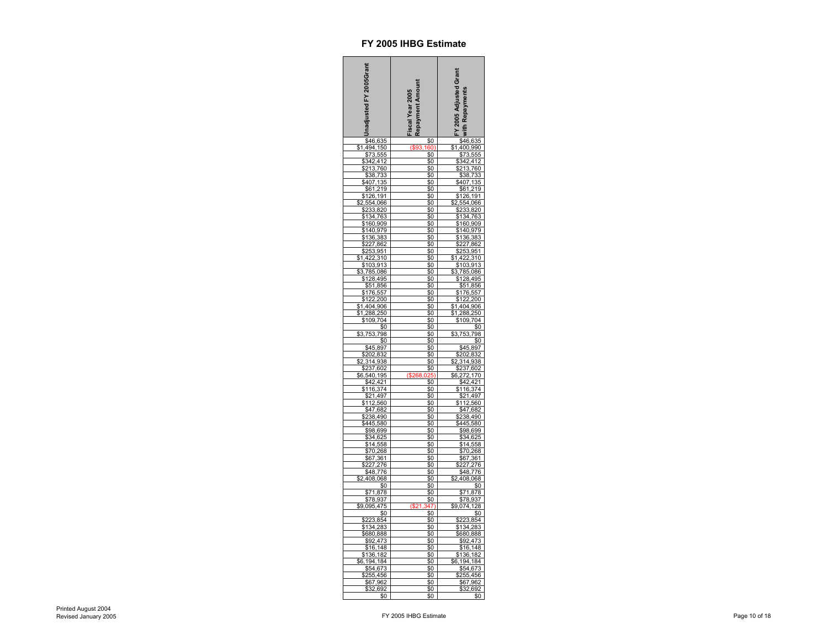| hadjusted FY 2005Grant                   | Repayment Amount<br><b>iscal Year 2005</b> | FY 2005 Adjusted Grant<br>with Repayments               |
|------------------------------------------|--------------------------------------------|---------------------------------------------------------|
| \$46,635<br>494,150                      | $\frac{1}{2}$                              | \$46,635<br>\$1,400,990                                 |
| \$1<br>\$73,555                          | <u> 160</u><br>\$0                         | 555                                                     |
| 342,412                                  | \$0                                        | 412                                                     |
| 213,<br>760                              | \$0                                        | $\frac{$342}{2213}$                                     |
|                                          | \$0                                        | 760<br>733<br>\$38                                      |
| _<br><u>\$38,733</u><br>\$407,135        | <u>\$0</u>                                 | ;407,<br>135                                            |
| \$61,219                                 | \$0                                        | \$61,219                                                |
| \$126,191                                | \$0                                        | \$126,191                                               |
| ,554<br>,066                             | \$0<br>\$0                                 | 2,554<br>066                                            |
| 233,820<br>134,763<br>160,909            | \$0                                        | \$233,820<br>\$134,763<br>\$160,909<br>\$140,979        |
|                                          | \$0                                        |                                                         |
| \$140,979                                | \$0                                        |                                                         |
| 136,383                                  | \$0                                        | \$136<br>,383                                           |
| 86<br>7                                  | \$0                                        | 862<br>$\frac{1}{27}$                                   |
| 25<br>,95<br>3<br>1                      | \$0                                        | 253,95<br>1                                             |
| 422,310<br>\$<br>\$103,913               | \$0<br>\$0                                 | 422,310<br>\$<br>103,913                                |
| 3,785,086<br>Ŝ                           | \$0                                        | \$<br>3,785,086                                         |
| 128,495                                  | \$0                                        | \$128,495                                               |
| \$51<br>,856                             | \$0                                        | ,856<br>\$51                                            |
| \$1<br>76<br>557                         | \$0                                        | \$176<br>557                                            |
| 122<br><u> 200</u>                       |                                            | \$122<br>200                                            |
| 404,906<br>\$<br>1,                      | \$0                                        | 906<br>1,404                                            |
| $\frac{250}{250}$<br>288<br>\$1<br>\$109 | \$0<br>\$0                                 | 288,<br>250<br>\$1,<br>\$109<br>704                     |
| \$0                                      | \$0                                        | \$0                                                     |
| \$3,<br>753,<br>798                      | \$0                                        | \$3.<br>753<br>798                                      |
| \$0                                      | \$0                                        | \$0                                                     |
| \$45,897                                 | \$0                                        | \$45,897                                                |
| \$202,832                                | \$0                                        | \$202,832                                               |
| ,938<br>314<br>\$237<br>,602             | \$0<br>\$0                                 | 314,938<br>602                                          |
| \$6,540<br><u>195</u>                    |                                            | $$237$<br>$$6,272$<br>1<br>70                           |
| 1                                        |                                            |                                                         |
| \$42<br>116<br>$\frac{4}{3}$<br>74       | \$0                                        | \$42<br>116<br>421<br>374                               |
| \$21,497                                 | \$0                                        | \$21<br>,497                                            |
| 560<br>112                               | \$0                                        | 112<br>560                                              |
| \$47,682<br>238,490<br>S                 | \$0<br>\$0                                 | \$47,682<br>238,490<br>Ś                                |
| 445,580                                  | \$0                                        | \$445,580                                               |
| \$98,699                                 | \$0                                        | \$98,699                                                |
| \$34,625                                 | \$0                                        | \$34,625                                                |
| \$14                                     | \$0                                        | \$14<br>558                                             |
| \$70,268                                 | \$0                                        | \$70,<br>268                                            |
| \$67,361<br>227,276<br>\$48,776          | <u>\$0</u>                                 | $\frac{$67,361}{$227,276}$ $\frac{$48,776}{$2,408,068}$ |
|                                          | \$0<br>\$0                                 |                                                         |
| 408,068<br>\$2                           | \$0                                        |                                                         |
| \$0                                      | \$0                                        | \$0                                                     |
| 1<br>878                                 | \$0                                        | \$71<br>878                                             |
| \$78,937                                 | \$0                                        | \$78<br>937                                             |
| $\frac{$9,095,475}{0}$                   | (S21)                                      | \$9,074<br>$\frac{128}{\$0}$                            |
| \$223,854                                | \$0<br>\$0                                 | \$223                                                   |
| 28<br>\$1<br>34                          | \$0                                        | $\frac{854}{283}$<br>34<br>\$1                          |
| 680,888                                  | \$0                                        | 680,888                                                 |
| \$92,47                                  | \$0                                        | 473                                                     |
| \$16, 148                                | \$0                                        | 148<br>\$16,                                            |
| \$136,182                                | \$0                                        | \$136,182                                               |
| 194<br>184<br>\$54<br>,673               | \$0<br>\$0                                 | 184<br>194<br>\$54,673                                  |
| \$255<br>,456                            | \$0                                        | \$255                                                   |
| \$67,962                                 | \$0                                        | 255,456<br>\$67,962                                     |
| \$32,692                                 | \$0                                        | \$32,692                                                |
| \$0                                      | \$0                                        | \$0                                                     |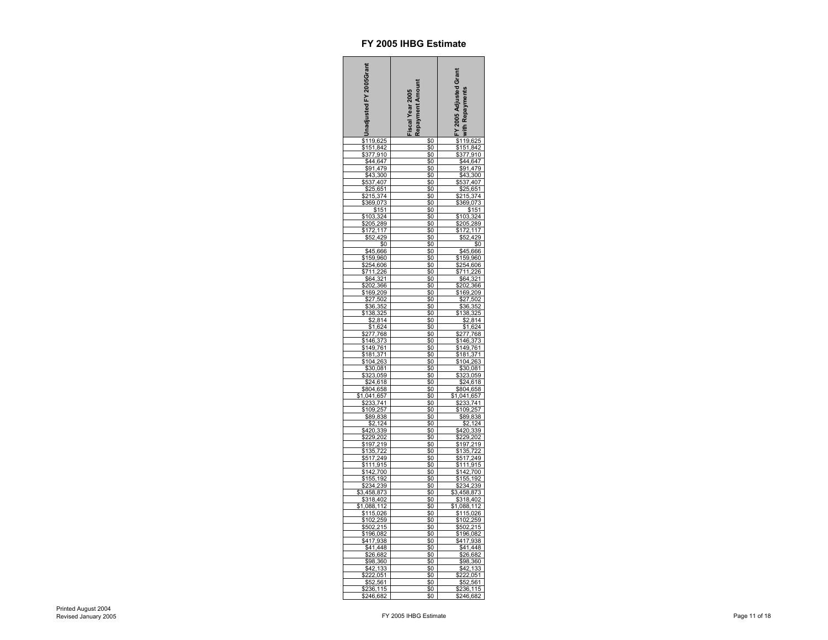| Unadjusted FY 2005Grant                                                                                                                                                                                                                                                                        | Repayment Amount<br>Fiscal Year 2005 | FY 2005 Adjusted Grant<br>with Repayments                                                                                                                                                                                                                |
|------------------------------------------------------------------------------------------------------------------------------------------------------------------------------------------------------------------------------------------------------------------------------------------------|--------------------------------------|----------------------------------------------------------------------------------------------------------------------------------------------------------------------------------------------------------------------------------------------------------|
| $\frac{2}{119}$<br>,625                                                                                                                                                                                                                                                                        | \$0                                  |                                                                                                                                                                                                                                                          |
|                                                                                                                                                                                                                                                                                                | $\$0$<br>\$0                         |                                                                                                                                                                                                                                                          |
|                                                                                                                                                                                                                                                                                                | \$0                                  |                                                                                                                                                                                                                                                          |
| \$151,842<br>\$151,842<br>\$377,910<br>\$44,647<br>\$91,479                                                                                                                                                                                                                                    | \$0                                  |                                                                                                                                                                                                                                                          |
| $\frac{$43,300}{$537,407}$                                                                                                                                                                                                                                                                     | \$0                                  | $\frac{$19,625}{$119,625$$<br>$$377,910$<br>$$44,647$<br>$$91,479$<br>$$43,300$<br>$$537,407$<br>$$43,300$<br>$$537,407$                                                                                                                                 |
| 407<br>651                                                                                                                                                                                                                                                                                     | \$0                                  |                                                                                                                                                                                                                                                          |
|                                                                                                                                                                                                                                                                                                | \$0                                  | 25,651                                                                                                                                                                                                                                                   |
| $\frac{\frac{322}{215,374}}{\frac{369,073}{924}}$                                                                                                                                                                                                                                              |                                      | \$215,374<br>\$215,374<br>\$369,073<br>\$103,324                                                                                                                                                                                                         |
|                                                                                                                                                                                                                                                                                                | \$0                                  |                                                                                                                                                                                                                                                          |
|                                                                                                                                                                                                                                                                                                | \$0                                  |                                                                                                                                                                                                                                                          |
|                                                                                                                                                                                                                                                                                                | \$0                                  | $\frac{$205,289}{$172,117}$                                                                                                                                                                                                                              |
|                                                                                                                                                                                                                                                                                                | \$0                                  |                                                                                                                                                                                                                                                          |
|                                                                                                                                                                                                                                                                                                | \$0                                  |                                                                                                                                                                                                                                                          |
| $\frac{$103,324}{$205,289$} \times 172,117$                                                                                                                                                                                                                                                    | \$0<br>\$0                           |                                                                                                                                                                                                                                                          |
| \$159,960                                                                                                                                                                                                                                                                                      | \$0                                  | \$159,960                                                                                                                                                                                                                                                |
|                                                                                                                                                                                                                                                                                                | \$0                                  |                                                                                                                                                                                                                                                          |
|                                                                                                                                                                                                                                                                                                | \$0                                  |                                                                                                                                                                                                                                                          |
|                                                                                                                                                                                                                                                                                                | $\frac{1}{2}$                        |                                                                                                                                                                                                                                                          |
|                                                                                                                                                                                                                                                                                                | \$0                                  |                                                                                                                                                                                                                                                          |
|                                                                                                                                                                                                                                                                                                | \$0<br>\$0                           |                                                                                                                                                                                                                                                          |
|                                                                                                                                                                                                                                                                                                | \$0                                  |                                                                                                                                                                                                                                                          |
|                                                                                                                                                                                                                                                                                                | \$0                                  |                                                                                                                                                                                                                                                          |
|                                                                                                                                                                                                                                                                                                | \$0                                  |                                                                                                                                                                                                                                                          |
|                                                                                                                                                                                                                                                                                                | \$0<br>\$0                           |                                                                                                                                                                                                                                                          |
|                                                                                                                                                                                                                                                                                                | \$0                                  |                                                                                                                                                                                                                                                          |
|                                                                                                                                                                                                                                                                                                |                                      |                                                                                                                                                                                                                                                          |
| 9192380<br>S254.606<br>\$711.226<br>\$26.366<br>\$64.321<br>\$202,366<br>\$277.768<br>\$277.768<br>\$413.325<br>\$1104.263<br>\$2277.768<br>\$2277.768<br>\$2277.768<br>\$2277.768<br>\$224.618<br>\$224.618<br>\$224.618<br>\$224.618<br>\$224.618<br>\$224.618<br>\$224.618<br>\$224.618<br> | \$0<br>\$0                           | 9192, 2020<br>SEAL 2020, 2020<br>SEAL 2020, 2020<br>SEAL 3222, 366<br>SEAL 3222, 366<br>SEAL 32277, 768<br>SEAL 3230, 2021<br>SEAL 34149, 761<br>SEAL 34149, 761<br>SEAL 3530, 082<br>SEAL 3530, 082<br>SEAL 3530, 082<br>SEAL 3530, 362<br>SEAL 3530, 3 |
|                                                                                                                                                                                                                                                                                                | \$0                                  |                                                                                                                                                                                                                                                          |
|                                                                                                                                                                                                                                                                                                |                                      |                                                                                                                                                                                                                                                          |
|                                                                                                                                                                                                                                                                                                | \$0                                  |                                                                                                                                                                                                                                                          |
|                                                                                                                                                                                                                                                                                                | \$0<br>\$0                           |                                                                                                                                                                                                                                                          |
| \$                                                                                                                                                                                                                                                                                             | \$0                                  | \$                                                                                                                                                                                                                                                       |
|                                                                                                                                                                                                                                                                                                | \$0                                  |                                                                                                                                                                                                                                                          |
|                                                                                                                                                                                                                                                                                                | \$0                                  |                                                                                                                                                                                                                                                          |
|                                                                                                                                                                                                                                                                                                | \$0                                  |                                                                                                                                                                                                                                                          |
|                                                                                                                                                                                                                                                                                                | \$0<br>\$0                           |                                                                                                                                                                                                                                                          |
|                                                                                                                                                                                                                                                                                                | \$0                                  |                                                                                                                                                                                                                                                          |
| <b>9420,339<br/> 9229,202<br/> 9229,202<br/> 935,722<br/> 9517,249<br/> 9517,249<br/> 9517,249<br/> 9334,239<br/> 9334,239<br/> 9334,239<br/> 9318,402<br/> 9115,026<br/> 9110,026<br/> 9110,026<br/> 9110,026<br/> 9110,026</b>                                                               | \$0                                  | $\frac{$2,124}{$420,339}$<br>$\frac{$229,202}{$197,219}$<br>$\frac{$135,722}{$517,249}$<br>$\frac{$11,915}{$141,915}$                                                                                                                                    |
|                                                                                                                                                                                                                                                                                                | \$0<br>\$0                           |                                                                                                                                                                                                                                                          |
|                                                                                                                                                                                                                                                                                                |                                      |                                                                                                                                                                                                                                                          |
|                                                                                                                                                                                                                                                                                                | \$0                                  |                                                                                                                                                                                                                                                          |
|                                                                                                                                                                                                                                                                                                | \$0<br>\$0                           |                                                                                                                                                                                                                                                          |
|                                                                                                                                                                                                                                                                                                | \$0                                  |                                                                                                                                                                                                                                                          |
|                                                                                                                                                                                                                                                                                                | \$0                                  |                                                                                                                                                                                                                                                          |
|                                                                                                                                                                                                                                                                                                | \$0                                  |                                                                                                                                                                                                                                                          |
|                                                                                                                                                                                                                                                                                                | \$0                                  |                                                                                                                                                                                                                                                          |
|                                                                                                                                                                                                                                                                                                | \$0<br>\$Ō                           | \$111,915<br>\$142,700<br>\$155,192<br>\$234,239<br>3,458,873<br>\$318,402<br>\$115,026<br>\$102,259                                                                                                                                                     |
|                                                                                                                                                                                                                                                                                                | \$0                                  |                                                                                                                                                                                                                                                          |
|                                                                                                                                                                                                                                                                                                | \$0                                  |                                                                                                                                                                                                                                                          |
| $\frac{$18268}{$502,215}$<br>$$196,082$<br>$$417,938$                                                                                                                                                                                                                                          | \$0                                  | <u>\$102,200</u><br>\$502,215<br>\$196,082<br>\$417,938                                                                                                                                                                                                  |
| \$41<br>448                                                                                                                                                                                                                                                                                    | \$0                                  |                                                                                                                                                                                                                                                          |
| \$26,682<br>\$26,682<br>\$98,360<br>\$42,133                                                                                                                                                                                                                                                   | \$0<br>\$0                           | \$41,448<br>\$41,448<br>\$26,682<br>\$98,360<br>\$42,133                                                                                                                                                                                                 |
|                                                                                                                                                                                                                                                                                                | \$0                                  |                                                                                                                                                                                                                                                          |
|                                                                                                                                                                                                                                                                                                | \$0                                  |                                                                                                                                                                                                                                                          |
| $\frac{$42,188}{$222,051$$ \$52,561<br>\$236,115                                                                                                                                                                                                                                               | \$0                                  | $\frac{$222.051}{$52,561}$<br>$$236,115$<br>$$246,682$                                                                                                                                                                                                   |
|                                                                                                                                                                                                                                                                                                | \$0                                  |                                                                                                                                                                                                                                                          |
| \$246,682                                                                                                                                                                                                                                                                                      | \$0                                  |                                                                                                                                                                                                                                                          |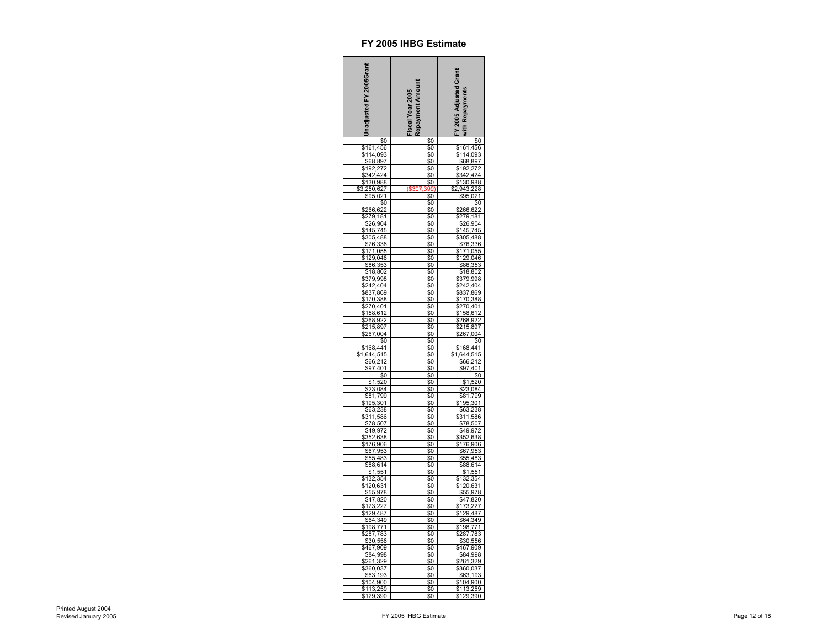| Inadjusted FY 2005Grant                                                                                                                                           | Fiscal Year 2005<br>Repayment Amount | FY 2005 Adjusted Grant<br>with Repayments                                                                                                                               |
|-------------------------------------------------------------------------------------------------------------------------------------------------------------------|--------------------------------------|-------------------------------------------------------------------------------------------------------------------------------------------------------------------------|
| \$0                                                                                                                                                               | \$0                                  | \$0                                                                                                                                                                     |
|                                                                                                                                                                   | \$0                                  | \$161,456                                                                                                                                                               |
|                                                                                                                                                                   | \$0                                  |                                                                                                                                                                         |
| \$161,456<br>\$114,093<br>\$68,897<br>\$192,272                                                                                                                   | \$0                                  | \$114,093<br>\$68,897<br>\$192,272                                                                                                                                      |
| \$342,424                                                                                                                                                         | \$0<br><u>\$0</u>                    | \$342,424                                                                                                                                                               |
| \$130<br>988                                                                                                                                                      |                                      | \$130<br>,988                                                                                                                                                           |
| 250,627                                                                                                                                                           |                                      | 943                                                                                                                                                                     |
| $\frac{$95,021}{$95,021}$                                                                                                                                         |                                      | \$95,021                                                                                                                                                                |
|                                                                                                                                                                   |                                      | \$0                                                                                                                                                                     |
|                                                                                                                                                                   | \$0                                  | \$266,622                                                                                                                                                               |
| \$279,181                                                                                                                                                         | \$0                                  | \$279,<br>18<br>1                                                                                                                                                       |
| 904<br>\$26                                                                                                                                                       | \$0<br>\$0                           | \$26                                                                                                                                                                    |
|                                                                                                                                                                   | \$0                                  |                                                                                                                                                                         |
|                                                                                                                                                                   | \$0                                  |                                                                                                                                                                         |
| <u>1445,745</u><br>145,745 <u>145,745</u><br><u>\$305,488</u><br><u>\$171,0</u> 55<br>\$120                                                                       | \$0                                  | \$145,745<br>\$145,745<br>\$305,488<br>\$171,055                                                                                                                        |
| \$129,046                                                                                                                                                         | \$0                                  | \$129,046                                                                                                                                                               |
| \$86<br>,353                                                                                                                                                      | \$0                                  | \$86,353                                                                                                                                                                |
|                                                                                                                                                                   | \$0                                  |                                                                                                                                                                         |
|                                                                                                                                                                   | <u>\$0</u>                           |                                                                                                                                                                         |
|                                                                                                                                                                   | \$0                                  |                                                                                                                                                                         |
|                                                                                                                                                                   | \$0<br>\$0                           |                                                                                                                                                                         |
|                                                                                                                                                                   | \$0                                  |                                                                                                                                                                         |
|                                                                                                                                                                   | \$0                                  |                                                                                                                                                                         |
|                                                                                                                                                                   | \$0                                  |                                                                                                                                                                         |
|                                                                                                                                                                   | \$0                                  |                                                                                                                                                                         |
| \$86,353<br>\$18,802<br>\$379,998<br>\$242,404<br>\$837,869<br>\$170,388<br>\$270,401<br>\$158,612<br>\$268,922<br>\$267,004<br>\$06,922<br>\$267,004<br>\$87,897 | \$0                                  | \$18,802<br>\$379,998<br>\$242,404<br>\$837,869<br>\$242,404<br>\$170,388<br>\$270,401<br>\$158,612<br>\$268,922<br>\$268,922<br>\$267,004<br>\$0                       |
|                                                                                                                                                                   | \$0                                  |                                                                                                                                                                         |
| $\frac{$168,441}{$1,644,515}$<br>$$66,212$                                                                                                                        | \$0<br>\$0                           | $$168,441$<br>$$1,644,515$<br>$$66,212$                                                                                                                                 |
|                                                                                                                                                                   | \$0                                  |                                                                                                                                                                         |
| 401                                                                                                                                                               |                                      | 401<br>\$97.                                                                                                                                                            |
| \$0                                                                                                                                                               | \$0                                  | \$0                                                                                                                                                                     |
| ,520<br>,084<br>\$1                                                                                                                                               | \$0                                  | \$1,520                                                                                                                                                                 |
| \$23                                                                                                                                                              | \$0                                  |                                                                                                                                                                         |
| $\frac{1}{1}$<br>799                                                                                                                                              | \$0<br>\$0                           |                                                                                                                                                                         |
| 301<br>238                                                                                                                                                        | \$0                                  |                                                                                                                                                                         |
| $\frac{$195}{$63}$<br>$$311$<br>,586                                                                                                                              | \$0                                  | \$1,520<br>\$23,084<br>\$81,799<br>195,301<br>\$63,238<br>311,586<br>$$63$<br>$$311$                                                                                    |
| \$78<br>,507                                                                                                                                                      | \$0                                  | \$78,507                                                                                                                                                                |
|                                                                                                                                                                   | \$0                                  |                                                                                                                                                                         |
|                                                                                                                                                                   | \$0                                  |                                                                                                                                                                         |
| $\frac{$16,307}{$49,972$}$ $\frac{$352,638}{$176,906$}$ $\frac{$67,953}{$55,483$}$ $\frac{$88,614}{$4.554}$                                                       | \$0                                  | $\frac{$16,307}{$49,972$}$ $\frac{$352,638}{$176,906$}$ $\frac{$67,953}{$55,483$}$ $\frac{$88,614}{$4.554}$                                                             |
|                                                                                                                                                                   | \$0<br>\$0                           |                                                                                                                                                                         |
|                                                                                                                                                                   |                                      |                                                                                                                                                                         |
| $\frac{$3,051}{$1,551}$<br>$$132,354$<br>$$120,631$<br>$$55,978$<br>$$47,820$                                                                                     |                                      | $\frac{$30,014}{$1,551}$<br>$$132,354$<br>$$120,631$<br>$$55,978$<br>$$47,820$                                                                                          |
|                                                                                                                                                                   | \$0<br>\$0                           |                                                                                                                                                                         |
|                                                                                                                                                                   |                                      |                                                                                                                                                                         |
|                                                                                                                                                                   | \$0                                  |                                                                                                                                                                         |
|                                                                                                                                                                   | \$0                                  |                                                                                                                                                                         |
| $\frac{1}{173}$<br>\$129<br>,227                                                                                                                                  | \$0<br>\$Ō                           | 73,227<br>29,487                                                                                                                                                        |
| 487<br>349                                                                                                                                                        | \$0                                  | $\frac{$129,487}{$64,349$}$ $\frac{$64,349}{$198,771$}$ $\frac{$287,783}{$30,556$}$ $\frac{$467,909}{$84,998$}$ $\frac{$261,329}{$360,037$}$ $\frac{$63,403}{$63,103$}$ |
|                                                                                                                                                                   | \$0                                  |                                                                                                                                                                         |
| ,771<br>,783<br>,556                                                                                                                                              | \$0                                  |                                                                                                                                                                         |
|                                                                                                                                                                   | \$0                                  |                                                                                                                                                                         |
| ,909                                                                                                                                                              | \$0                                  |                                                                                                                                                                         |
| ,998                                                                                                                                                              | \$0                                  |                                                                                                                                                                         |
|                                                                                                                                                                   | \$0<br>\$0                           |                                                                                                                                                                         |
| , <del>990</del><br>,329<br>,037<br>,193                                                                                                                          | \$0                                  | \$63,<br>193                                                                                                                                                            |
| \$360,037<br>\$360,037<br>\$63,193<br>\$104,900                                                                                                                   | \$0                                  | \$104,900                                                                                                                                                               |
| \$113,259<br>\$129,390                                                                                                                                            | \$0                                  | \$113,259<br>\$129,390                                                                                                                                                  |
|                                                                                                                                                                   | \$0                                  |                                                                                                                                                                         |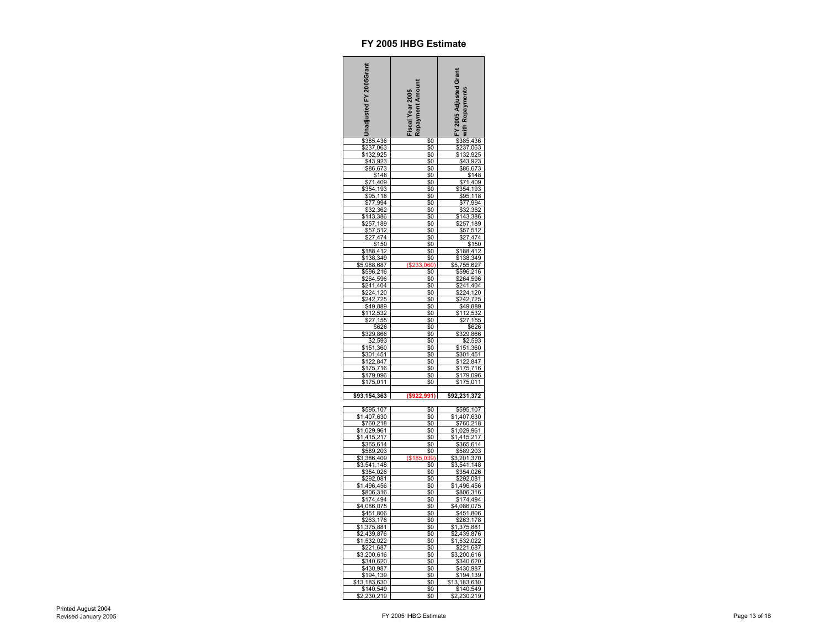| hadjusted FY 2005Grant                                           | Fiscal Year 2005<br>Repayment Amount | FY 2005 Adjusted Grant<br>with Repayments                    |
|------------------------------------------------------------------|--------------------------------------|--------------------------------------------------------------|
| \$385,436                                                        | \$0                                  | \$385,436                                                    |
| \$237,063                                                        | \$0                                  | \$237,063                                                    |
| \$132,925                                                        | \$0                                  | \$132,925                                                    |
| \$43,<br>92<br>\$86,673                                          | \$0<br>\$0                           | \$43<br>923<br>\$86,673                                      |
| \$148                                                            | \$0                                  | \$148                                                        |
| \$71,409                                                         | \$0                                  | \$71,409                                                     |
| \$354,193                                                        | \$0                                  | \$354,193                                                    |
| \$95,118                                                         | \$0                                  | \$95,118                                                     |
| \$77,994                                                         | \$0                                  | \$77,994                                                     |
| \$32,362<br>\$143,386                                            | \$0<br>\$0                           | \$32,362<br>143,<br>386                                      |
| \$257,189                                                        | \$0                                  | $\sqrt{257,189}$                                             |
| \$57,512                                                         | \$0                                  | \$57,512                                                     |
| \$27,474                                                         | \$0                                  | \$27,474                                                     |
| \$150                                                            | \$0                                  | \$150                                                        |
| \$188,412                                                        | \$0                                  | \$188,412                                                    |
| \$138,349                                                        | \$0                                  | \$138,349                                                    |
| \$5,988,687<br>\$596,216                                         | (\$233,060)<br>\$0                   | \$5,755,627<br>\$596,216                                     |
| 264,596                                                          | \$0                                  | \$264,596                                                    |
|                                                                  | \$0                                  |                                                              |
| $\frac{241,404}{224,120}$                                        | <u>\$0</u>                           |                                                              |
|                                                                  | \$0                                  | \$241,404<br>\$224,120<br>\$242,725                          |
| \$49,889                                                         | \$0                                  | \$49,<br>889                                                 |
| \$112,532<br>27<br>155                                           | \$0<br>\$0                           | 12,532<br>\$1<br>$\frac{1}{155}$<br>7                        |
| \$626                                                            | \$0                                  | \$626                                                        |
|                                                                  | \$0                                  |                                                              |
| \$329,866<br>\$2,593                                             | \$0                                  | \$329,866<br>\$2,593                                         |
| \$151,360                                                        | \$0                                  | \$151,360                                                    |
| 301<br>,451                                                      | \$0                                  | \$301<br>,451                                                |
| 122,847<br>1<br>75<br>716                                        | \$0<br>\$0                           | 122.<br>847<br>\$175<br>716                                  |
| 179,096                                                          | \$0                                  | 179,096                                                      |
| \$175,011                                                        | \$0                                  | \$175,011                                                    |
|                                                                  |                                      |                                                              |
| \$93,154,363                                                     | ( \$922.991)                         | \$92,231,372                                                 |
| \$595,107                                                        |                                      | \$595,107                                                    |
| \$1,407,630                                                      | \$0<br>\$0                           | \$1,407,630                                                  |
| \$760,2<br>18                                                    | \$0                                  | \$760,2<br>18                                                |
| \$1<br>029,961,<br>415,217                                       | \$0                                  |                                                              |
|                                                                  | \$0                                  |                                                              |
| $\frac{$1,415,217}{$365,614$}$<br>$\frac{$365,614}{$3,386,409$}$ | \$0                                  | $51,029,961$ $51,415,217$ $5365,614$ $5589,203$ $53,201,370$ |
|                                                                  | ( \$185                              |                                                              |
| 3,541,148                                                        | \$0                                  | 3,541,148                                                    |
|                                                                  | \$0                                  | \$354,026                                                    |
| \$354,026<br>\$292,081                                           | \$0                                  | \$292,081                                                    |
| \$1,496,456<br>\$806,316                                         | \$0                                  | $$1,496,456$<br>$$806,316$                                   |
|                                                                  | \$0                                  |                                                              |
| \$174,494<br>\$4,086,075                                         | \$0<br>\$0                           | \$174,494<br>\$4,086,075                                     |
| \$451,806                                                        | \$0                                  | \$451,806                                                    |
|                                                                  | \$0                                  |                                                              |
| \$263,178<br>1,375,881                                           | \$0                                  | \$263,178<br>1,375,881<br>\$1,                               |
| 2,439,876                                                        | \$0                                  | 2,439,876<br>S                                               |
| \$1,532,022                                                      | \$0                                  | \$1,532,022                                                  |
| 21,687<br>\$3,200,616                                            | \$0<br>\$0                           | ,687<br>21<br>\$3,200,616                                    |
| \$340,620                                                        | \$0                                  | \$340,620                                                    |
| \$430,987                                                        | \$0                                  | \$430,987                                                    |
| \$194,139                                                        | \$0                                  | \$194,139                                                    |
| \$13,183,630                                                     | \$0                                  | \$13,183,630                                                 |
| \$140,549<br>2,230,219<br>\$2<br>219                             | \$0<br>\$0                           | \$140,549<br>2,230,219<br>\$2,230                            |
|                                                                  |                                      |                                                              |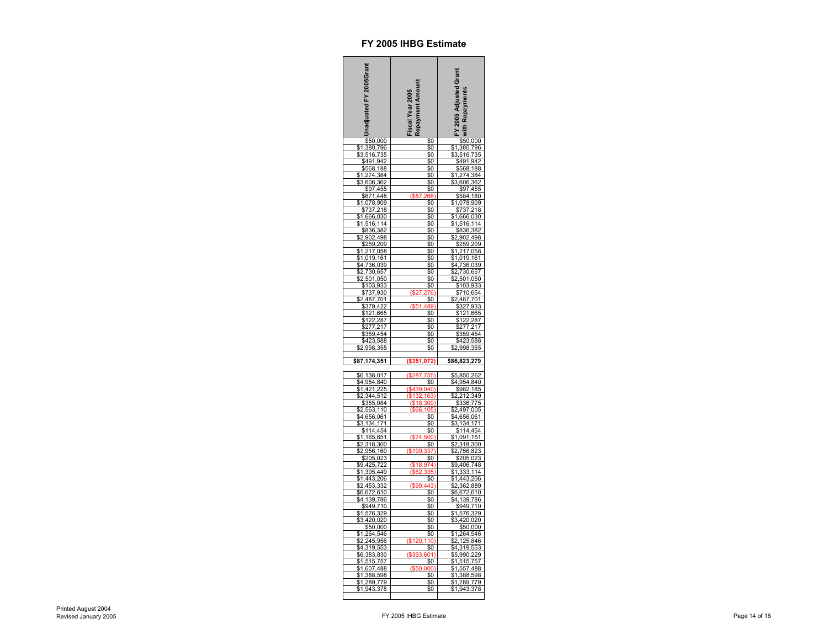| nadjusted FY 2005Grant                  | lepayment Amount<br>iscal Year 2005 | FY 2005 Adjusted Grant<br>ith Repayments |
|-----------------------------------------|-------------------------------------|------------------------------------------|
| \$50,000<br>380,796                     | \$0                                 | \$50,000<br>380,796                      |
| \$1                                     | \$0                                 | \$1                                      |
| \$3,516<br>735                          | \$0                                 | \$3,516<br>735                           |
| \$491<br>94                             | \$0                                 | \$491<br>94                              |
| 188<br>\$568<br>274<br>\$<br>384        | \$0<br>\$0                          | \$568<br>188<br>274<br>384<br>\$         |
| 606,36                                  | <u>\$0</u>                          | 606,36                                   |
| \$97,455                                | \$0                                 | \$97,455                                 |
| \$671<br>,448                           | 68<br>68.R                          | 584<br>,180                              |
| 078<br>909<br>1                         | \$0                                 | 078<br>909                               |
| \$737<br>218                            | \$0                                 | \$737<br>218                             |
| ,666,0;<br>30<br>1                      | \$0                                 | ,666,03<br>30<br>1                       |
| 16<br>1                                 | \$0                                 | 16<br>1<br>14                            |
| \$836<br>382<br>902<br>,498             | \$0<br>\$0                          | \$836<br>382<br>902<br>498               |
| 259<br>209                              | \$0                                 | 259<br>209                               |
| S<br>$\overline{2}1$<br>7<br>,058       | \$0                                 | \$<br>217,<br>058                        |
| ,019<br>\$<br>1<br>,161                 | \$0                                 | 019,161<br>\$1                           |
| 736,039<br>\$4                          | \$0                                 | 736,039<br>\$4                           |
| ,730,657<br>\$2                         | \$0                                 | 730,657<br>\$2                           |
| ,501<br>,050                            | \$0                                 | ,501<br>,050<br>2                        |
| 103<br>9,<br>3                          |                                     | 103<br>9                                 |
| \$737<br>,930<br>487                    |                                     | 710,654<br>487<br>70                     |
| \$379,422                               |                                     | 327<br>93                                |
| 121,665                                 | \$0                                 | 121<br>,665                              |
| 22                                      | \$0                                 | 22                                       |
| 7.<br>27<br>21<br>S                     | \$0                                 | 7.<br>27<br>21                           |
| 359<br>,45                              | \$0                                 | 359,45                                   |
| \$423,588<br>\$2,998,355                | \$0<br>\$0                          | \$423,<br>588<br>\$2,998,355             |
|                                         |                                     |                                          |
| \$87,174,351                            | .072<br>\$351                       | \$86,823,279                             |
| 138<br>\$6<br>,01<br>7                  |                                     | 850,262<br>\$5                           |
| \$4                                     | \$0                                 | 1,954,840<br>\$982,185<br>\$4            |
| 954,840<br>421,225<br>بري,<br>421,<br>1 |                                     |                                          |
| 344<br>5<br>1                           |                                     | 212<br>3<br>g                            |
| 355<br>084                              |                                     | 336<br>7<br>$\overline{7}5$              |
| \$2,563<br>,110<br>\$4<br>656,06        | \$0                                 | 2,497<br>.005<br>\$4<br>656              |
| 134,<br>1                               | \$0                                 | 134.                                     |
| 114,454                                 | \$0                                 | \$114,454                                |
| 165,651<br>\$<br>1                      | 1\$<br>74<br>oο                     | 091<br>151<br>\$1                        |
| 18<br>300                               |                                     | 318<br>300                               |
| 956,160                                 |                                     | 756,82                                   |
| 205,02<br>\$9                           |                                     | \$205,02<br>748                          |
| 7<br>395<br>\$<br>1<br>,449             |                                     | \$9<br>406<br>333<br>1<br>\$             |
| 443<br>206<br>\$<br>1                   | \$0                                 | 443<br>206<br>\$<br>1                    |
| 3                                       |                                     | 36<br>$\overline{2}$<br>889              |
| 672<br>610<br>\$6                       | \$0                                 | 672<br>610<br>\$6                        |
| 139,786<br>\$4                          | \$0                                 | 139,<br>\$4<br>786                       |
| \$949,710                               | \$0                                 | 949,710<br>\$                            |
| ,576,329<br>\$<br>1                     | \$0                                 | 576,329<br>\$1                           |
| \$3<br>420,020<br>\$50,000              | \$0<br>\$0                          | \$3<br>420,020<br>\$50,000               |
| \$1<br>264,546                          | \$0                                 | \$1<br>264,546                           |
| 245<br>956                              |                                     | 125<br>846                               |
| 553<br>319,<br>\$4                      | \$0                                 | 553<br>319,<br>\$4                       |
| 383,830<br>\$6,                         | 30<br>Λ1                            | \$5<br>990,<br>229                       |
| 5<br>15<br>75<br>\$<br>1                | \$0                                 | 15<br>5<br>75<br>\$<br>1<br>7            |
| \$<br>607<br>.488                       | (\$50<br>nn                         | \$<br>557<br>.488                        |
| 388<br>,598<br>\$<br>\$1<br>,289,779    | \$0<br>\$0                          | 388,598<br>\$<br>\$1<br>289,779          |
| \$1,943,378                             | \$0                                 | $\overline{1,943,378}$                   |
|                                         |                                     |                                          |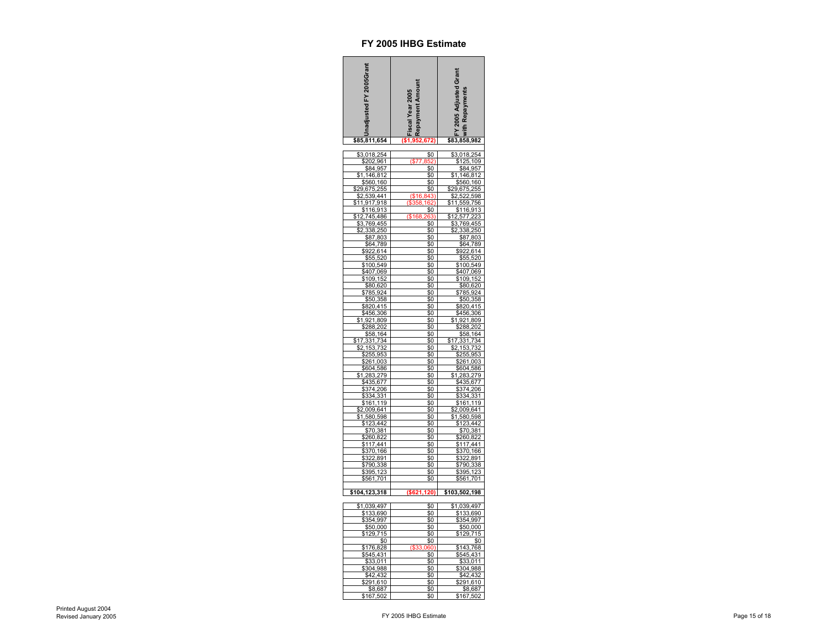| nadjusted FY 2005Grant                                      | Fiscal Year 2005<br>Repayment Amount | FY 2005 Adjusted Grant<br>ith Repayments |
|-------------------------------------------------------------|--------------------------------------|------------------------------------------|
| \$85,811,654                                                |                                      | \$83,858,982                             |
| \$3,018,254                                                 | \$0                                  | 3,018,254                                |
| \$202,961                                                   |                                      | \$125,109                                |
| \$84,957                                                    | \$0                                  | \$84,957                                 |
| 146,812<br>\$560,<br>160                                    | \$0                                  | 146,812<br>\$560,<br>160                 |
| 29,675,255                                                  | \$0<br>\$0                           | 29,675,255                               |
| 539<br>,441                                                 | $($ \$16                             | 522<br>\$2<br>598                        |
| 1,917<br>918                                                |                                      | ,559,<br>756                             |
| 16,913<br>1                                                 |                                      | ,91<br>1<br>16                           |
| 745,486<br>,769,455<br>3                                    | \$161<br>\$0                         | 3<br>2,577<br>\$<br>3,769,455            |
| 338<br>250                                                  | \$0                                  | .250<br>338                              |
| \$87,803                                                    | \$0                                  | \$87,803                                 |
| \$64<br>,789                                                | \$0                                  | \$64<br>789                              |
| \$922,614                                                   | \$0                                  | \$922,614                                |
| \$55,520<br>\$100,549                                       | \$0<br>\$0                           | \$55,520<br>\$100,549                    |
| 407,069                                                     | \$0                                  | 407,069                                  |
| 109<br>,152                                                 | \$0                                  | \$109,152                                |
| \$80,620                                                    | \$0                                  | \$80,620<br>\$785,924                    |
| \$785,924<br>\$50,358                                       | \$0<br>\$0                           | \$50,358                                 |
| \$820,415                                                   | \$0                                  | \$820,415                                |
| $\frac{$456,306}{$456,306}$<br>$\frac{1,921,809}{$288,202}$ | \$0                                  | \$456,306<br>1,921,809                   |
|                                                             | \$0                                  |                                          |
|                                                             | \$0                                  | \$288,202<br>\$58,164                    |
| \$58,164<br>,331,734<br>\$17                                | \$0<br>\$0                           | ,331,734<br>\$17                         |
| 153,732<br>\$2                                              | \$0                                  | \$2<br>153,732                           |
| 255,95                                                      | 30                                   | \$255<br>95                              |
| \$261,003                                                   | \$0                                  | \$261,003                                |
| \$604,586<br>1,283,279                                      | 60<br>\$0                            | \$604,586<br>1,283,279                   |
| \$435,677                                                   | \$0                                  | 7                                        |
| 374,<br>206                                                 | \$0                                  | \$435,67<br>\$374,20<br>206              |
| ,331<br>334                                                 | \$0                                  | 334,331                                  |
| \$161<br>.119                                               | \$0<br>\$0                           | \$161,119<br>\$2<br>2,009,641            |
| 2,009,641<br>580,598                                        | \$0                                  | ,580,598                                 |
| \$123,442                                                   | \$0                                  | \$123,442                                |
| \$70,381                                                    | \$0                                  | \$70,381                                 |
| \$260,822                                                   | \$0                                  | \$260,822                                |
| 117,441<br>166<br>370                                       | \$0<br>\$0                           | \$117,441<br>\$<br>370<br>166            |
| 322,891                                                     | \$0                                  | 322,891                                  |
| \$790<br>,338                                               | \$0                                  | \$790,338                                |
| \$395.<br>123                                               | \$0                                  | \$395<br>12 <sup>2</sup>                 |
| \$561,701                                                   | \$0                                  | \$561,701                                |
| \$104,123,318                                               | (\$621, 120)                         | \$103,502,198                            |
| \$1,039,497                                                 | \$0                                  | \$1,039,497                              |
| \$133<br>,690                                               | \$0                                  | \$133<br>,690                            |
| 354,997<br>\$50,000                                         | \$0                                  | 354,997                                  |
| 15<br>129,                                                  | \$0<br>\$0                           | \$50,000<br>715<br>129,                  |
| \$0                                                         | \$0                                  | \$0                                      |
| \$176<br>828                                                |                                      | \$143<br>768                             |
| \$545<br>431                                                | \$0                                  | \$545<br>4<br>31                         |
| 011<br>3<br>\$304,988                                       | \$0<br>\$0                           | 3<br>0<br>\$304<br>988                   |
| \$42<br>.432                                                | \$0                                  | \$42<br>$\cdot$                          |
| \$291,610                                                   | \$0                                  | \$291,610                                |
| \$8,687                                                     | \$0                                  | \$8,687                                  |
| \$167,502                                                   | \$0                                  | \$167,502                                |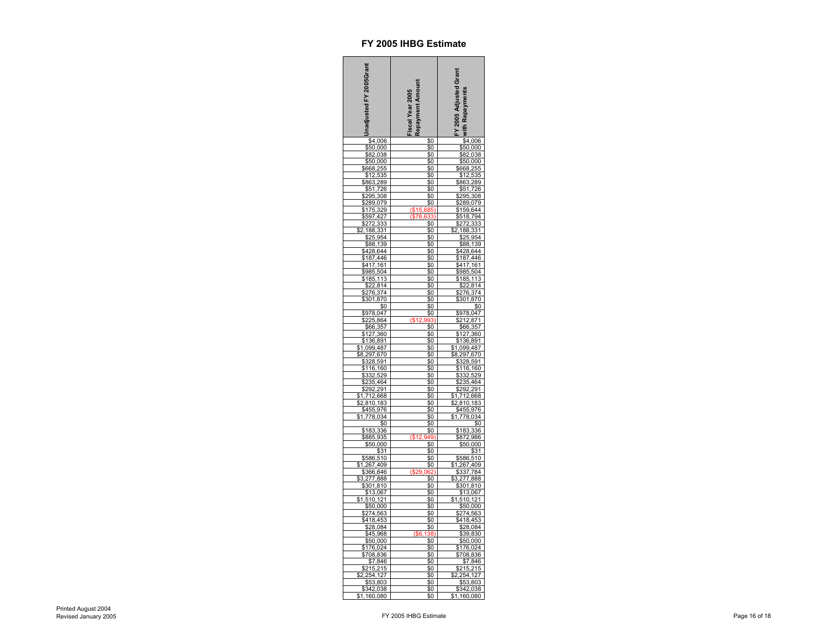| Inadjusted FY 2005Grant                                                          | Repayment Amount<br>iscal Year 2005 | FY 2005 Adjusted Grant<br><b>Property Server Adjusted</b><br>France Adjustments<br>Server Advisor Server Advisor<br>Server Advisor Server Advisor Server Advisor<br>Server Advisor Server Advisor Server Advisor Server Advisor Server Advisor Server Advisor Server                             |
|----------------------------------------------------------------------------------|-------------------------------------|--------------------------------------------------------------------------------------------------------------------------------------------------------------------------------------------------------------------------------------------------------------------------------------------------|
| \$4,006                                                                          | \$0                                 |                                                                                                                                                                                                                                                                                                  |
|                                                                                  | \$0                                 |                                                                                                                                                                                                                                                                                                  |
| $\frac{$6,0000}{$82,038}$<br>$$50,000$                                           | \$0                                 |                                                                                                                                                                                                                                                                                                  |
|                                                                                  | \$0                                 |                                                                                                                                                                                                                                                                                                  |
|                                                                                  | \$0<br>\$0                          |                                                                                                                                                                                                                                                                                                  |
| $\frac{$300}{6668}$<br>$\frac{$12}{8663}$<br><u>,000</u><br>255,<br>535,<br>289, | \$0                                 |                                                                                                                                                                                                                                                                                                  |
| \$51<br>,726                                                                     | \$0                                 | \$51<br>726                                                                                                                                                                                                                                                                                      |
| \$295,308<br>\$289,079<br>\$175,329<br>\$597,427<br>\$272,333                    | \$0                                 | \$295,308<br>\$289,079                                                                                                                                                                                                                                                                           |
|                                                                                  | \$0                                 |                                                                                                                                                                                                                                                                                                  |
|                                                                                  |                                     |                                                                                                                                                                                                                                                                                                  |
|                                                                                  | \$0                                 | \$159,644<br>\$159,644<br>\$518,794<br>\$272,333                                                                                                                                                                                                                                                 |
| 188                                                                              | \$0                                 | 3<br>.188<br>s:<br>1<br>3                                                                                                                                                                                                                                                                        |
| \$25<br>,95                                                                      | \$0                                 | \$25<br>,954                                                                                                                                                                                                                                                                                     |
| ,139                                                                             | \$0                                 | \$88<br>,139                                                                                                                                                                                                                                                                                     |
| \$428,644<br>\$428,644<br>\$187,446                                              | \$0                                 | \$428,644                                                                                                                                                                                                                                                                                        |
|                                                                                  | \$0                                 |                                                                                                                                                                                                                                                                                                  |
|                                                                                  | \$0                                 | 17,161<br>\$4                                                                                                                                                                                                                                                                                    |
| $\frac{1}{2}$ 185                                                                | \$0                                 | 504                                                                                                                                                                                                                                                                                              |
| 1<br>1                                                                           | \$0<br><u>\$0</u>                   | \$185<br>3<br><u>1</u><br>1                                                                                                                                                                                                                                                                      |
|                                                                                  | \$0                                 |                                                                                                                                                                                                                                                                                                  |
| $\frac{$22,814}{$276,374}$<br>$$301,870$                                         | \$0                                 | $\frac{$22,814}{$276,374}$<br>$$301,870$                                                                                                                                                                                                                                                         |
| \$0                                                                              | \$0                                 | \$0                                                                                                                                                                                                                                                                                              |
|                                                                                  | \$0                                 |                                                                                                                                                                                                                                                                                                  |
|                                                                                  | \$0                                 |                                                                                                                                                                                                                                                                                                  |
| \$978,047<br>\$225,864<br>\$66,357<br>\$127,360<br>\$136,891                     | \$0                                 |                                                                                                                                                                                                                                                                                                  |
|                                                                                  | \$0                                 |                                                                                                                                                                                                                                                                                                  |
| \$1,099,487<br>\$8,297,670                                                       | \$0                                 | $\begin{array}{r} 300 \\ \hline \$978,047 \\ \$212,871 \\ \$66,357 \\ \$127,360 \\ \$136,891 \\ \$1,099,487 \\ \$9,207,670 \end{array}$                                                                                                                                                          |
|                                                                                  | \$0                                 | 670<br>297                                                                                                                                                                                                                                                                                       |
| \$328,591                                                                        | \$0<br>\$0                          | \$328,591                                                                                                                                                                                                                                                                                        |
| \$116.<br>\$332.<br>160<br>529                                                   | \$0                                 | 160<br>529<br>\$116<br>\$332                                                                                                                                                                                                                                                                     |
| 464<br>\$235                                                                     | \$0                                 | $\frac{$235,464}{$292,291}$<br>$\frac{$292,291}{1,712,668}$                                                                                                                                                                                                                                      |
| 92<br>291                                                                        | \$0                                 | $\frac{\frac{$2,810,18}{1,712}}{\frac{2,810,18}{1,712}}$                                                                                                                                                                                                                                         |
| \$<br>1<br>668                                                                   | \$0                                 | \$                                                                                                                                                                                                                                                                                               |
| 2,810,183<br>\$455,976<br>1,778,034                                              | \$0<br>\$0                          |                                                                                                                                                                                                                                                                                                  |
|                                                                                  | \$0                                 |                                                                                                                                                                                                                                                                                                  |
| \$0                                                                              | \$0                                 |                                                                                                                                                                                                                                                                                                  |
| \$183,3<br>36                                                                    | \$0                                 | \$183,336<br>\$872,986                                                                                                                                                                                                                                                                           |
| \$885,935                                                                        | (S <sub>1</sub> )                   |                                                                                                                                                                                                                                                                                                  |
| \$50,000                                                                         | \$0                                 | \$50,000                                                                                                                                                                                                                                                                                         |
| \$31<br>510,                                                                     | \$0<br>\$0                          | $\frac{$31}{510}$                                                                                                                                                                                                                                                                                |
| <u>\$586,510</u><br>1,267,409                                                    | \$0                                 | \$                                                                                                                                                                                                                                                                                               |
| 366,846                                                                          |                                     |                                                                                                                                                                                                                                                                                                  |
| <u>8,277,888</u><br>\$,277,888<br>\$301,810<br><u>\$13,067</u>                   | \$0                                 |                                                                                                                                                                                                                                                                                                  |
|                                                                                  | \$0                                 |                                                                                                                                                                                                                                                                                                  |
| \$1                                                                              | \$0<br>\$0                          | \$1                                                                                                                                                                                                                                                                                              |
| \$50,000                                                                         | \$0                                 |                                                                                                                                                                                                                                                                                                  |
| \$274<br>563                                                                     | \$0                                 |                                                                                                                                                                                                                                                                                                  |
| $\frac{418,453}{28,084}$                                                         | \$0                                 | $\frac{\$31}{\$586,510} \underline{\$586,510} \underline{\$337,784} \underline{\$3277,888} \underline{\$301,810} \underline{\$1007,838} \underline{\$301,810} \underline{\$10,672} \underline{\$527,663} \underline{\$418,453} \underline{\$274,563} \underline{\$418,453} \underline{\$28,084}$ |
|                                                                                  | \$0                                 | $\frac{$416,433}{$28,084}$ $\frac{$28,084}{$50,000}$ $\frac{$50,000}{$76,024}$ $\frac{$708,836}{$7,846}$                                                                                                                                                                                         |
| \$28,004<br>\$45,968<br>\$50,000<br>\$176,024<br>\$708,836                       | \$0                                 |                                                                                                                                                                                                                                                                                                  |
|                                                                                  | \$0                                 |                                                                                                                                                                                                                                                                                                  |
|                                                                                  | \$0                                 |                                                                                                                                                                                                                                                                                                  |
| \$7                                                                              | \$0                                 | 846<br>215                                                                                                                                                                                                                                                                                       |
| 846<br>215<br>127<br>$\overline{15}$<br>\$2                                      | \$0                                 | \$215                                                                                                                                                                                                                                                                                            |
| <u>254</u>                                                                       | \$0<br>\$0                          | \$2<br>254<br>127<br>\$53,803                                                                                                                                                                                                                                                                    |
| $\frac{$53,803}{$342,038}$                                                       | \$0                                 |                                                                                                                                                                                                                                                                                                  |
| ,160,080<br>\$1                                                                  | \$0                                 | \$342,038<br>\$1,160,080                                                                                                                                                                                                                                                                         |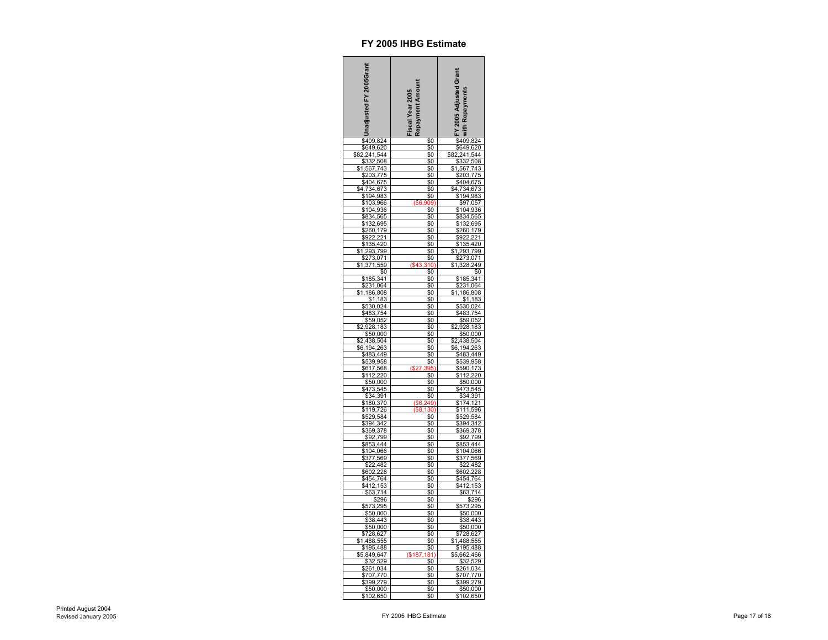| nadjusted FY 2005Grant                                                                                                                                | Repayment Amount<br>iscal Year 2005 | FY 2005 Adjusted Grant<br><b>With Repayments</b>                                                   |
|-------------------------------------------------------------------------------------------------------------------------------------------------------|-------------------------------------|----------------------------------------------------------------------------------------------------|
| \$409,824<br>\$649,620                                                                                                                                | \$0                                 | \$409,824                                                                                          |
|                                                                                                                                                       | \$0                                 |                                                                                                    |
| \$82                                                                                                                                                  | \$0                                 |                                                                                                    |
| 82,241,544<br>82,241,544<br>\$332,508                                                                                                                 | \$0<br>\$0                          | $\frac{382,241,544}{\$332,508}$ \\$1,567,743                                                       |
| ,775                                                                                                                                                  | \$0                                 |                                                                                                    |
| \$203<br>\$404<br>675                                                                                                                                 | \$0                                 | \$203,77<br>\$404,67                                                                               |
|                                                                                                                                                       | \$0                                 |                                                                                                    |
| \$4,734,673<br>\$194,983<br>\$103,966                                                                                                                 |                                     | \$4,734,67<br>\$194,98                                                                             |
|                                                                                                                                                       |                                     | \$134,565<br>\$97,057<br>\$104,936<br>\$834,565                                                    |
| \$104,936                                                                                                                                             | \$0                                 |                                                                                                    |
| \$834,565                                                                                                                                             | \$0                                 |                                                                                                    |
| \$132,695<br>\$260<br>179                                                                                                                             | \$0<br>\$0                          | 132,695<br>\$260.<br>179                                                                           |
| \$922                                                                                                                                                 | \$0                                 | \$922,221                                                                                          |
| 420                                                                                                                                                   | \$0                                 | 135,420                                                                                            |
| 1,293<br>\$<br>,799                                                                                                                                   | \$0                                 | \$<br>,293,799<br>į                                                                                |
| ,071<br>\$273                                                                                                                                         | \$0                                 |                                                                                                    |
| \$1<br>$\overline{37}$<br>1<br>559                                                                                                                    | /٩                                  | <u>\$273,071</u><br>1,328,249<br>249<br>\$1                                                        |
| \$0                                                                                                                                                   | \$0                                 | \$0                                                                                                |
| \$185,341<br>\$231,064                                                                                                                                |                                     | \$185,341<br>\$231,064                                                                             |
|                                                                                                                                                       | \$0                                 |                                                                                                    |
| 186,808<br>\$1,                                                                                                                                       | \$0<br>\$0                          | 186,808<br>\$1,                                                                                    |
|                                                                                                                                                       | \$0                                 | \$530,024                                                                                          |
|                                                                                                                                                       | \$0                                 |                                                                                                    |
|                                                                                                                                                       | \$Ō                                 |                                                                                                    |
|                                                                                                                                                       | \$0                                 |                                                                                                    |
| $\frac{$1,163}{$530,024$}$ $\frac{$483,754}{$59,052$}$ $\frac{$2,928,183}{$50,000$}$                                                                  | \$0                                 | $\frac{$483,754}{$59,052}{$59,052$$                                                                |
| $\frac{$30,000}{$2,438,504}$<br>$\frac{$2,438,504}{$483,449}$<br>$\frac{$539,958}{$617,568}$<br>$\frac{$112,220}{$50,000}$                            | \$0                                 | $\frac{$2,438,504}{$6,194,263}$<br>$\frac{$6,194,263}{$483,449}$<br>$\frac{$539,958}{$539,958}$    |
|                                                                                                                                                       | \$0<br>\$0                          |                                                                                                    |
|                                                                                                                                                       |                                     |                                                                                                    |
|                                                                                                                                                       |                                     |                                                                                                    |
|                                                                                                                                                       | \$0                                 | \$590,173<br>\$112,220                                                                             |
| \$50,000                                                                                                                                              | \$0                                 | \$50,000                                                                                           |
| \$473,545<br>\$473,545<br>\$34,391<br>\$180,370                                                                                                       | \$0                                 | <u>\$99,000</u><br>\$473,545<br>\$34,391<br>\$174,121                                              |
|                                                                                                                                                       | \$0                                 |                                                                                                    |
|                                                                                                                                                       |                                     |                                                                                                    |
| \$529,584                                                                                                                                             | \$0                                 | \$529,584                                                                                          |
|                                                                                                                                                       | \$0                                 |                                                                                                    |
|                                                                                                                                                       | \$0                                 |                                                                                                    |
|                                                                                                                                                       | \$0                                 |                                                                                                    |
|                                                                                                                                                       | \$0                                 |                                                                                                    |
|                                                                                                                                                       | \$0<br>\$0                          |                                                                                                    |
| \$529,584<br>\$394,342<br>\$369,378<br>\$92,799<br>\$853,444<br>\$104,066<br>\$377,569<br>\$22,482<br>\$454,764<br>\$447,64<br>\$447,764<br>\$447,764 | \$0                                 | \$529,584<br>\$394,342<br>\$369,378<br>\$92,799<br>\$853,444<br>\$104,066<br>\$377,569<br>\$22,482 |
|                                                                                                                                                       | \$0                                 | \$602                                                                                              |
|                                                                                                                                                       | \$0                                 | 228<br>764<br>153                                                                                  |
|                                                                                                                                                       | \$0                                 | \$454,<br>\$412,                                                                                   |
|                                                                                                                                                       | $\$0$                               | $\frac{$63,714}{296}$                                                                              |
| $\frac{2}{3,7}$<br>\$296<br>295                                                                                                                       | \$0                                 |                                                                                                    |
| \$573,295                                                                                                                                             | \$0                                 | \$573,295<br>\$50,000                                                                              |
| \$50,000<br>\$38,443                                                                                                                                  | \$0<br>\$0                          |                                                                                                    |
|                                                                                                                                                       | \$0                                 |                                                                                                    |
| $\frac{$50,000}{$728,627}$                                                                                                                            | \$0                                 | \$38,443<br>\$50,000<br>\$728,627<br>1,488,555                                                     |
|                                                                                                                                                       | \$0                                 |                                                                                                    |
| \$195,488                                                                                                                                             | \$0                                 | 195,488<br>\$                                                                                      |
| ,647<br>$\frac{5,849}{\$32}$                                                                                                                          | \$18                                |                                                                                                    |
| 529<br>034                                                                                                                                            | \$0                                 | $\frac{$5,662,466}{$32,529}$                                                                       |
| \$261                                                                                                                                                 | \$0                                 |                                                                                                    |
| 770<br>\$707                                                                                                                                          | \$0<br>\$0                          | \$707.<br>770<br>\$399,279                                                                         |
| \$399,279                                                                                                                                             | \$0                                 | \$50,000                                                                                           |
| \$102,650                                                                                                                                             | \$0                                 | \$102,650                                                                                          |
|                                                                                                                                                       |                                     |                                                                                                    |